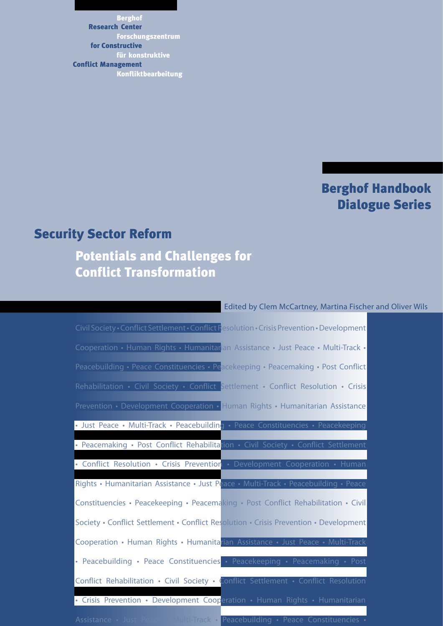Berghof Forschungszentrum für konstruktive Konfliktbearbeitung Research Center for Constructive Conflict Management

### Berghof Handbook Dialogue Series

### Security Sector Reform

### Potentials and Challenges for Conflict Transformation

#### Edited by Clem McCartney, Martina Fischer and Oliver Wils

Civil Society • Conflict Settlement • Conflict Resolution • Crisis Prevention • Development Cooperation • Human Rights • Humanitarian Assistance • Just Peace • Multi-Track • Peacebuilding • Peace Constituencies • Peacekeeping • Peacemaking • Post Conflict Rehabilitation • Civil Society • Conflict Settlement • Conflict Resolution • Crisis Prevention • Development Cooperation • Human Rights • Humanitarian Assistance • Just Peace • Multi-Track • Peacebuilding • Pe • Peacemaking • Post Conflict Rehabilitation • Civil Society • Conflict Settlement • Conflict Resolution • Crisis Prevention • Development Cooperation • Rights • Humanitarian Assistance • Just Peace • Multi-Track • Peacebuilding • Constituencies • Peacekeeping • Peacemaking • Post Conflict Rehabilitation • Civil Society • Conflict Settlement • Conflict Resolution • Crisis Prevention • Development Cooperation • Human Rights • Humanitarian Assistance • Just Peace • Peacebuilding • Peace Constituencies • Peacekeeping • Peacemaking • Post Conflict Rehabilitation • Civil Society • Conflict Settlement • Conflict Resolution • Crisis Prevention • Development Cooperation • Human Rights • Humanitarian Assistance • Just Peace • Multi-Track • Peacebuilding • Peace Constituencies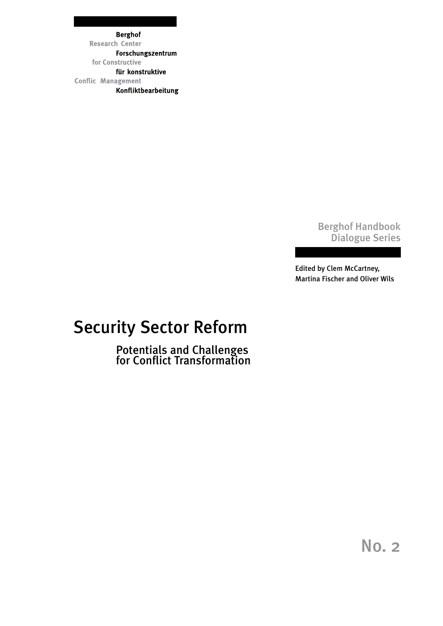**Berghof Research Center** Forschungszentrum for Constructive für konstruktive **Conflic Management** Konfliktbearbeitung

### Berghof Handbook Dialogue Series

Edited by Clem McCartney, Martina Fischer and Oliver Wils

# Security Sector Reform

Potentials and Challenges for Conflict Transformation

No. 2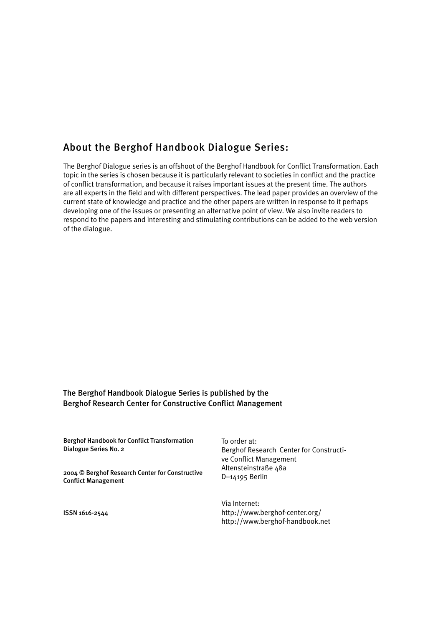### About the Berghof Handbook Dialogue Series:

The Berghof Dialogue series is an offshoot of the Berghof Handbook for Conflict Transformation. Each topic in the series is chosen because it is particularly relevant to societies in conflict and the practice of conflict transformation, and because it raises important issues at the present time. The authors are all experts in the field and with different perspectives. The lead paper provides an overview of the current state of knowledge and practice and the other papers are written in response to it perhaps developing one of the issues or presenting an alternative point of view. We also invite readers to respond to the papers and interesting and stimulating contributions can be added to the web version of the dialogue.

#### The Berghof Handbook Dialogue Series is published by the Berghof Research Center for Constructive Conflict Management

| <b>Berghof Handbook for Conflict Transformation</b><br>Dialogue Series No. 2<br>2004 © Berghof Research Center for Constructive<br><b>Conflict Management</b> | To order at:<br>Berghof Research Center for Constructi-<br>ve Conflict Management<br>Altensteinstraße 48a<br>$D-14195$ Berlin |
|---------------------------------------------------------------------------------------------------------------------------------------------------------------|-------------------------------------------------------------------------------------------------------------------------------|
| $ICCM$ $ALA$ $A - I$                                                                                                                                          | Via Internet:<br>http://www.borghof.contor.org/                                                                               |

http://www.berghof-center.org/ http://www.berghof-handbook.net

ISSN 1616-2544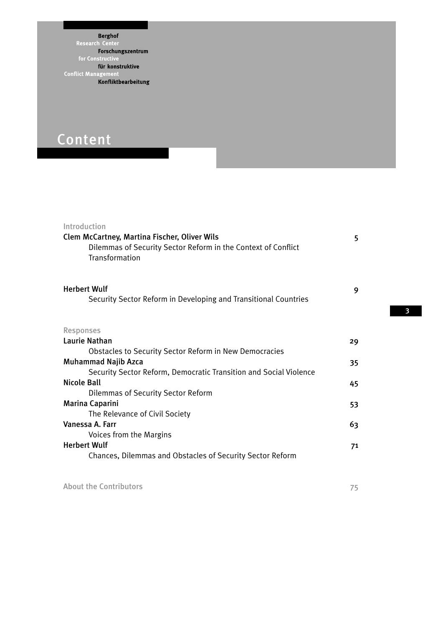Berghof **Research Center** Forschungszentrum Forschungszentri<br>for Constructive<br>für konstruktive<br>lict Management **Conflict Managem** Konfliktbearbeitung

# Content

| Introduction<br>Clem McCartney, Martina Fischer, Oliver Wils<br>Dilemmas of Security Sector Reform in the Context of Conflict<br>Transformation                  | 5  |
|------------------------------------------------------------------------------------------------------------------------------------------------------------------|----|
| <b>Herbert Wulf</b><br>Security Sector Reform in Developing and Transitional Countries                                                                           | 9  |
| <b>Responses</b>                                                                                                                                                 |    |
| <b>Laurie Nathan</b>                                                                                                                                             | 29 |
| <b>Obstacles to Security Sector Reform in New Democracies</b><br><b>Muhammad Najib Azca</b><br>Security Sector Reform, Democratic Transition and Social Violence | 35 |
| <b>Nicole Ball</b>                                                                                                                                               | 45 |
| <b>Dilemmas of Security Sector Reform</b>                                                                                                                        |    |
| Marina Caparini                                                                                                                                                  | 53 |
| The Relevance of Civil Society<br>Vanessa A. Farr                                                                                                                |    |
| Voices from the Margins                                                                                                                                          | 63 |
| <b>Herbert Wulf</b><br>Chances, Dilemmas and Obstacles of Security Sector Reform                                                                                 | 71 |
|                                                                                                                                                                  |    |

About the Contributors 75

3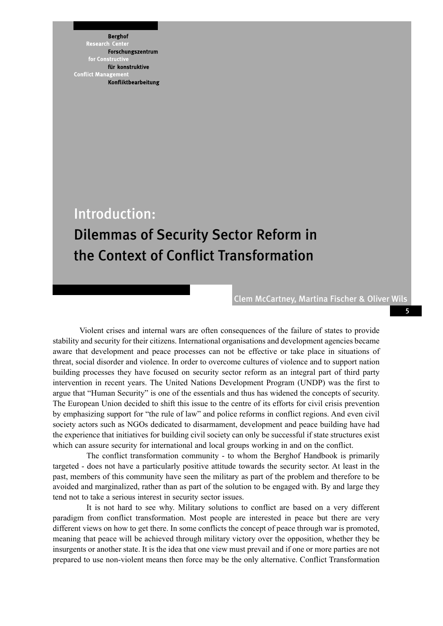**Berghof** 

Research :ent Forschungszentrum for Constri für konstruktive **Conflict Mana** Konfliktbearbeitung

Introduction:

## Dilemmas of Security Sector Reform in the Context of Conflict Transformation

Clem McCartney, Martina Fischer & Oliver Wils

5

 Violent crises and internal wars are often consequences of the failure of states to provide stability and security for their citizens. International organisations and development agencies became aware that development and peace processes can not be effective or take place in situations of threat, social disorder and violence. In order to overcome cultures of violence and to support nation building processes they have focused on security sector reform as an integral part of third party intervention in recent years. The United Nations Development Program (UNDP) was the first to argue that "Human Security" is one of the essentials and thus has widened the concepts of security. The European Union decided to shift this issue to the centre of its efforts for civil crisis prevention by emphasizing support for "the rule of law" and police reforms in conflict regions. And even civil society actors such as NGOs dedicated to disarmament, development and peace building have had the experience that initiatives for building civil society can only be successful if state structures exist which can assure security for international and local groups working in and on the conflict.

The conflict transformation community - to whom the Berghof Handbook is primarily targeted - does not have a particularly positive attitude towards the security sector. At least in the past, members of this community have seen the military as part of the problem and therefore to be avoided and marginalized, rather than as part of the solution to be engaged with. By and large they tend not to take a serious interest in security sector issues.

It is not hard to see why. Military solutions to conflict are based on a very different paradigm from conflict transformation. Most people are interested in peace but there are very different views on how to get there. In some conflicts the concept of peace through war is promoted, meaning that peace will be achieved through military victory over the opposition, whether they be insurgents or another state. It is the idea that one view must prevail and if one or more parties are not prepared to use non-violent means then force may be the only alternative. Conflict Transformation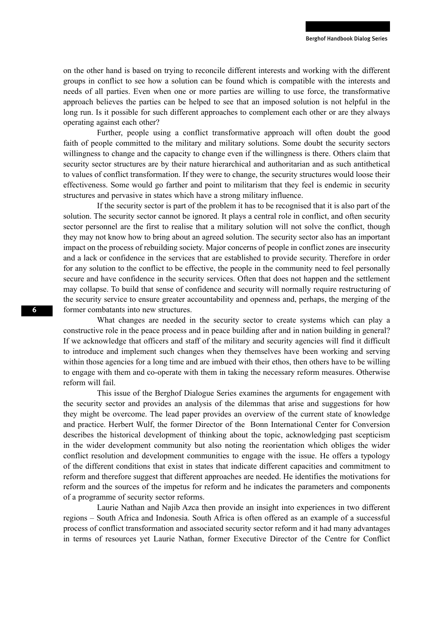on the other hand is based on trying to reconcile different interests and working with the different groups in conflict to see how a solution can be found which is compatible with the interests and needs of all parties. Even when one or more parties are willing to use force, the transformative approach believes the parties can be helped to see that an imposed solution is not helpful in the long run. Is it possible for such different approaches to complement each other or are they always operating against each other?

Further, people using a conflict transformative approach will often doubt the good faith of people committed to the military and military solutions. Some doubt the security sectors willingness to change and the capacity to change even if the willingness is there. Others claim that security sector structures are by their nature hierarchical and authoritarian and as such antithetical to values of conflict transformation. If they were to change, the security structures would loose their effectiveness. Some would go farther and point to militarism that they feel is endemic in security structures and pervasive in states which have a strong military influence.

If the security sector is part of the problem it has to be recognised that it is also part of the solution. The security sector cannot be ignored. It plays a central role in conflict, and often security sector personnel are the first to realise that a military solution will not solve the conflict, though they may not know how to bring about an agreed solution. The security sector also has an important impact on the process of rebuilding society. Major concerns of people in conflict zones are insecurity and a lack or confidence in the services that are established to provide security. Therefore in order for any solution to the conflict to be effective, the people in the community need to feel personally secure and have confidence in the security services. Often that does not happen and the settlement may collapse. To build that sense of confidence and security will normally require restructuring of the security service to ensure greater accountability and openness and, perhaps, the merging of the former combatants into new structures.

What changes are needed in the security sector to create systems which can play a constructive role in the peace process and in peace building after and in nation building in general? If we acknowledge that officers and staff of the military and security agencies will find it difficult to introduce and implement such changes when they themselves have been working and serving within those agencies for a long time and are imbued with their ethos, then others have to be willing to engage with them and co-operate with them in taking the necessary reform measures. Otherwise reform will fail.

This issue of the Berghof Dialogue Series examines the arguments for engagement with the security sector and provides an analysis of the dilemmas that arise and suggestions for how they might be overcome. The lead paper provides an overview of the current state of knowledge and practice. Herbert Wulf, the former Director of the Bonn International Center for Conversion describes the historical development of thinking about the topic, acknowledging past scepticism in the wider development community but also noting the reorientation which obliges the wider conflict resolution and development communities to engage with the issue. He offers a typology of the different conditions that exist in states that indicate different capacities and commitment to reform and therefore suggest that different approaches are needed. He identifies the motivations for reform and the sources of the impetus for reform and he indicates the parameters and components of a programme of security sector reforms.

Laurie Nathan and Najib Azca then provide an insight into experiences in two different regions – South Africa and Indonesia. South Africa is often offered as an example of a successful process of conflict transformation and associated security sector reform and it had many advantages in terms of resources yet Laurie Nathan, former Executive Director of the Centre for Conflict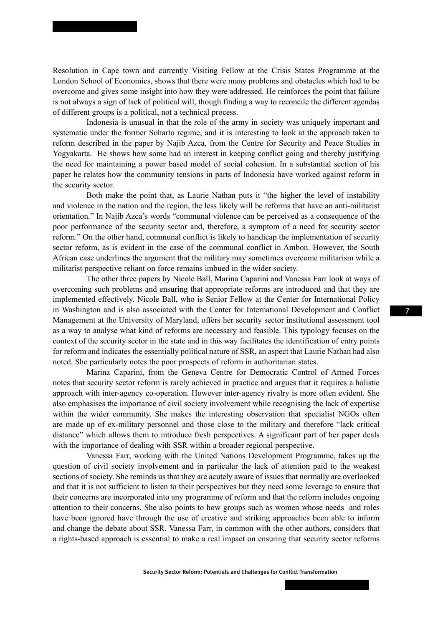Resolution in Cape town and currently Visiting Fellow at the Crisis States Programme at the London School of Economics, shows that there were many problems and obstacles which had to be overcome and gives some insight into how they were addressed. He reinforces the point that failure is not always a sign of lack of political will, though finding a way to reconcile the different agendas of different groups is a political, not a technical process.

Indonesia is unusual in that the role of the army in society was uniquely important and systematic under the former Soharto regime, and it is interesting to look at the approach taken to reform described in the paper by Najib Azca, from the Centre for Security and Peace Studies in Yogyakarta. He shows how some had an interest in keeping conflict going and thereby justifying the need for maintaining a power based model of social cohesion. In a substantial section of his paper he relates how the community tensions in parts of Indonesia have worked against reform in the security sector.

Both make the point that, as Laurie Nathan puts it "the higher the level of instability and violence in the nation and the region, the less likely will be reforms that have an anti-militarist orientation." In Najib Azca's words "communal violence can be perceived as a consequence of the poor performance of the security sector and, therefore, a symptom of a need for security sector reform." On the other hand, communal conflict is likely to handicap the implementation of security sector reform, as is evident in the case of the communal conflict in Ambon. However, the South African case underlines the argument that the military may sometimes overcome militarism while a militarist perspective reliant on force remains imbued in the wider society.

The other three papers by Nicole Ball, Marina Caparini and Vanessa Farr look at ways of overcoming such problems and ensuring that appropriate reforms are introduced and that they are implemented effectively. Nicole Ball, who is Senior Fellow at the Center for International Policy in Washington and is also associated with the Center for International Development and Conflict Management at the University of Maryland, offers her security sector institutional assessment tool as a way to analyse what kind of reforms are necessary and feasible. This typology focuses on the context of the security sector in the state and in this way facilitates the identification of entry points for reform and indicates the essentially political nature of SSR, an aspect that Laurie Nathan had also noted. She particularly notes the poor prospects of reform in authoritarian states.

Marina Caparini, from the Geneva Centre for Democratic Control of Armed Forces notes that security sector reform is rarely achieved in practice and argues that it requires a holistic approach with inter-agency co-operation. However inter-agency rivalry is more often evident. She also emphasises the importance of civil society involvement while recognising the lack of expertise within the wider community. She makes the interesting observation that specialist NGOs often are made up of ex-military personnel and those close to the military and therefore "lack critical distance" which allows them to introduce fresh perspectives. A significant part of her paper deals with the importance of dealing with SSR within a broader regional perspective.

Vanessa Farr, working with the United Nations Development Programme, takes up the question of civil society involvement and in particular the lack of attention paid to the weakest sections of society. She reminds us that they are acutely aware of issues that normally are overlooked and that it is not sufficient to listen to their perspectives but they need some leverage to ensure that their concerns are incorporated into any programme of reform and that the reform includes ongoing attention to their concerns. She also points to how groups such as women whose needs and roles have been ignored have through the use of creative and striking approaches been able to inform and change the debate about SSR. Vanessa Farr, in common with the other authors, considers that a rights-based approach is essential to make a real impact on ensuring that security sector reforms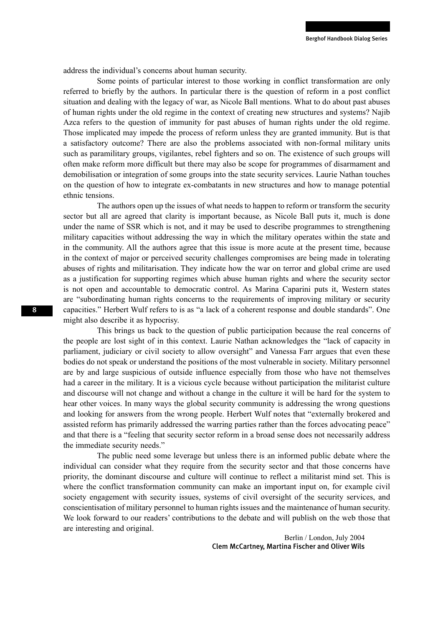address the individual's concerns about human security.

Some points of particular interest to those working in conflict transformation are only referred to briefly by the authors. In particular there is the question of reform in a post conflict situation and dealing with the legacy of war, as Nicole Ball mentions. What to do about past abuses of human rights under the old regime in the context of creating new structures and systems? Najib Azca refers to the question of immunity for past abuses of human rights under the old regime. Those implicated may impede the process of reform unless they are granted immunity. But is that a satisfactory outcome? There are also the problems associated with non-formal military units such as paramilitary groups, vigilantes, rebel fighters and so on. The existence of such groups will often make reform more difficult but there may also be scope for programmes of disarmament and demobilisation or integration of some groups into the state security services. Laurie Nathan touches on the question of how to integrate ex-combatants in new structures and how to manage potential ethnic tensions.

The authors open up the issues of what needs to happen to reform or transform the security sector but all are agreed that clarity is important because, as Nicole Ball puts it, much is done under the name of SSR which is not, and it may be used to describe programmes to strengthening military capacities without addressing the way in which the military operates within the state and in the community. All the authors agree that this issue is more acute at the present time, because in the context of major or perceived security challenges compromises are being made in tolerating abuses of rights and militarisation. They indicate how the war on terror and global crime are used as a justification for supporting regimes which abuse human rights and where the security sector is not open and accountable to democratic control. As Marina Caparini puts it, Western states are "subordinating human rights concerns to the requirements of improving military or security capacities." Herbert Wulf refers to is as "a lack of a coherent response and double standards". One might also describe it as hypocrisy.

This brings us back to the question of public participation because the real concerns of the people are lost sight of in this context. Laurie Nathan acknowledges the "lack of capacity in parliament, judiciary or civil society to allow oversight" and Vanessa Farr argues that even these bodies do not speak or understand the positions of the most vulnerable in society. Military personnel are by and large suspicious of outside influence especially from those who have not themselves had a career in the military. It is a vicious cycle because without participation the militarist culture and discourse will not change and without a change in the culture it will be hard for the system to hear other voices. In many ways the global security community is addressing the wrong questions and looking for answers from the wrong people. Herbert Wulf notes that "externally brokered and assisted reform has primarily addressed the warring parties rather than the forces advocating peace" and that there is a "feeling that security sector reform in a broad sense does not necessarily address the immediate security needs."

The public need some leverage but unless there is an informed public debate where the individual can consider what they require from the security sector and that those concerns have priority, the dominant discourse and culture will continue to reflect a militarist mind set. This is where the conflict transformation community can make an important input on, for example civil society engagement with security issues, systems of civil oversight of the security services, and conscientisation of military personnel to human rights issues and the maintenance of human security. We look forward to our readers' contributions to the debate and will publish on the web those that are interesting and original.

> Berlin / London, July 2004 Clem McCartney, Martina Fischer and Oliver Wils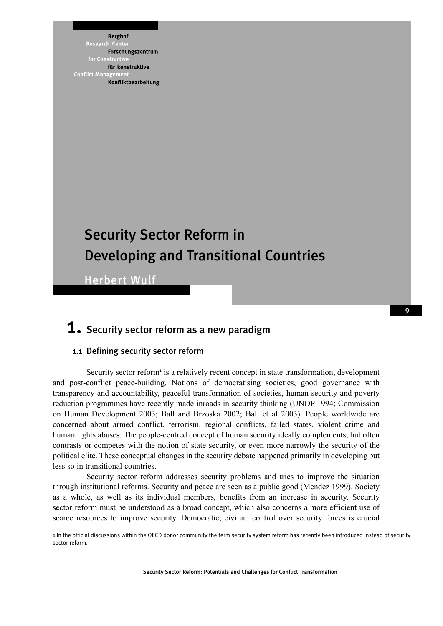**Berghof** Research :ent Forschungszentrum for Constri für konstruktive **Conflict Mana** Konfliktbearbeitung

## Security Sector Reform in Developing and Transitional Countries

Herbert Wulf

### $\boldsymbol{1_\bullet}$  Security sector reform as a new paradigm

#### 1.1 Defining security sector reform

Security sector reform<sup>1</sup> is a relatively recent concept in state transformation, development and post-conflict peace-building. Notions of democratising societies, good governance with transparency and accountability, peaceful transformation of societies, human security and poverty reduction programmes have recently made inroads in security thinking (UNDP 1994; Commission on Human Development 2003; Ball and Brzoska 2002; Ball et al 2003). People worldwide are concerned about armed conflict, terrorism, regional conflicts, failed states, violent crime and human rights abuses. The people-centred concept of human security ideally complements, but often contrasts or competes with the notion of state security, or even more narrowly the security of the political elite. These conceptual changes in the security debate happened primarily in developing but less so in transitional countries.

Security sector reform addresses security problems and tries to improve the situation through institutional reforms. Security and peace are seen as a public good (Mendez 1999). Society as a whole, as well as its individual members, benefits from an increase in security. Security sector reform must be understood as a broad concept, which also concerns a more efficient use of scarce resources to improve security. Democratic, civilian control over security forces is crucial

1 In the official discussions within the OECD donor community the term security system reform has recently been introduced instead of security sector reform.

Security Sector Reform: Potentials and Challenges for Conflict Transformation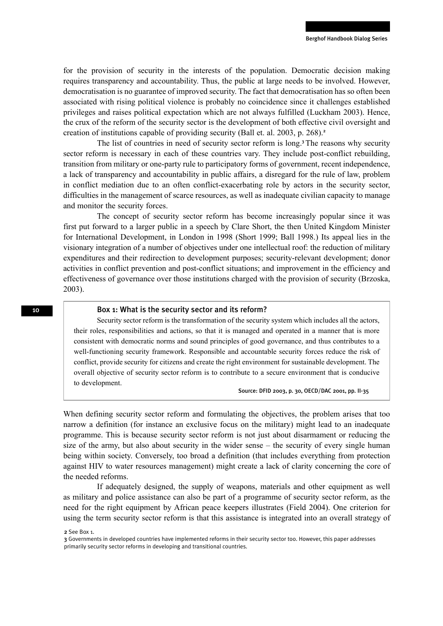for the provision of security in the interests of the population. Democratic decision making requires transparency and accountability. Thus, the public at large needs to be involved. However, democratisation is no guarantee of improved security. The fact that democratisation has so often been associated with rising political violence is probably no coincidence since it challenges established privileges and raises political expectation which are not always fulfilled (Luckham 2003). Hence, the crux of the reform of the security sector is the development of both effective civil oversight and creation of institutions capable of providing security (Ball et. al. 2003, p. 268).<sup>2</sup>

The list of countries in need of security sector reform is long.<sup>3</sup>The reasons why security sector reform is necessary in each of these countries vary. They include post-conflict rebuilding, transition from military or one-party rule to participatory forms of government, recent independence, a lack of transparency and accountability in public affairs, a disregard for the rule of law, problem in conflict mediation due to an often conflict-exacerbating role by actors in the security sector, difficulties in the management of scarce resources, as well as inadequate civilian capacity to manage and monitor the security forces.

The concept of security sector reform has become increasingly popular since it was first put forward to a larger public in a speech by Clare Short, the then United Kingdom Minister for International Development, in London in 1998 (Short 1999; Ball 1998.) Its appeal lies in the visionary integration of a number of objectives under one intellectual roof: the reduction of military expenditures and their redirection to development purposes; security-relevant development; donor activities in conflict prevention and post-conflict situations; and improvement in the efficiency and effectiveness of governance over those institutions charged with the provision of security (Brzoska, 2003).

#### Box 1: What is the security sector and its reform?

Security sector reform is the transformation of the security system which includes all the actors, their roles, responsibilities and actions, so that it is managed and operated in a manner that is more consistent with democratic norms and sound principles of good governance, and thus contributes to a well-functioning security framework. Responsible and accountable security forces reduce the risk of conflict, provide security for citizens and create the right environment for sustainable development. The overall objective of security sector reform is to contribute to a secure environment that is conducive to development.

Source: DFID 2003, p. 30, OECD/DAC 2001, pp. II-35

When defining security sector reform and formulating the objectives, the problem arises that too narrow a definition (for instance an exclusive focus on the military) might lead to an inadequate programme. This is because security sector reform is not just about disarmament or reducing the size of the army, but also about security in the wider sense – the security of every single human being within society. Conversely, too broad a definition (that includes everything from protection against HIV to water resources management) might create a lack of clarity concerning the core of the needed reforms.

If adequately designed, the supply of weapons, materials and other equipment as well as military and police assistance can also be part of a programme of security sector reform, as the need for the right equipment by African peace keepers illustrates (Field 2004). One criterion for using the term security sector reform is that this assistance is integrated into an overall strategy of

<sup>2</sup> See Box 1.

<sup>3</sup> Governments in developed countries have implemented reforms in their security sector too. However, this paper addresses primarily security sector reforms in developing and transitional countries.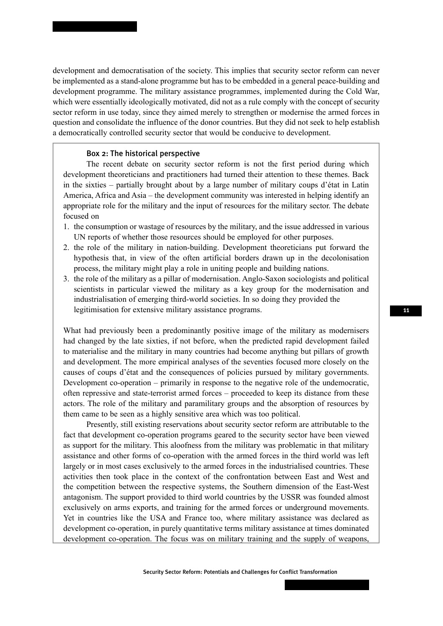development and democratisation of the society. This implies that security sector reform can never be implemented as a stand-alone programme but has to be embedded in a general peace-building and development programme. The military assistance programmes, implemented during the Cold War, which were essentially ideologically motivated, did not as a rule comply with the concept of security sector reform in use today, since they aimed merely to strengthen or modernise the armed forces in question and consolidate the influence of the donor countries. But they did not seek to help establish a democratically controlled security sector that would be conducive to development.

#### Box 2: The historical perspective

The recent debate on security sector reform is not the first period during which development theoreticians and practitioners had turned their attention to these themes. Back in the sixties – partially brought about by a large number of military coups d'état in Latin America, Africa and Asia – the development community was interested in helping identify an appropriate role for the military and the input of resources for the military sector. The debate focused on

- 1. the consumption or wastage of resources by the military, and the issue addressed in various UN reports of whether those resources should be employed for other purposes.
- 2. the role of the military in nation-building. Development theoreticians put forward the hypothesis that, in view of the often artificial borders drawn up in the decolonisation process, the military might play a role in uniting people and building nations.
- 3. the role of the military as a pillar of modernisation. Anglo-Saxon sociologists and political scientists in particular viewed the military as a key group for the modernisation and industrialisation of emerging third-world societies. In so doing they provided the legitimisation for extensive military assistance programs.

What had previously been a predominantly positive image of the military as modernisers had changed by the late sixties, if not before, when the predicted rapid development failed to materialise and the military in many countries had become anything but pillars of growth and development. The more empirical analyses of the seventies focused more closely on the causes of coups d'état and the consequences of policies pursued by military governments. Development co-operation – primarily in response to the negative role of the undemocratic, often repressive and state-terrorist armed forces – proceeded to keep its distance from these actors. The role of the military and paramilitary groups and the absorption of resources by them came to be seen as a highly sensitive area which was too political.

Presently, still existing reservations about security sector reform are attributable to the fact that development co-operation programs geared to the security sector have been viewed as support for the military. This aloofness from the military was problematic in that military assistance and other forms of co-operation with the armed forces in the third world was left largely or in most cases exclusively to the armed forces in the industrialised countries. These activities then took place in the context of the confrontation between East and West and the competition between the respective systems, the Southern dimension of the East-West antagonism. The support provided to third world countries by the USSR was founded almost exclusively on arms exports, and training for the armed forces or underground movements. Yet in countries like the USA and France too, where military assistance was declared as development co-operation, in purely quantitative terms military assistance at times dominated development co-operation. The focus was on military training and the supply of weapons,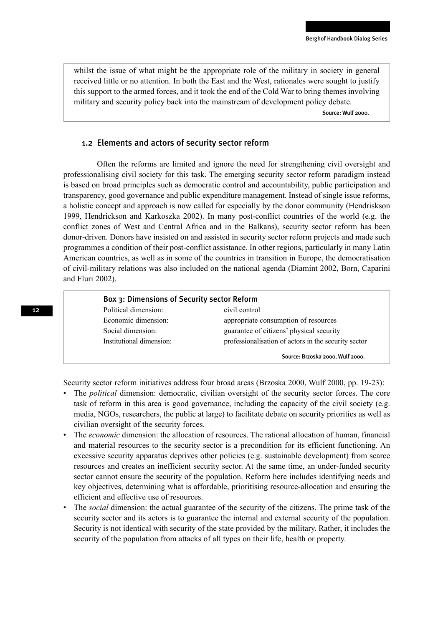whilst the issue of what might be the appropriate role of the military in society in general received little or no attention. In both the East and the West, rationales were sought to justify this support to the armed forces, and it took the end of the Cold War to bring themes involving military and security policy back into the mainstream of development policy debate.

Source: Wulf 2000.

#### 1.2 Elements and actors of security sector reform

Often the reforms are limited and ignore the need for strengthening civil oversight and professionalising civil society for this task. The emerging security sector reform paradigm instead is based on broad principles such as democratic control and accountability, public participation and transparency, good governance and public expenditure management. Instead of single issue reforms, a holistic concept and approach is now called for especially by the donor community (Hendriskson 1999, Hendrickson and Karkoszka 2002). In many post-conflict countries of the world (e.g. the conflict zones of West and Central Africa and in the Balkans), security sector reform has been donor-driven. Donors have insisted on and assisted in security sector reform projects and made such programmes a condition of their post-conflict assistance. In other regions, particularly in many Latin American countries, as well as in some of the countries in transition in Europe, the democratisation of civil-military relations was also included on the national agenda (Diamint 2002, Born, Caparini and Fluri 2002).

#### Box 3: Dimensions of Security sector Reform Political dimension: civil control

| CIVII COMMOI                                         |
|------------------------------------------------------|
| appropriate consumption of resources                 |
| guarantee of citizens' physical security             |
| professionalisation of actors in the security sector |
| Source: Brzoska 2000, Wulf 2000,                     |
|                                                      |

Security sector reform initiatives address four broad areas (Brzoska 2000, Wulf 2000, pp. 19-23):

- The *political* dimension: democratic, civilian oversight of the security sector forces. The core task of reform in this area is good governance, including the capacity of the civil society (e.g. media, NGOs, researchers, the public at large) to facilitate debate on security priorities as well as civilian oversight of the security forces.
- The *economic* dimension: the allocation of resources. The rational allocation of human, financial and material resources to the security sector is a precondition for its efficient functioning. An excessive security apparatus deprives other policies (e.g. sustainable development) from scarce resources and creates an inefficient security sector. At the same time, an under-funded security sector cannot ensure the security of the population. Reform here includes identifying needs and key objectives, determining what is affordable, prioritising resource-allocation and ensuring the efficient and effective use of resources.
- The *social* dimension: the actual guarantee of the security of the citizens. The prime task of the security sector and its actors is to guarantee the internal and external security of the population. Security is not identical with security of the state provided by the military. Rather, it includes the security of the population from attacks of all types on their life, health or property.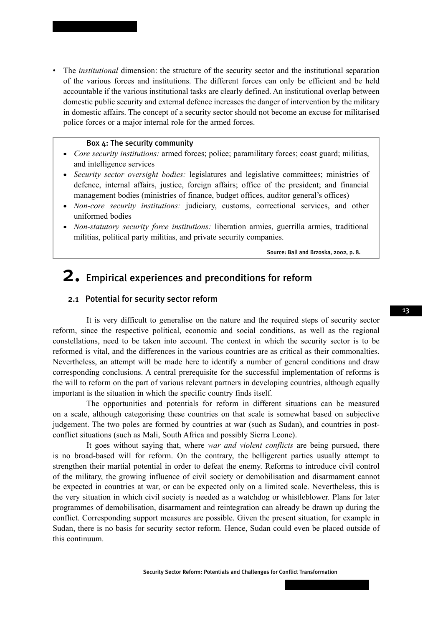• The *institutional* dimension: the structure of the security sector and the institutional separation of the various forces and institutions. The different forces can only be efficient and be held accountable if the various institutional tasks are clearly defined. An institutional overlap between domestic public security and external defence increases the danger of intervention by the military in domestic affairs. The concept of a security sector should not become an excuse for militarised police forces or a major internal role for the armed forces.

#### Box 4: The security community

- *Core security institutions:* armed forces; police; paramilitary forces; coast guard; militias, and intelligence services
- *Security sector oversight bodies:* legislatures and legislative committees; ministries of defence, internal affairs, justice, foreign affairs; office of the president; and financial management bodies (ministries of finance, budget offices, auditor general's offices)
- *Non-core security institutions:* judiciary, customs, correctional services, and other uniformed bodies
- *Non-statutory security force institutions:* liberation armies, guerrilla armies, traditional militias, political party militias, and private security companies.

Source: Ball and Brzoska, 2002, p. 8.

## 2. Empirical experiences and preconditions for reform

#### 2.1 Potential for security sector reform

It is very difficult to generalise on the nature and the required steps of security sector reform, since the respective political, economic and social conditions, as well as the regional constellations, need to be taken into account. The context in which the security sector is to be reformed is vital, and the differences in the various countries are as critical as their commonalties. Nevertheless, an attempt will be made here to identify a number of general conditions and draw corresponding conclusions. A central prerequisite for the successful implementation of reforms is the will to reform on the part of various relevant partners in developing countries, although equally important is the situation in which the specific country finds itself.

The opportunities and potentials for reform in different situations can be measured on a scale, although categorising these countries on that scale is somewhat based on subjective judgement. The two poles are formed by countries at war (such as Sudan), and countries in postconflict situations (such as Mali, South Africa and possibly Sierra Leone).

It goes without saying that, where *war and violent conflicts* are being pursued, there is no broad-based will for reform. On the contrary, the belligerent parties usually attempt to strengthen their martial potential in order to defeat the enemy. Reforms to introduce civil control of the military, the growing influence of civil society or demobilisation and disarmament cannot be expected in countries at war, or can be expected only on a limited scale. Nevertheless, this is the very situation in which civil society is needed as a watchdog or whistleblower. Plans for later programmes of demobilisation, disarmament and reintegration can already be drawn up during the conflict. Corresponding support measures are possible. Given the present situation, for example in Sudan, there is no basis for security sector reform. Hence, Sudan could even be placed outside of this continuum.

Security Sector Reform: Potentials and Challenges for Conflict Transformation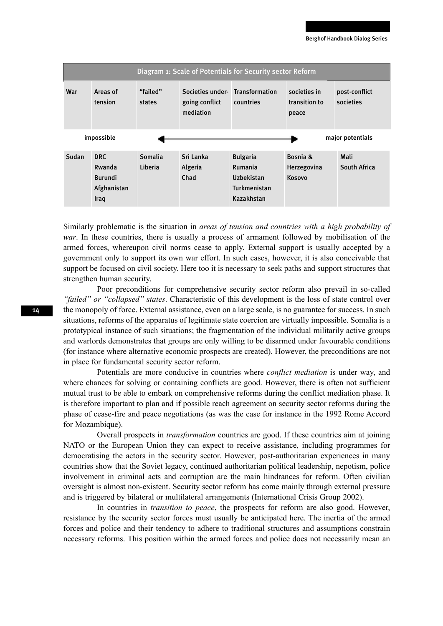|       |                                                         |                    |                                                 | Diagram 1: Scale of Potentials for Security sector Reform              |                                          |                            |
|-------|---------------------------------------------------------|--------------------|-------------------------------------------------|------------------------------------------------------------------------|------------------------------------------|----------------------------|
| War   | Areas of<br>tension                                     | "failed"<br>states | Societies under-<br>going conflict<br>mediation | Transformation<br>countries                                            | societies in<br>transition to<br>peace   | post-conflict<br>societies |
|       | impossible                                              |                    |                                                 |                                                                        |                                          | major potentials           |
| Sudan | DRC.<br>Rwanda<br><b>Burundi</b><br>Afghanistan<br>Iraq | Somalia<br>Liberia | Sri Lanka<br>Algeria<br>Chad                    | <b>Bulgaria</b><br>Rumania<br>Uzbekistan<br>Turkmenistan<br>Kazakhstan | Bosnia &<br>Herzegovina<br><b>Kosovo</b> | Mali<br>South Africa       |

Similarly problematic is the situation in *areas of tension and countries with a high probability of war*. In these countries, there is usually a process of armament followed by mobilisation of the armed forces, whereupon civil norms cease to apply. External support is usually accepted by a government only to support its own war effort. In such cases, however, it is also conceivable that support be focused on civil society. Here too it is necessary to seek paths and support structures that strengthen human security.

Poor preconditions for comprehensive security sector reform also prevail in so-called *"failed" or "collapsed" states*. Characteristic of this development is the loss of state control over the monopoly of force. External assistance, even on a large scale, is no guarantee for success. In such situations, reforms of the apparatus of legitimate state coercion are virtually impossible. Somalia is a prototypical instance of such situations; the fragmentation of the individual militarily active groups and warlords demonstrates that groups are only willing to be disarmed under favourable conditions (for instance where alternative economic prospects are created). However, the preconditions are not in place for fundamental security sector reform.

Potentials are more conducive in countries where *conflict mediation* is under way, and where chances for solving or containing conflicts are good. However, there is often not sufficient mutual trust to be able to embark on comprehensive reforms during the conflict mediation phase. It is therefore important to plan and if possible reach agreement on security sector reforms during the phase of cease-fire and peace negotiations (as was the case for instance in the 1992 Rome Accord for Mozambique).

Overall prospects in *transformation* countries are good. If these countries aim at joining NATO or the European Union they can expect to receive assistance, including programmes for democratising the actors in the security sector. However, post-authoritarian experiences in many countries show that the Soviet legacy, continued authoritarian political leadership, nepotism, police involvement in criminal acts and corruption are the main hindrances for reform. Often civilian oversight is almost non-existent. Security sector reform has come mainly through external pressure and is triggered by bilateral or multilateral arrangements (International Crisis Group 2002).

In countries in *transition to peace*, the prospects for reform are also good. However, resistance by the security sector forces must usually be anticipated here. The inertia of the armed forces and police and their tendency to adhere to traditional structures and assumptions constrain necessary reforms. This position within the armed forces and police does not necessarily mean an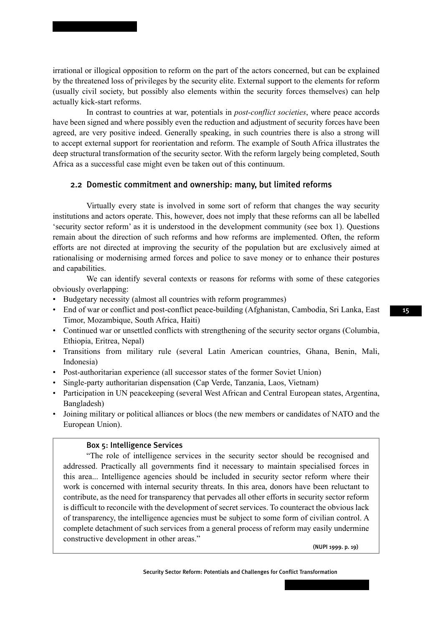irrational or illogical opposition to reform on the part of the actors concerned, but can be explained by the threatened loss of privileges by the security elite. External support to the elements for reform (usually civil society, but possibly also elements within the security forces themselves) can help actually kick-start reforms.

In contrast to countries at war, potentials in *post-conflict societies*, where peace accords have been signed and where possibly even the reduction and adjustment of security forces have been agreed, are very positive indeed. Generally speaking, in such countries there is also a strong will to accept external support for reorientation and reform. The example of South Africa illustrates the deep structural transformation of the security sector. With the reform largely being completed, South Africa as a successful case might even be taken out of this continuum.

#### 2.2 Domestic commitment and ownership: many, but limited reforms

Virtually every state is involved in some sort of reform that changes the way security institutions and actors operate. This, however, does not imply that these reforms can all be labelled 'security sector reform' as it is understood in the development community (see box 1). Questions remain about the direction of such reforms and how reforms are implemented. Often, the reform efforts are not directed at improving the security of the population but are exclusively aimed at rationalising or modernising armed forces and police to save money or to enhance their postures and capabilities.

We can identify several contexts or reasons for reforms with some of these categories obviously overlapping:

- Budgetary necessity (almost all countries with reform programmes)
- End of war or conflict and post-conflict peace-building (Afghanistan, Cambodia, Sri Lanka, East Timor, Mozambique, South Africa, Haiti)
- Continued war or unsettled conflicts with strengthening of the security sector organs (Columbia, Ethiopia, Eritrea, Nepal)
- Transitions from military rule (several Latin American countries, Ghana, Benin, Mali, Indonesia)
- Post-authoritarian experience (all successor states of the former Soviet Union)
- Single-party authoritarian dispensation (Cap Verde, Tanzania, Laos, Vietnam)
- Participation in UN peacekeeping (several West African and Central European states, Argentina, Bangladesh)
- Joining military or political alliances or blocs (the new members or candidates of NATO and the European Union).

#### Box 5: Intelligence Services

"The role of intelligence services in the security sector should be recognised and addressed. Practically all governments find it necessary to maintain specialised forces in this area... Intelligence agencies should be included in security sector reform where their work is concerned with internal security threats. In this area, donors have been reluctant to contribute, as the need for transparency that pervades all other efforts in security sector reform is difficult to reconcile with the development of secret services. To counteract the obvious lack of transparency, the intelligence agencies must be subject to some form of civilian control. A complete detachment of such services from a general process of reform may easily undermine constructive development in other areas."

(NUPI 1999. p. 19)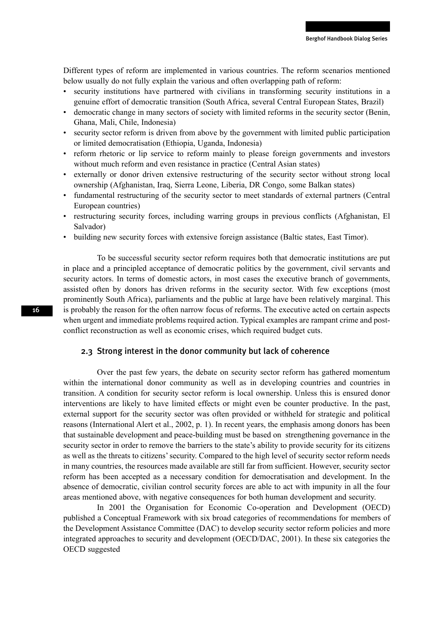Different types of reform are implemented in various countries. The reform scenarios mentioned below usually do not fully explain the various and often overlapping path of reform:

- security institutions have partnered with civilians in transforming security institutions in a genuine effort of democratic transition (South Africa, several Central European States, Brazil)
- democratic change in many sectors of society with limited reforms in the security sector (Benin, Ghana, Mali, Chile, Indonesia)
- security sector reform is driven from above by the government with limited public participation or limited democratisation (Ethiopia, Uganda, Indonesia)
- reform rhetoric or lip service to reform mainly to please foreign governments and investors without much reform and even resistance in practice (Central Asian states)
- externally or donor driven extensive restructuring of the security sector without strong local ownership (Afghanistan, Iraq, Sierra Leone, Liberia, DR Congo, some Balkan states)
- fundamental restructuring of the security sector to meet standards of external partners (Central European countries)
- restructuring security forces, including warring groups in previous conflicts (Afghanistan, El Salvador)
- building new security forces with extensive foreign assistance (Baltic states, East Timor).

To be successful security sector reform requires both that democratic institutions are put in place and a principled acceptance of democratic politics by the government, civil servants and security actors. In terms of domestic actors, in most cases the executive branch of governments, assisted often by donors has driven reforms in the security sector. With few exceptions (most prominently South Africa), parliaments and the public at large have been relatively marginal. This is probably the reason for the often narrow focus of reforms. The executive acted on certain aspects when urgent and immediate problems required action. Typical examples are rampant crime and postconflict reconstruction as well as economic crises, which required budget cuts.

#### 2.3 Strong interest in the donor community but lack of coherence

Over the past few years, the debate on security sector reform has gathered momentum within the international donor community as well as in developing countries and countries in transition. A condition for security sector reform is local ownership. Unless this is ensured donor interventions are likely to have limited effects or might even be counter productive. In the past, external support for the security sector was often provided or withheld for strategic and political reasons (International Alert et al., 2002, p. 1). In recent years, the emphasis among donors has been that sustainable development and peace-building must be based on strengthening governance in the security sector in order to remove the barriers to the state's ability to provide security for its citizens as well as the threats to citizens' security. Compared to the high level of security sector reform needs in many countries, the resources made available are still far from sufficient. However, security sector reform has been accepted as a necessary condition for democratisation and development. In the absence of democratic, civilian control security forces are able to act with impunity in all the four areas mentioned above, with negative consequences for both human development and security.

In 2001 the Organisation for Economic Co-operation and Development (OECD) published a Conceptual Framework with six broad categories of recommendations for members of the Development Assistance Committee (DAC) to develop security sector reform policies and more integrated approaches to security and development (OECD/DAC, 2001). In these six categories the OECD suggested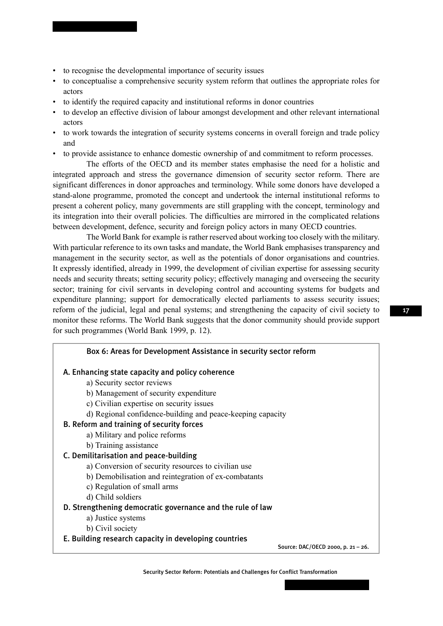- to recognise the developmental importance of security issues
- to conceptualise a comprehensive security system reform that outlines the appropriate roles for actors
- to identify the required capacity and institutional reforms in donor countries
- to develop an effective division of labour amongst development and other relevant international actors
- to work towards the integration of security systems concerns in overall foreign and trade policy and
- to provide assistance to enhance domestic ownership of and commitment to reform processes.

The efforts of the OECD and its member states emphasise the need for a holistic and integrated approach and stress the governance dimension of security sector reform. There are significant differences in donor approaches and terminology. While some donors have developed a stand-alone programme, promoted the concept and undertook the internal institutional reforms to present a coherent policy, many governments are still grappling with the concept, terminology and its integration into their overall policies. The difficulties are mirrored in the complicated relations between development, defence, security and foreign policy actors in many OECD countries.

The World Bank for example is rather reserved about working too closely with the military. With particular reference to its own tasks and mandate, the World Bank emphasises transparency and management in the security sector, as well as the potentials of donor organisations and countries. It expressly identified, already in 1999, the development of civilian expertise for assessing security needs and security threats; setting security policy; effectively managing and overseeing the security sector; training for civil servants in developing control and accounting systems for budgets and expenditure planning; support for democratically elected parliaments to assess security issues; reform of the judicial, legal and penal systems; and strengthening the capacity of civil society to monitor these reforms. The World Bank suggests that the donor community should provide support for such programmes (World Bank 1999, p. 12).

| Box 6: Areas for Development Assistance in security sector reform |
|-------------------------------------------------------------------|
| A. Enhancing state capacity and policy coherence                  |
| a) Security sector reviews                                        |
| b) Management of security expenditure                             |
| c) Civilian expertise on security issues                          |
| d) Regional confidence-building and peace-keeping capacity        |
| B. Reform and training of security forces                         |
| a) Military and police reforms                                    |
| b) Training assistance                                            |
| C. Demilitarisation and peace-building                            |
| a) Conversion of security resources to civilian use               |
| b) Demobilisation and reintegration of ex-combatants              |
| c) Regulation of small arms                                       |
| d) Child soldiers                                                 |
| D. Strengthening democratic governance and the rule of law        |
| a) Justice systems                                                |
| b) Civil society                                                  |
| E. Building research capacity in developing countries             |
| Source: DAC/OECD 2000, p. 21 - 26.                                |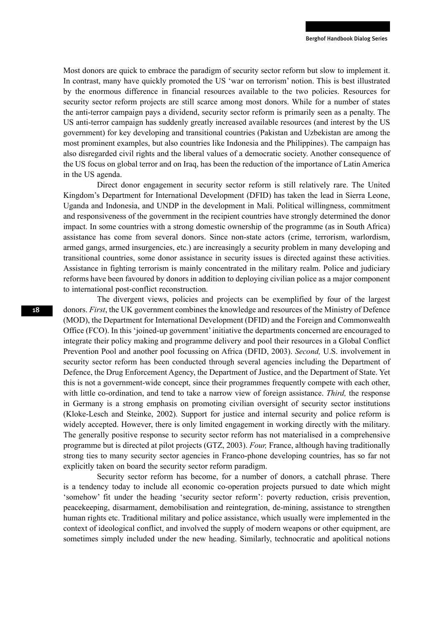Most donors are quick to embrace the paradigm of security sector reform but slow to implement it. In contrast, many have quickly promoted the US 'war on terrorism' notion. This is best illustrated by the enormous difference in financial resources available to the two policies. Resources for security sector reform projects are still scarce among most donors. While for a number of states the anti-terror campaign pays a dividend, security sector reform is primarily seen as a penalty. The US anti-terror campaign has suddenly greatly increased available resources (and interest by the US government) for key developing and transitional countries (Pakistan and Uzbekistan are among the most prominent examples, but also countries like Indonesia and the Philippines). The campaign has also disregarded civil rights and the liberal values of a democratic society. Another consequence of the US focus on global terror and on Iraq, has been the reduction of the importance of Latin America in the US agenda.

Direct donor engagement in security sector reform is still relatively rare. The United Kingdom's Department for International Development (DFID) has taken the lead in Sierra Leone, Uganda and Indonesia, and UNDP in the development in Mali. Political willingness, commitment and responsiveness of the government in the recipient countries have strongly determined the donor impact. In some countries with a strong domestic ownership of the programme (as in South Africa) assistance has come from several donors. Since non-state actors (crime, terrorism, warlordism, armed gangs, armed insurgencies, etc.) are increasingly a security problem in many developing and transitional countries, some donor assistance in security issues is directed against these activities. Assistance in fighting terrorism is mainly concentrated in the military realm. Police and judiciary reforms have been favoured by donors in addition to deploying civilian police as a major component to international post-conflict reconstruction.

The divergent views, policies and projects can be exemplified by four of the largest donors. *First*, the UK government combines the knowledge and resources of the Ministry of Defence (MOD), the Department for International Development (DFID) and the Foreign and Commonwealth Office (FCO). In this 'joined-up government' initiative the departments concerned are encouraged to integrate their policy making and programme delivery and pool their resources in a Global Conflict Prevention Pool and another pool focussing on Africa (DFID, 2003). *Second,* U.S. involvement in security sector reform has been conducted through several agencies including the Department of Defence, the Drug Enforcement Agency, the Department of Justice, and the Department of State. Yet this is not a government-wide concept, since their programmes frequently compete with each other, with little co-ordination, and tend to take a narrow view of foreign assistance. *Third,* the response in Germany is a strong emphasis on promoting civilian oversight of security sector institutions (Kloke-Lesch and Steinke, 2002). Support for justice and internal security and police reform is widely accepted. However, there is only limited engagement in working directly with the military. The generally positive response to security sector reform has not materialised in a comprehensive programme but is directed at pilot projects (GTZ, 2003). *Four,* France, although having traditionally strong ties to many security sector agencies in Franco-phone developing countries, has so far not explicitly taken on board the security sector reform paradigm.

Security sector reform has become, for a number of donors, a catchall phrase. There is a tendency today to include all economic co-operation projects pursued to date which might 'somehow' fit under the heading 'security sector reform': poverty reduction, crisis prevention, peacekeeping, disarmament, demobilisation and reintegration, de-mining, assistance to strengthen human rights etc. Traditional military and police assistance, which usually were implemented in the context of ideological conflict, and involved the supply of modern weapons or other equipment, are sometimes simply included under the new heading. Similarly, technocratic and apolitical notions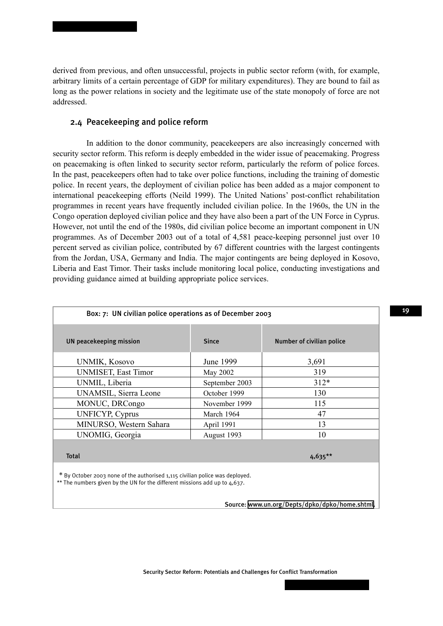derived from previous, and often unsuccessful, projects in public sector reform (with, for example, arbitrary limits of a certain percentage of GDP for military expenditures). They are bound to fail as long as the power relations in society and the legitimate use of the state monopoly of force are not addressed.

#### 2.4 Peacekeeping and police reform

In addition to the donor community, peacekeepers are also increasingly concerned with security sector reform. This reform is deeply embedded in the wider issue of peacemaking. Progress on peacemaking is often linked to security sector reform, particularly the reform of police forces. In the past, peacekeepers often had to take over police functions, including the training of domestic police. In recent years, the deployment of civilian police has been added as a major component to international peacekeeping efforts (Neild 1999). The United Nations' post-conflict rehabilitation programmes in recent years have frequently included civilian police. In the 1960s, the UN in the Congo operation deployed civilian police and they have also been a part of the UN Force in Cyprus. However, not until the end of the 1980s, did civilian police become an important component in UN programmes. As of December 2003 out of a total of 4,581 peace-keeping personnel just over 10 percent served as civilian police, contributed by 67 different countries with the largest contingents from the Jordan, USA, Germany and India. The major contingents are being deployed in Kosovo, Liberia and East Timor. Their tasks include monitoring local police, conducting investigations and providing guidance aimed at building appropriate police services.

| Box: 7: UN civilian police operations as of December 2003 |                |                           |  |
|-----------------------------------------------------------|----------------|---------------------------|--|
| <b>UN peacekeeping mission</b>                            | <b>Since</b>   | Number of civilian police |  |
| <b>UNMIK, Kosovo</b>                                      | June 1999      | 3,691                     |  |
| <b>UNMISET, East Timor</b>                                | May 2002       | 319                       |  |
| UNMIL, Liberia                                            | September 2003 | $312*$                    |  |
| UNAMSIL, Sierra Leone                                     | October 1999   | 130                       |  |
| MONUC, DRCongo                                            | November 1999  | 115                       |  |
| <b>UNFICYP, Cyprus</b>                                    | March 1964     | 47                        |  |
| MINURSO, Western Sahara                                   | April 1991     | 13                        |  |
| UNOMIG, Georgia                                           | August 1993    | 10                        |  |
| <b>Total</b>                                              |                | $4,635***$                |  |

' October 2003 none of the authorised 1.115 civilian police was deployed. \*\* The numbers given by the UN for the different missions add up to 4,637.

Source: [www.un.org/Depts/dpko/dpko/home.shtml](http://www.un.org/Depts/dpko/dpko/home.shtml).

Security Sector Reform: Potentials and Challenges for Conflict Transformation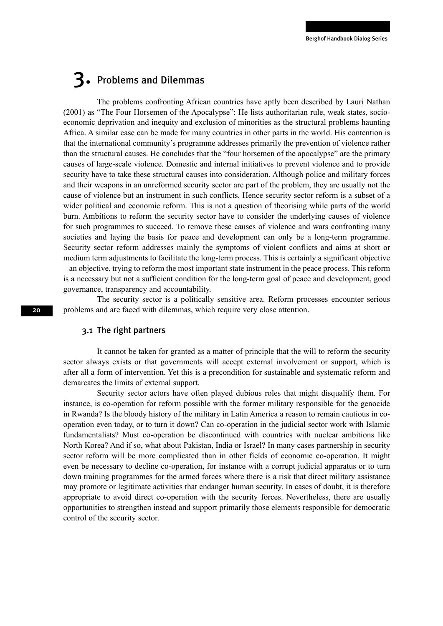## 3. Problems and Dilemmas

The problems confronting African countries have aptly been described by Lauri Nathan (2001) as "The Four Horsemen of the Apocalypse": He lists authoritarian rule, weak states, socioeconomic deprivation and inequity and exclusion of minorities as the structural problems haunting Africa. A similar case can be made for many countries in other parts in the world. His contention is that the international community's programme addresses primarily the prevention of violence rather than the structural causes. He concludes that the "four horsemen of the apocalypse" are the primary causes of large-scale violence. Domestic and internal initiatives to prevent violence and to provide security have to take these structural causes into consideration. Although police and military forces and their weapons in an unreformed security sector are part of the problem, they are usually not the cause of violence but an instrument in such conflicts. Hence security sector reform is a subset of a wider political and economic reform. This is not a question of theorising while parts of the world burn. Ambitions to reform the security sector have to consider the underlying causes of violence for such programmes to succeed. To remove these causes of violence and wars confronting many societies and laying the basis for peace and development can only be a long-term programme. Security sector reform addresses mainly the symptoms of violent conflicts and aims at short or medium term adjustments to facilitate the long-term process. This is certainly a significant objective – an objective, trying to reform the most important state instrument in the peace process. This reform is a necessary but not a sufficient condition for the long-term goal of peace and development, good governance, transparency and accountability.

The security sector is a politically sensitive area. Reform processes encounter serious problems and are faced with dilemmas, which require very close attention.

#### 3.1 The right partners

It cannot be taken for granted as a matter of principle that the will to reform the security sector always exists or that governments will accept external involvement or support, which is after all a form of intervention. Yet this is a precondition for sustainable and systematic reform and demarcates the limits of external support.

Security sector actors have often played dubious roles that might disqualify them. For instance, is co-operation for reform possible with the former military responsible for the genocide in Rwanda? Is the bloody history of the military in Latin America a reason to remain cautious in cooperation even today, or to turn it down? Can co-operation in the judicial sector work with Islamic fundamentalists? Must co-operation be discontinued with countries with nuclear ambitions like North Korea? And if so, what about Pakistan, India or Israel? In many cases partnership in security sector reform will be more complicated than in other fields of economic co-operation. It might even be necessary to decline co-operation, for instance with a corrupt judicial apparatus or to turn down training programmes for the armed forces where there is a risk that direct military assistance may promote or legitimate activities that endanger human security. In cases of doubt, it is therefore appropriate to avoid direct co-operation with the security forces. Nevertheless, there are usually opportunities to strengthen instead and support primarily those elements responsible for democratic control of the security sector.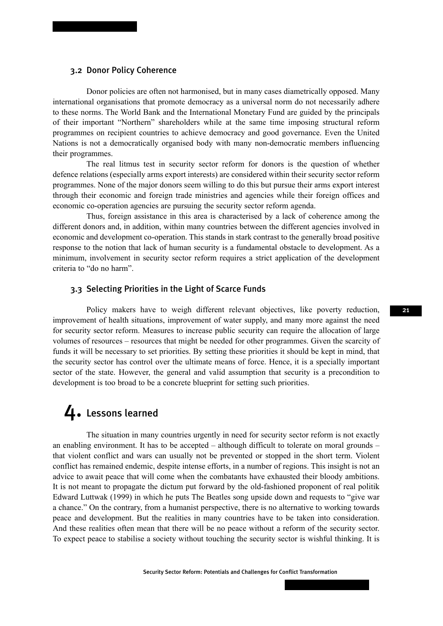#### 3.2 Donor Policy Coherence

Donor policies are often not harmonised, but in many cases diametrically opposed. Many international organisations that promote democracy as a universal norm do not necessarily adhere to these norms. The World Bank and the International Monetary Fund are guided by the principals of their important "Northern" shareholders while at the same time imposing structural reform programmes on recipient countries to achieve democracy and good governance. Even the United Nations is not a democratically organised body with many non-democratic members influencing their programmes.

The real litmus test in security sector reform for donors is the question of whether defence relations (especially arms export interests) are considered within their security sector reform programmes. None of the major donors seem willing to do this but pursue their arms export interest through their economic and foreign trade ministries and agencies while their foreign offices and economic co-operation agencies are pursuing the security sector reform agenda.

Thus, foreign assistance in this area is characterised by a lack of coherence among the different donors and, in addition, within many countries between the different agencies involved in economic and development co-operation. This stands in stark contrast to the generally broad positive response to the notion that lack of human security is a fundamental obstacle to development. As a minimum, involvement in security sector reform requires a strict application of the development criteria to "do no harm".

#### 3.3 Selecting Priorities in the Light of Scarce Funds

Policy makers have to weigh different relevant objectives, like poverty reduction, improvement of health situations, improvement of water supply, and many more against the need for security sector reform. Measures to increase public security can require the allocation of large volumes of resources – resources that might be needed for other programmes. Given the scarcity of funds it will be necessary to set priorities. By setting these priorities it should be kept in mind, that the security sector has control over the ultimate means of force. Hence, it is a specially important sector of the state. However, the general and valid assumption that security is a precondition to development is too broad to be a concrete blueprint for setting such priorities.

### 4. Lessons learned

The situation in many countries urgently in need for security sector reform is not exactly an enabling environment. It has to be accepted – although difficult to tolerate on moral grounds – that violent conflict and wars can usually not be prevented or stopped in the short term. Violent conflict has remained endemic, despite intense efforts, in a number of regions. This insight is not an advice to await peace that will come when the combatants have exhausted their bloody ambitions. It is not meant to propagate the dictum put forward by the old-fashioned proponent of real politik Edward Luttwak (1999) in which he puts The Beatles song upside down and requests to "give war a chance." On the contrary, from a humanist perspective, there is no alternative to working towards peace and development. But the realities in many countries have to be taken into consideration. And these realities often mean that there will be no peace without a reform of the security sector. To expect peace to stabilise a society without touching the security sector is wishful thinking. It is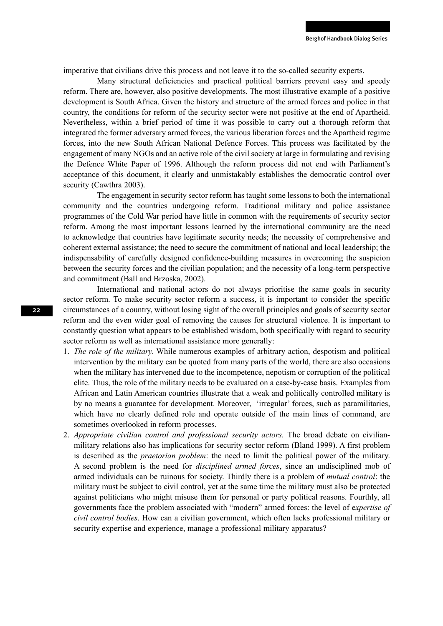imperative that civilians drive this process and not leave it to the so-called security experts.

Many structural deficiencies and practical political barriers prevent easy and speedy reform. There are, however, also positive developments. The most illustrative example of a positive development is South Africa. Given the history and structure of the armed forces and police in that country, the conditions for reform of the security sector were not positive at the end of Apartheid. Nevertheless, within a brief period of time it was possible to carry out a thorough reform that integrated the former adversary armed forces, the various liberation forces and the Apartheid regime forces, into the new South African National Defence Forces. This process was facilitated by the engagement of many NGOs and an active role of the civil society at large in formulating and revising the Defence White Paper of 1996. Although the reform process did not end with Parliament's acceptance of this document, it clearly and unmistakably establishes the democratic control over security (Cawthra 2003).

The engagement in security sector reform has taught some lessons to both the international community and the countries undergoing reform. Traditional military and police assistance programmes of the Cold War period have little in common with the requirements of security sector reform. Among the most important lessons learned by the international community are the need to acknowledge that countries have legitimate security needs; the necessity of comprehensive and coherent external assistance; the need to secure the commitment of national and local leadership; the indispensability of carefully designed confidence-building measures in overcoming the suspicion between the security forces and the civilian population; and the necessity of a long-term perspective and commitment (Ball and Brzoska, 2002).

International and national actors do not always prioritise the same goals in security sector reform. To make security sector reform a success, it is important to consider the specific circumstances of a country, without losing sight of the overall principles and goals of security sector reform and the even wider goal of removing the causes for structural violence. It is important to constantly question what appears to be established wisdom, both specifically with regard to security sector reform as well as international assistance more generally:

- 1. *The role of the military.* While numerous examples of arbitrary action, despotism and political intervention by the military can be quoted from many parts of the world, there are also occasions when the military has intervened due to the incompetence, nepotism or corruption of the political elite. Thus, the role of the military needs to be evaluated on a case-by-case basis. Examples from African and Latin American countries illustrate that a weak and politically controlled military is by no means a guarantee for development. Moreover, 'irregular' forces, such as paramilitaries, which have no clearly defined role and operate outside of the main lines of command, are sometimes overlooked in reform processes.
- 2. *Appropriate civilian control and professional security actors.* The broad debate on civilianmilitary relations also has implications for security sector reform (Bland 1999). A first problem is described as the *praetorian problem*: the need to limit the political power of the military. A second problem is the need for *disciplined armed forces*, since an undisciplined mob of armed individuals can be ruinous for society. Thirdly there is a problem of *mutual control*: the military must be subject to civil control, yet at the same time the military must also be protected against politicians who might misuse them for personal or party political reasons. Fourthly, all governments face the problem associated with "modern" armed forces: the level of e*xpertise of civil control bodies*. How can a civilian government, which often lacks professional military or security expertise and experience, manage a professional military apparatus?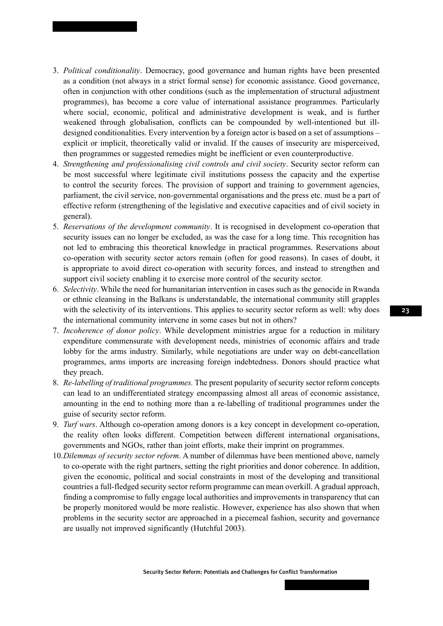- 3. *Political conditionality*. Democracy, good governance and human rights have been presented as a condition (not always in a strict formal sense) for economic assistance. Good governance, often in conjunction with other conditions (such as the implementation of structural adjustment programmes), has become a core value of international assistance programmes. Particularly where social, economic, political and administrative development is weak, and is further weakened through globalisation, conflicts can be compounded by well-intentioned but illdesigned conditionalities. Every intervention by a foreign actor is based on a set of assumptions – explicit or implicit, theoretically valid or invalid. If the causes of insecurity are misperceived, then programmes or suggested remedies might be inefficient or even counterproductive.
- 4. *Strengthening and professionalising civil controls and civil society*. Security sector reform can be most successful where legitimate civil institutions possess the capacity and the expertise to control the security forces. The provision of support and training to government agencies, parliament, the civil service, non-governmental organisations and the press etc. must be a part of effective reform (strengthening of the legislative and executive capacities and of civil society in general).
- 5. *Reservations of the development community*. It is recognised in development co-operation that security issues can no longer be excluded, as was the case for a long time. This recognition has not led to embracing this theoretical knowledge in practical programmes. Reservations about co-operation with security sector actors remain (often for good reasons). In cases of doubt, it is appropriate to avoid direct co-operation with security forces, and instead to strengthen and support civil society enabling it to exercise more control of the security sector.
- 6. *Selectivity*. While the need for humanitarian intervention in cases such as the genocide in Rwanda or ethnic cleansing in the Balkans is understandable, the international community still grapples with the selectivity of its interventions. This applies to security sector reform as well: why does the international community intervene in some cases but not in others?
- 7. *Incoherence of donor policy*. While development ministries argue for a reduction in military expenditure commensurate with development needs, ministries of economic affairs and trade lobby for the arms industry. Similarly, while negotiations are under way on debt-cancellation programmes, arms imports are increasing foreign indebtedness. Donors should practice what they preach.
- 8. *Re-labelling of traditional programmes.* The present popularity of security sector reform concepts can lead to an undifferentiated strategy encompassing almost all areas of economic assistance, amounting in the end to nothing more than a re-labelling of traditional programmes under the guise of security sector reform.
- 9. *Turf wars*. Although co-operation among donors is a key concept in development co-operation, the reality often looks different. Competition between different international organisations, governments and NGOs, rather than joint efforts, make their imprint on programmes.
- 10. *Dilemmas of security sector reform*. A number of dilemmas have been mentioned above, namely to co-operate with the right partners, setting the right priorities and donor coherence. In addition, given the economic, political and social constraints in most of the developing and transitional countries a full-fledged security sector reform programme can mean overkill. A gradual approach, finding a compromise to fully engage local authorities and improvements in transparency that can be properly monitored would be more realistic. However, experience has also shown that when problems in the security sector are approached in a piecemeal fashion, security and governance are usually not improved significantly (Hutchful 2003).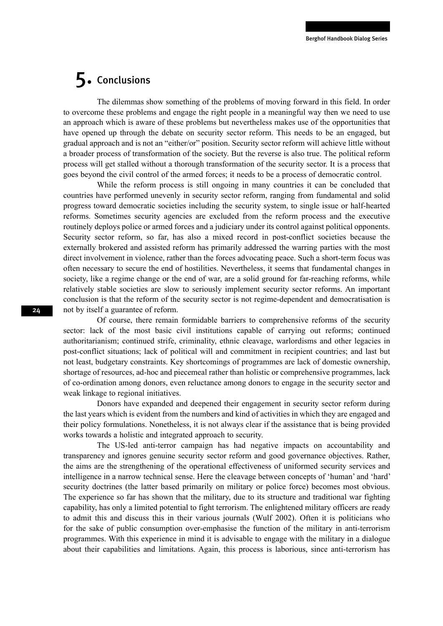## 5. Conclusions

The dilemmas show something of the problems of moving forward in this field. In order to overcome these problems and engage the right people in a meaningful way then we need to use an approach which is aware of these problems but nevertheless makes use of the opportunities that have opened up through the debate on security sector reform. This needs to be an engaged, but gradual approach and is not an "either/or" position. Security sector reform will achieve little without a broader process of transformation of the society. But the reverse is also true. The political reform process will get stalled without a thorough transformation of the security sector. It is a process that goes beyond the civil control of the armed forces; it needs to be a process of democratic control.

While the reform process is still ongoing in many countries it can be concluded that countries have performed unevenly in security sector reform, ranging from fundamental and solid progress toward democratic societies including the security system, to single issue or half-hearted reforms. Sometimes security agencies are excluded from the reform process and the executive routinely deploys police or armed forces and a judiciary under its control against political opponents. Security sector reform, so far, has also a mixed record in post-conflict societies because the externally brokered and assisted reform has primarily addressed the warring parties with the most direct involvement in violence, rather than the forces advocating peace. Such a short-term focus was often necessary to secure the end of hostilities. Nevertheless, it seems that fundamental changes in society, like a regime change or the end of war, are a solid ground for far-reaching reforms, while relatively stable societies are slow to seriously implement security sector reforms. An important conclusion is that the reform of the security sector is not regime-dependent and democratisation is not by itself a guarantee of reform.

Of course, there remain formidable barriers to comprehensive reforms of the security sector: lack of the most basic civil institutions capable of carrying out reforms; continued authoritarianism; continued strife, criminality, ethnic cleavage, warlordisms and other legacies in post-conflict situations; lack of political will and commitment in recipient countries; and last but not least, budgetary constraints. Key shortcomings of programmes are lack of domestic ownership, shortage of resources, ad-hoc and piecemeal rather than holistic or comprehensive programmes, lack of co-ordination among donors, even reluctance among donors to engage in the security sector and weak linkage to regional initiatives.

Donors have expanded and deepened their engagement in security sector reform during the last years which is evident from the numbers and kind of activities in which they are engaged and their policy formulations. Nonetheless, it is not always clear if the assistance that is being provided works towards a holistic and integrated approach to security.

The US-led anti-terror campaign has had negative impacts on accountability and transparency and ignores genuine security sector reform and good governance objectives. Rather, the aims are the strengthening of the operational effectiveness of uniformed security services and intelligence in a narrow technical sense. Here the cleavage between concepts of 'human' and 'hard' security doctrines (the latter based primarily on military or police force) becomes most obvious. The experience so far has shown that the military, due to its structure and traditional war fighting capability, has only a limited potential to fight terrorism. The enlightened military officers are ready to admit this and discuss this in their various journals (Wulf 2002). Often it is politicians who for the sake of public consumption over-emphasise the function of the military in anti-terrorism programmes. With this experience in mind it is advisable to engage with the military in a dialogue about their capabilities and limitations. Again, this process is laborious, since anti-terrorism has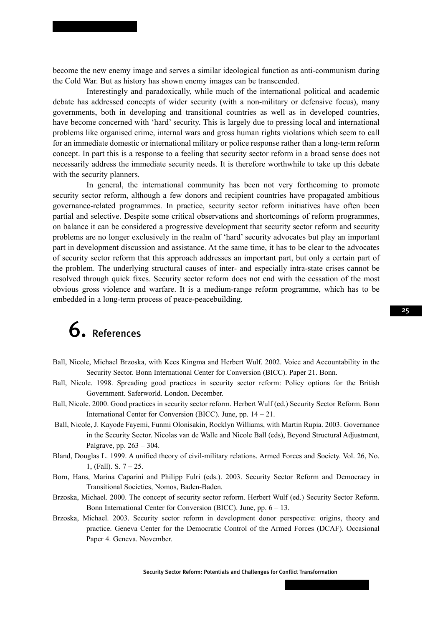become the new enemy image and serves a similar ideological function as anti-communism during the Cold War. But as history has shown enemy images can be transcended.

Interestingly and paradoxically, while much of the international political and academic debate has addressed concepts of wider security (with a non-military or defensive focus), many governments, both in developing and transitional countries as well as in developed countries, have become concerned with 'hard' security. This is largely due to pressing local and international problems like organised crime, internal wars and gross human rights violations which seem to call for an immediate domestic or international military or police response rather than a long-term reform concept. In part this is a response to a feeling that security sector reform in a broad sense does not necessarily address the immediate security needs. It is therefore worthwhile to take up this debate with the security planners.

In general, the international community has been not very forthcoming to promote security sector reform, although a few donors and recipient countries have propagated ambitious governance-related programmes. In practice, security sector reform initiatives have often been partial and selective. Despite some critical observations and shortcomings of reform programmes, on balance it can be considered a progressive development that security sector reform and security problems are no longer exclusively in the realm of 'hard' security advocates but play an important part in development discussion and assistance. At the same time, it has to be clear to the advocates of security sector reform that this approach addresses an important part, but only a certain part of the problem. The underlying structural causes of inter- and especially intra-state crises cannot be resolved through quick fixes. Security sector reform does not end with the cessation of the most obvious gross violence and warfare. It is a medium-range reform programme, which has to be embedded in a long-term process of peace-peacebuilding.

# 6. References

- Ball, Nicole, Michael Brzoska, with Kees Kingma and Herbert Wulf. 2002. Voice and Accountability in the Security Sector. Bonn International Center for Conversion (BICC). Paper 21. Bonn.
- Ball, Nicole. 1998. Spreading good practices in security sector reform: Policy options for the British Government. Saferworld. London. December.
- Ball, Nicole. 2000. Good practices in security sector reform. Herbert Wulf (ed.) Security Sector Reform. Bonn International Center for Conversion (BICC). June, pp. 14 – 21.
- Ball, Nicole, J. Kayode Fayemi, Funmi Olonisakin, Rocklyn Williams, with Martin Rupia. 2003. Governance in the Security Sector. Nicolas van de Walle and Nicole Ball (eds), Beyond Structural Adjustment, Palgrave, pp. 263 – 304.
- Bland, Douglas L. 1999. A unified theory of civil-military relations. Armed Forces and Society. Vol. 26, No. 1, (Fall). S. 7 – 25.
- Born, Hans, Marina Caparini and Philipp Fulri (eds.). 2003. Security Sector Reform and Democracy in Transitional Societies, Nomos, Baden-Baden.
- Brzoska, Michael. 2000. The concept of security sector reform. Herbert Wulf (ed.) Security Sector Reform. Bonn International Center for Conversion (BICC). June, pp. 6 – 13.
- Brzoska, Michael. 2003. Security sector reform in development donor perspective: origins, theory and practice. Geneva Center for the Democratic Control of the Armed Forces (DCAF). Occasional Paper 4. Geneva. November.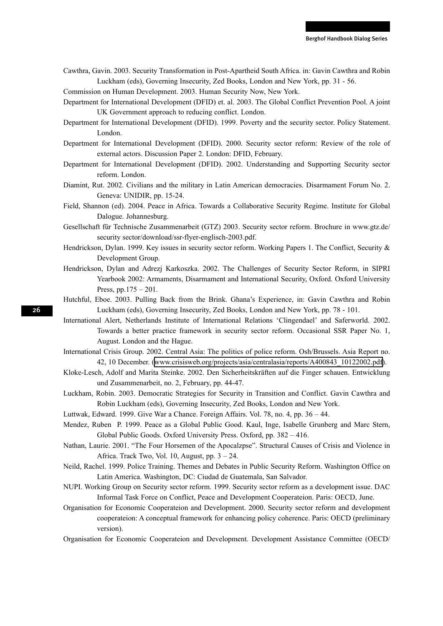Cawthra, Gavin. 2003. Security Transformation in Post-Apartheid South Africa. in: Gavin Cawthra and Robin Luckham (eds), Governing Insecurity, Zed Books, London and New York, pp. 31 - 56.

Commission on Human Development. 2003. Human Security Now, New York.

- Department for International Development (DFID) et. al. 2003. The Global Conflict Prevention Pool. A joint UK Government approach to reducing conflict. London.
- Department for International Development (DFID). 1999. Poverty and the security sector. Policy Statement. London.
- Department for International Development (DFID). 2000. Security sector reform: Review of the role of external actors. Discussion Paper 2. London: DFID, February.
- Department for International Development (DFID). 2002. Understanding and Supporting Security sector reform. London.
- Diamint, Rut. 2002. Civilians and the military in Latin American democracies. Disarmament Forum No. 2. Geneva: UNIDIR, pp. 15-24.
- Field, Shannon (ed). 2004. Peace in Africa. Towards a Collaborative Security Regime. Institute for Global Dalogue. Johannesburg.
- Gesellschaft für Technische Zusammenarbeit (GTZ) 2003. Security sector reform. Brochure in www.gtz.de/ security sector/download/ssr-flyer-englisch-2003.pdf.
- Hendrickson, Dylan. 1999. Key issues in security sector reform. Working Papers 1. The Conflict, Security & Development Group.
- Hendrickson, Dylan and Adrezj Karkoszka. 2002. The Challenges of Security Sector Reform, in SIPRI Yearbook 2002: Armaments, Disarmament and International Security, Oxford. Oxford University Press, pp.175 – 201.
- Hutchful, Eboe. 2003. Pulling Back from the Brink. Ghana's Experience, in: Gavin Cawthra and Robin Luckham (eds), Governing Insecurity, Zed Books, London and New York, pp. 78 - 101.
- International Alert, Netherlands Institute of International Relations 'Clingendael' and Saferworld. 2002. Towards a better practice framework in security sector reform. Occasional SSR Paper No. 1, August. London and the Hague.
- International Crisis Group. 2002. Central Asia: The politics of police reform. Osh/Brussels. Asia Report no. 42, 10 December. ([www.crisisweb.org/projects/asia/centralasia/reports/A400843\\_10122002.pdf](http://www.crisisweb.org/projects/asia/centralasia/reports/A400843_10122002.pdf)).
- Kloke-Lesch, Adolf and Marita Steinke. 2002. Den Sicherheitskräften auf die Finger schauen. Entwicklung und Zusammenarbeit, no. 2, February, pp. 44-47.
- Luckham, Robin. 2003. Democratic Strategies for Security in Transition and Conflict. Gavin Cawthra and Robin Luckham (eds), Governing Insecurity, Zed Books, London and New York.
- Luttwak, Edward. 1999. Give War a Chance. Foreign Affairs. Vol. 78, no. 4, pp. 36 44.
- Mendez, Ruben P. 1999. Peace as a Global Public Good. Kaul, Inge, Isabelle Grunberg and Marc Stern, Global Public Goods. Oxford University Press. Oxford, pp. 382 – 416.
- Nathan, Laurie. 2001. "The Four Horsemen of the Apocalzpse". Structural Causes of Crisis and Violence in Africa. Track Two, Vol. 10, August, pp. 3 – 24.
- Neild, Rachel. 1999. Police Training. Themes and Debates in Public Security Reform. Washington Office on Latin America. Washington, DC: Ciudad de Guatemala, San Salvador.
- NUPI. Working Group on Security sector reform. 1999. Security sector reform as a development issue. DAC Informal Task Force on Conflict, Peace and Development Cooperateion. Paris: OECD, June.
- Organisation for Economic Cooperateion and Development. 2000. Security sector reform and development cooperateion: A conceptual framework for enhancing policy coherence. Paris: OECD (preliminary version).
- Organisation for Economic Cooperateion and Development. Development Assistance Committee (OECD/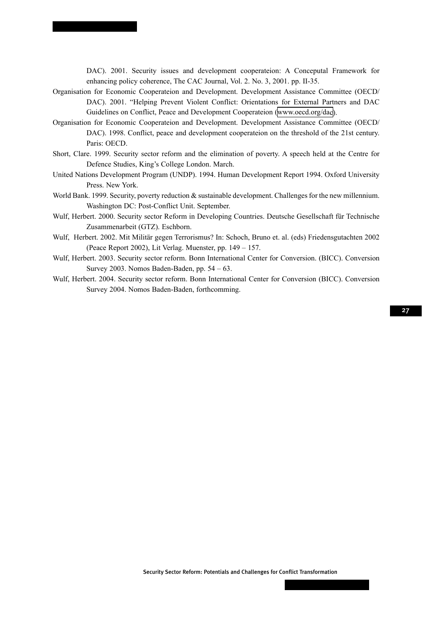DAC). 2001. Security issues and development cooperateion: A Conceputal Framework for enhancing policy coherence, The CAC Journal, Vol. 2. No. 3, 2001. pp. II-35.

- Organisation for Economic Cooperateion and Development. Development Assistance Committee (OECD/ DAC). 2001. "Helping Prevent Violent Conflict: Orientations for External Partners and DAC Guidelines on Conflict, Peace and Development Cooperateion ([www.oecd.org/dac\)](http://www.oecd.org/dac).
- Organisation for Economic Cooperateion and Development. Development Assistance Committee (OECD/ DAC). 1998. Conflict, peace and development cooperateion on the threshold of the 21st century. Paris: OECD.
- Short, Clare. 1999. Security sector reform and the elimination of poverty. A speech held at the Centre for Defence Studies, King's College London. March.
- United Nations Development Program (UNDP). 1994. Human Development Report 1994. Oxford University Press. New York.
- World Bank. 1999. Security, poverty reduction & sustainable development. Challenges for the new millennium. Washington DC: Post-Conflict Unit. September.
- Wulf, Herbert. 2000. Security sector Reform in Developing Countries. Deutsche Gesellschaft für Technische Zusammenarbeit (GTZ). Eschborn.
- Wulf, Herbert. 2002. Mit Militär gegen Terrorismus? In: Schoch, Bruno et. al. (eds) Friedensgutachten 2002 (Peace Report 2002), Lit Verlag. Muenster, pp. 149 – 157.
- Wulf, Herbert. 2003. Security sector reform. Bonn International Center for Conversion. (BICC). Conversion Survey 2003. Nomos Baden-Baden, pp. 54 – 63.
- Wulf, Herbert. 2004. Security sector reform. Bonn International Center for Conversion (BICC). Conversion Survey 2004. Nomos Baden-Baden, forthcomming.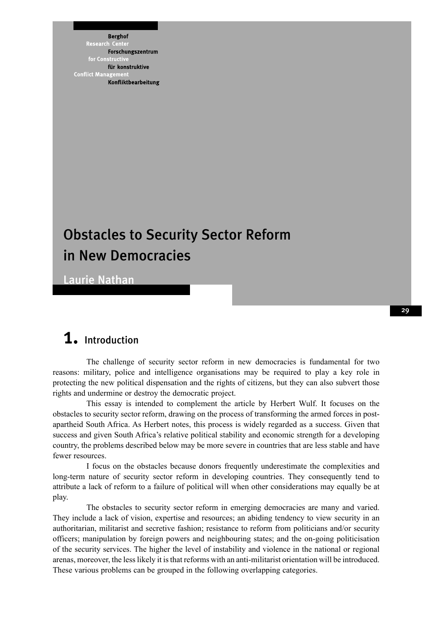**Berghof** Research Cent Forschungszentrum for Constri für konstruktive **Conflict Mana** Konfliktbearbeitung

## Obstacles to Security Sector Reform in New Democracies

Laurie Nathan

## 1. Introduction

The challenge of security sector reform in new democracies is fundamental for two reasons: military, police and intelligence organisations may be required to play a key role in protecting the new political dispensation and the rights of citizens, but they can also subvert those rights and undermine or destroy the democratic project.

This essay is intended to complement the article by Herbert Wulf. It focuses on the obstacles to security sector reform, drawing on the process of transforming the armed forces in postapartheid South Africa. As Herbert notes, this process is widely regarded as a success. Given that success and given South Africa's relative political stability and economic strength for a developing country, the problems described below may be more severe in countries that are less stable and have fewer resources.

I focus on the obstacles because donors frequently underestimate the complexities and long-term nature of security sector reform in developing countries. They consequently tend to attribute a lack of reform to a failure of political will when other considerations may equally be at play.

The obstacles to security sector reform in emerging democracies are many and varied. They include a lack of vision, expertise and resources; an abiding tendency to view security in an authoritarian, militarist and secretive fashion; resistance to reform from politicians and/or security officers; manipulation by foreign powers and neighbouring states; and the on-going politicisation of the security services. The higher the level of instability and violence in the national or regional arenas, moreover, the less likely it is that reforms with an anti-militarist orientation will be introduced. These various problems can be grouped in the following overlapping categories.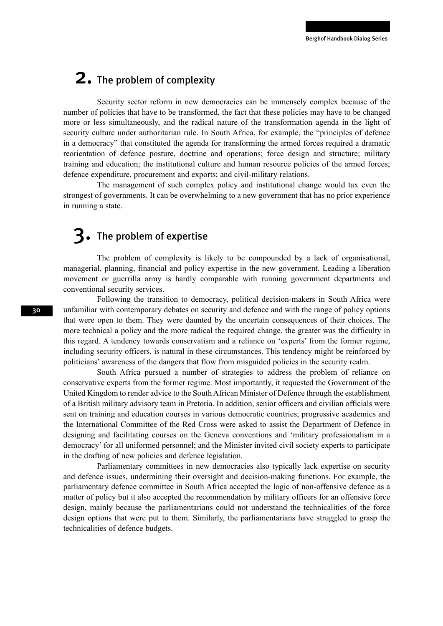## 2. The problem of complexity

Security sector reform in new democracies can be immensely complex because of the number of policies that have to be transformed, the fact that these policies may have to be changed more or less simultaneously, and the radical nature of the transformation agenda in the light of security culture under authoritarian rule. In South Africa, for example, the "principles of defence in a democracy" that constituted the agenda for transforming the armed forces required a dramatic reorientation of defence posture, doctrine and operations; force design and structure; military training and education; the institutional culture and human resource policies of the armed forces; defence expenditure, procurement and exports; and civil-military relations.

The management of such complex policy and institutional change would tax even the strongest of governments. It can be overwhelming to a new government that has no prior experience in running a state.

### 3. The problem of expertise

The problem of complexity is likely to be compounded by a lack of organisational, managerial, planning, financial and policy expertise in the new government. Leading a liberation movement or guerrilla army is hardly comparable with running government departments and conventional security services.

Following the transition to democracy, political decision-makers in South Africa were unfamiliar with contemporary debates on security and defence and with the range of policy options that were open to them. They were daunted by the uncertain consequences of their choices. The more technical a policy and the more radical the required change, the greater was the difficulty in this regard. A tendency towards conservatism and a reliance on 'experts' from the former regime, including security officers, is natural in these circumstances. This tendency might be reinforced by politicians' awareness of the dangers that flow from misguided policies in the security realm.

South Africa pursued a number of strategies to address the problem of reliance on conservative experts from the former regime. Most importantly, it requested the Government of the United Kingdom to render advice to the South African Minister of Defence through the establishment of a British military advisory team in Pretoria. In addition, senior officers and civilian officials were sent on training and education courses in various democratic countries; progressive academics and the International Committee of the Red Cross were asked to assist the Department of Defence in designing and facilitating courses on the Geneva conventions and 'military professionalism in a democracy' for all uniformed personnel; and the Minister invited civil society experts to participate in the drafting of new policies and defence legislation.

Parliamentary committees in new democracies also typically lack expertise on security and defence issues, undermining their oversight and decision-making functions. For example, the parliamentary defence committee in South Africa accepted the logic of non-offensive defence as a matter of policy but it also accepted the recommendation by military officers for an offensive force design, mainly because the parliamentarians could not understand the technicalities of the force design options that were put to them. Similarly, the parliamentarians have struggled to grasp the technicalities of defence budgets.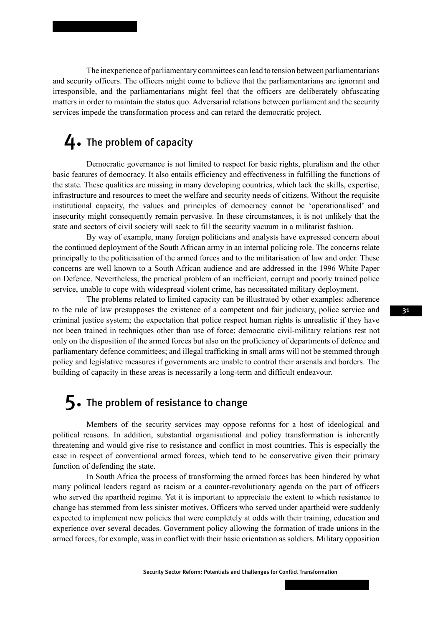The inexperience of parliamentary committees can lead to tension between parliamentarians and security officers. The officers might come to believe that the parliamentarians are ignorant and irresponsible, and the parliamentarians might feel that the officers are deliberately obfuscating matters in order to maintain the status quo. Adversarial relations between parliament and the security services impede the transformation process and can retard the democratic project.

### 4. The problem of capacity

Democratic governance is not limited to respect for basic rights, pluralism and the other basic features of democracy. It also entails efficiency and effectiveness in fulfilling the functions of the state. These qualities are missing in many developing countries, which lack the skills, expertise, infrastructure and resources to meet the welfare and security needs of citizens. Without the requisite institutional capacity, the values and principles of democracy cannot be 'operationalised' and insecurity might consequently remain pervasive. In these circumstances, it is not unlikely that the state and sectors of civil society will seek to fill the security vacuum in a militarist fashion.

By way of example, many foreign politicians and analysts have expressed concern about the continued deployment of the South African army in an internal policing role. The concerns relate principally to the politicisation of the armed forces and to the militarisation of law and order. These concerns are well known to a South African audience and are addressed in the 1996 White Paper on Defence. Nevertheless, the practical problem of an inefficient, corrupt and poorly trained police service, unable to cope with widespread violent crime, has necessitated military deployment.

The problems related to limited capacity can be illustrated by other examples: adherence to the rule of law presupposes the existence of a competent and fair judiciary, police service and criminal justice system; the expectation that police respect human rights is unrealistic if they have not been trained in techniques other than use of force; democratic civil-military relations rest not only on the disposition of the armed forces but also on the proficiency of departments of defence and parliamentary defence committees; and illegal trafficking in small arms will not be stemmed through policy and legislative measures if governments are unable to control their arsenals and borders. The building of capacity in these areas is necessarily a long-term and difficult endeavour.

## 5. The problem of resistance to change

Members of the security services may oppose reforms for a host of ideological and political reasons. In addition, substantial organisational and policy transformation is inherently threatening and would give rise to resistance and conflict in most countries. This is especially the case in respect of conventional armed forces, which tend to be conservative given their primary function of defending the state.

In South Africa the process of transforming the armed forces has been hindered by what many political leaders regard as racism or a counter-revolutionary agenda on the part of officers who served the apartheid regime. Yet it is important to appreciate the extent to which resistance to change has stemmed from less sinister motives. Officers who served under apartheid were suddenly expected to implement new policies that were completely at odds with their training, education and experience over several decades. Government policy allowing the formation of trade unions in the armed forces, for example, was in conflict with their basic orientation as soldiers. Military opposition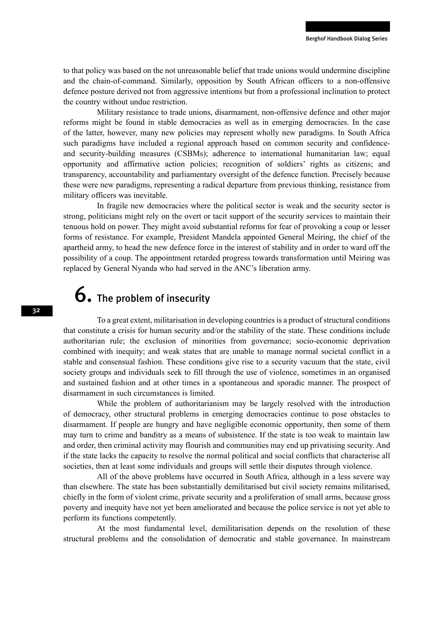to that policy was based on the not unreasonable belief that trade unions would undermine discipline and the chain-of-command. Similarly, opposition by South African officers to a non-offensive defence posture derived not from aggressive intentions but from a professional inclination to protect the country without undue restriction.

Military resistance to trade unions, disarmament, non-offensive defence and other major reforms might be found in stable democracies as well as in emerging democracies. In the case of the latter, however, many new policies may represent wholly new paradigms. In South Africa such paradigms have included a regional approach based on common security and confidenceand security-building measures (CSBMs); adherence to international humanitarian law; equal opportunity and affirmative action policies; recognition of soldiers' rights as citizens; and transparency, accountability and parliamentary oversight of the defence function. Precisely because these were new paradigms, representing a radical departure from previous thinking, resistance from military officers was inevitable.

In fragile new democracies where the political sector is weak and the security sector is strong, politicians might rely on the overt or tacit support of the security services to maintain their tenuous hold on power. They might avoid substantial reforms for fear of provoking a coup or lesser forms of resistance. For example, President Mandela appointed General Meiring, the chief of the apartheid army, to head the new defence force in the interest of stability and in order to ward off the possibility of a coup. The appointment retarded progress towards transformation until Meiring was replaced by General Nyanda who had served in the ANC's liberation army.

# $6.$  The problem of insecurity

To a great extent, militarisation in developing countries is a product of structural conditions that constitute a crisis for human security and/or the stability of the state. These conditions include authoritarian rule; the exclusion of minorities from governance; socio-economic deprivation combined with inequity; and weak states that are unable to manage normal societal conflict in a stable and consensual fashion. These conditions give rise to a security vacuum that the state, civil society groups and individuals seek to fill through the use of violence, sometimes in an organised and sustained fashion and at other times in a spontaneous and sporadic manner. The prospect of disarmament in such circumstances is limited.

While the problem of authoritarianism may be largely resolved with the introduction of democracy, other structural problems in emerging democracies continue to pose obstacles to disarmament. If people are hungry and have negligible economic opportunity, then some of them may turn to crime and banditry as a means of subsistence. If the state is too weak to maintain law and order, then criminal activity may flourish and communities may end up privatising security. And if the state lacks the capacity to resolve the normal political and social conflicts that characterise all societies, then at least some individuals and groups will settle their disputes through violence.

All of the above problems have occurred in South Africa, although in a less severe way than elsewhere. The state has been substantially demilitarised but civil society remains militarised, chiefly in the form of violent crime, private security and a proliferation of small arms, because gross poverty and inequity have not yet been ameliorated and because the police service is not yet able to perform its functions competently.

At the most fundamental level, demilitarisation depends on the resolution of these structural problems and the consolidation of democratic and stable governance. In mainstream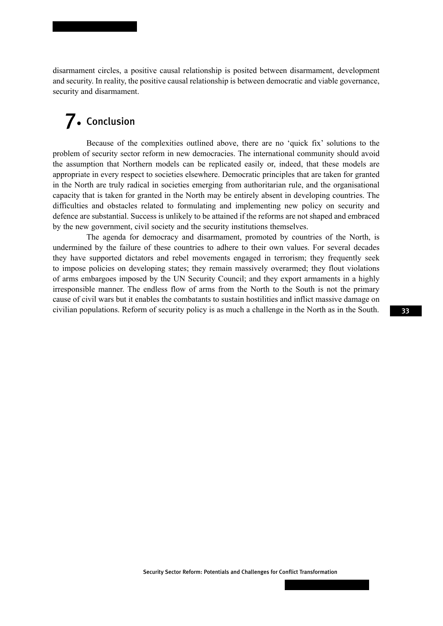disarmament circles, a positive causal relationship is posited between disarmament, development and security. In reality, the positive causal relationship is between democratic and viable governance, security and disarmament.

## 7. Conclusion

Because of the complexities outlined above, there are no 'quick fix' solutions to the problem of security sector reform in new democracies. The international community should avoid the assumption that Northern models can be replicated easily or, indeed, that these models are appropriate in every respect to societies elsewhere. Democratic principles that are taken for granted in the North are truly radical in societies emerging from authoritarian rule, and the organisational capacity that is taken for granted in the North may be entirely absent in developing countries. The difficulties and obstacles related to formulating and implementing new policy on security and defence are substantial. Success is unlikely to be attained if the reforms are not shaped and embraced by the new government, civil society and the security institutions themselves.

The agenda for democracy and disarmament, promoted by countries of the North, is undermined by the failure of these countries to adhere to their own values. For several decades they have supported dictators and rebel movements engaged in terrorism; they frequently seek to impose policies on developing states; they remain massively overarmed; they flout violations of arms embargoes imposed by the UN Security Council; and they export armaments in a highly irresponsible manner. The endless flow of arms from the North to the South is not the primary cause of civil wars but it enables the combatants to sustain hostilities and inflict massive damage on civilian populations. Reform of security policy is as much a challenge in the North as in the South.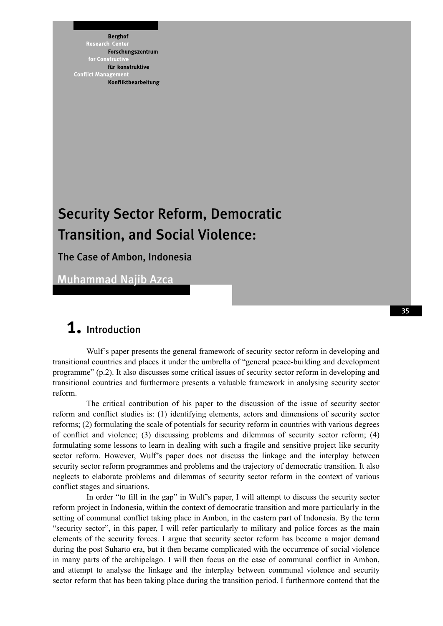**Berghof Research** Cent Forschungszentrum for Constri für konstruktive **Conflict Mana** Konfliktbearbeitung

## Security Sector Reform, Democratic Transition, and Social Violence:

### The Case of Ambon, Indonesia

Muhammad Najib Azca

### 1. Introduction

Wulf's paper presents the general framework of security sector reform in developing and transitional countries and places it under the umbrella of "general peace-building and development programme" (p.2). It also discusses some critical issues of security sector reform in developing and transitional countries and furthermore presents a valuable framework in analysing security sector reform.

The critical contribution of his paper to the discussion of the issue of security sector reform and conflict studies is: (1) identifying elements, actors and dimensions of security sector reforms; (2) formulating the scale of potentials for security reform in countries with various degrees of conflict and violence; (3) discussing problems and dilemmas of security sector reform; (4) formulating some lessons to learn in dealing with such a fragile and sensitive project like security sector reform. However, Wulf's paper does not discuss the linkage and the interplay between security sector reform programmes and problems and the trajectory of democratic transition. It also neglects to elaborate problems and dilemmas of security sector reform in the context of various conflict stages and situations.

In order "to fill in the gap" in Wulf's paper, I will attempt to discuss the security sector reform project in Indonesia, within the context of democratic transition and more particularly in the setting of communal conflict taking place in Ambon, in the eastern part of Indonesia. By the term "security sector", in this paper, I will refer particularly to military and police forces as the main elements of the security forces. I argue that security sector reform has become a major demand during the post Suharto era, but it then became complicated with the occurrence of social violence in many parts of the archipelago. I will then focus on the case of communal conflict in Ambon, and attempt to analyse the linkage and the interplay between communal violence and security sector reform that has been taking place during the transition period. I furthermore contend that the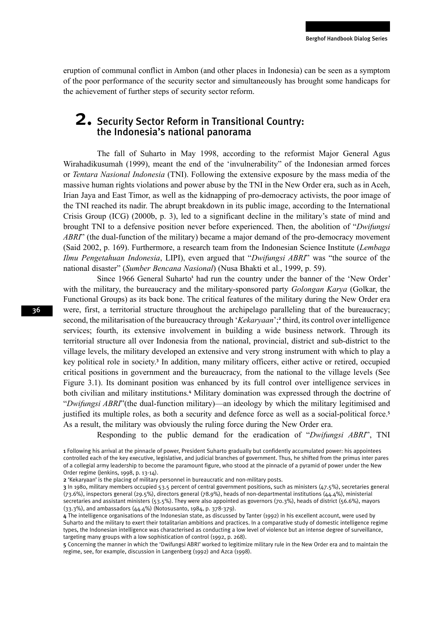eruption of communal conflict in Ambon (and other places in Indonesia) can be seen as a symptom of the poor performance of the security sector and simultaneously has brought some handicaps for the achievement of further steps of security sector reform.

### 2. Security Sector Reform in Transitional Country: the Indonesia's national panorama

The fall of Suharto in May 1998, according to the reformist Major General Agus Wirahadikusumah (1999), meant the end of the 'invulnerability" of the Indonesian armed forces or *Tentara Nasional Indonesia* (TNI). Following the extensive exposure by the mass media of the massive human rights violations and power abuse by the TNI in the New Order era, such as in Aceh, Irian Jaya and East Timor, as well as the kidnapping of pro-democracy activists, the poor image of the TNI reached its nadir. The abrupt breakdown in its public image, according to the International Crisis Group (ICG) (2000b, p. 3), led to a significant decline in the military's state of mind and brought TNI to a defensive position never before experienced. Then, the abolition of "*Dwifungsi ABRI*" (the dual-function of the military) became a major demand of the pro-democracy movement (Said 2002, p. 169). Furthermore, a research team from the Indonesian Science Institute (*Lembaga Ilmu Pengetahuan Indonesia*, LIPI), even argued that "*Dwifungsi ABRI*" was "the source of the national disaster" (*Sumber Bencana Nasional*) (Nusa Bhakti et al., 1999, p. 59).

Since 1966 General Suharto<sup>1</sup> had run the country under the banner of the 'New Order' with the military, the bureaucracy and the military-sponsored party *Golongan Karya* (Golkar, the Functional Groups) as its back bone. The critical features of the military during the New Order era were, first, a territorial structure throughout the archipelago paralleling that of the bureaucracy; second, the militarisation of the bureaucracy through '*Kekaryaan*';<sup>2</sup> third, its control over intelligence services; fourth, its extensive involvement in building a wide business network. Through its territorial structure all over Indonesia from the national, provincial, district and sub-district to the village levels, the military developed an extensive and very strong instrument with which to play a key political role in society.<sup>3</sup> In addition, many military officers, either active or retired, occupied critical positions in government and the bureaucracy, from the national to the village levels (See Figure 3.1). Its dominant position was enhanced by its full control over intelligence services in both civilian and military institutions.<sup>4</sup> Military domination was expressed through the doctrine of "*Dwifungsi ABRI*"(the dual-function military)—an ideology by which the military legitimised and justified its multiple roles, as both a security and defence force as well as a social-political force.<sup>5</sup> As a result, the military was obviously the ruling force during the New Order era.

Responding to the public demand for the eradication of "*Dwifungsi ABRI*", TNI

5 Concerning the manner in which the 'Dwifungsi ABRI' worked to legitimize military rule in the New Order era and to maintain the regime, see, for example, discussion in Langenberg (1992) and Azca (1998).

<sup>1</sup> Following his arrival at the pinnacle of power, President Suharto gradually but confidently accumulated power: his appointees controlled each of the key executive, legislative, and judicial branches of government. Thus, he shifted from the primus inter pares of a collegial army leadership to become the paramount figure, who stood at the pinnacle of a pyramid of power under the New Order regime (Jenkins, 1998, p. 13-14).

<sup>2</sup> 'Kekaryaan' is the placing of military personnel in bureaucratic and non-military posts.

<sup>3</sup> In 1980, military members occupied 53.5 percent of central government positions, such as ministers (47.5%), secretaries general (73.6%), inspectors general (29.5%), directors general (78.9%), heads of non-departmental institutions (44.4%), ministerial secretaries and assistant ministers (53.5%). They were also appointed as governors (70.3%), heads of district (56.6%), mayors (33.3%), and ambassadors (44.4%) (Notosusanto, 1984, p. 378-379).

<sup>4</sup> The intelligence organisations of the Indonesian state, as discussed by Tanter (1992) in his excellent account, were used by Suharto and the military to exert their totalitarian ambitions and practices. In a comparative study of domestic intelligence regime types, the Indonesian intelligence was characterised as conducting a low level of violence but an intense degree of surveillance, targeting many groups with a low sophistication of control (1992, p. 268).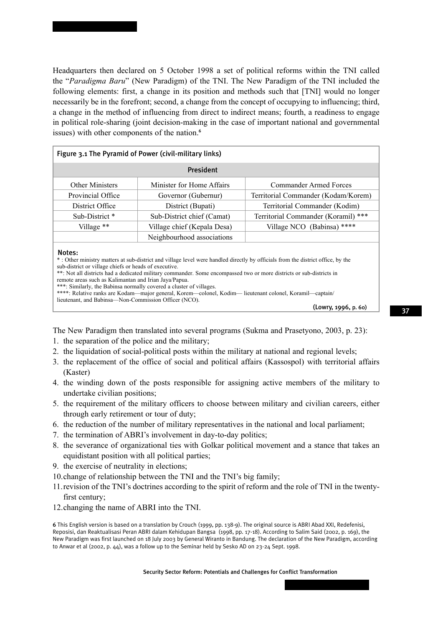Headquarters then declared on 5 October 1998 a set of political reforms within the TNI called the "*Paradigma Baru*" (New Paradigm) of the TNI. The New Paradigm of the TNI included the following elements: first, a change in its position and methods such that [TNI] would no longer necessarily be in the forefront; second, a change from the concept of occupying to influencing; third, a change in the method of influencing from direct to indirect means; fourth, a readiness to engage in political role-sharing (joint decision-making in the case of important national and governmental issues) with other components of the nation.<sup>6</sup>

| Figure 3.1 The Pyramid of Power (civil-military links) |                             |                                     |  |  |
|--------------------------------------------------------|-----------------------------|-------------------------------------|--|--|
| President                                              |                             |                                     |  |  |
| <b>Other Ministers</b>                                 | Minister for Home Affairs   | Commander Armed Forces              |  |  |
| Provincial Office                                      | Governor (Gubernur)         | Territorial Commander (Kodam/Korem) |  |  |
| District Office                                        | District (Bupati)           | Territorial Commander (Kodim)       |  |  |
| Sub-District <sup>*</sup>                              | Sub-District chief (Camat)  | Territorial Commander (Koramil) *** |  |  |
| Village **                                             | Village chief (Kepala Desa) | Village NCO (Babinsa) ****          |  |  |
|                                                        | Neighbourhood associations  |                                     |  |  |

#### Notes:

\* : Other ministry matters at sub-district and village level were handled directly by officials from the district office, by the sub-district or village chiefs or heads of executive.

\*\*: Not all districts had a dedicated military commander. Some encompassed two or more districts or sub-districts in remote areas such as Kalimantan and Irian Jaya/Papua.

\*\*\*: Similarly, the Babinsa normally covered a cluster of villages.

\*\*\*\*: Relative ranks are Kodam—major general, Korem—colonel, Kodim— lieutenant colonel, Koramil—captain/ lieutenant, and Babinsa—Non-Commission Officer (NCO).

(Lowry, 1996, p. 60)

The New Paradigm then translated into several programs (Sukma and Prasetyono, 2003, p. 23):

- 1. the separation of the police and the military;
- 2. the liquidation of social-political posts within the military at national and regional levels;
- 3. the replacement of the office of social and political affairs (Kassospol) with territorial affairs (Kaster)
- 4. the winding down of the posts responsible for assigning active members of the military to undertake civilian positions;
- 5. the requirement of the military officers to choose between military and civilian careers, either through early retirement or tour of duty;
- 6. the reduction of the number of military representatives in the national and local parliament;
- 7. the termination of ABRI's involvement in day-to-day politics;
- 8. the severance of organizational ties with Golkar political movement and a stance that takes an equidistant position with all political parties;
- 9. the exercise of neutrality in elections;
- 10. change of relationship between the TNI and the TNI's big family;
- 11. revision of the TNI's doctrines according to the spirit of reform and the role of TNI in the twentyfirst century;
- 12. changing the name of ABRI into the TNI.

6 This English version is based on a translation by Crouch (1999, pp. 138-9). The original source is ABRI Abad XXI, Redefenisi, Reposisi, dan Reaktualisasi Peran ABRI dalam Kehidupan Bangsa (1998, pp. 17-18). According to Salim Said (2002, p. 169), the New Paradigm was first launched on 18 July 2003 by General Wiranto in Bandung. The declaration of the New Paradigm, according to Anwar et al (2002, p. 44), was a follow up to the Seminar held by Sesko AD on 23-24 Sept. 1998.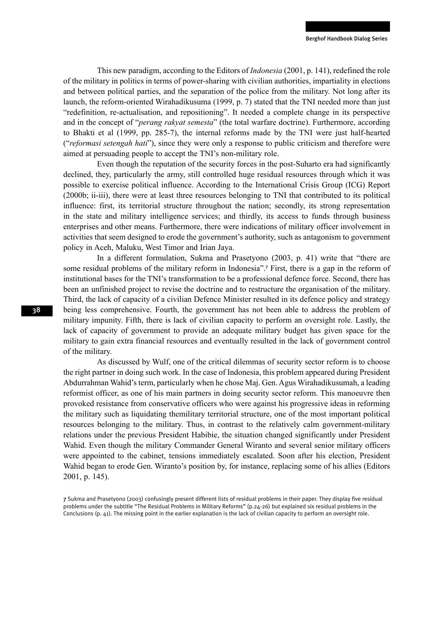This new paradigm, according to the Editors of *Indonesia* (2001, p. 141), redefined the role of the military in politics in terms of power-sharing with civilian authorities, impartiality in elections and between political parties, and the separation of the police from the military. Not long after its launch, the reform-oriented Wirahadikusuma (1999, p. 7) stated that the TNI needed more than just "redefinition, re-actualisation, and repositioning". It needed a complete change in its perspective and in the concept of "*perang rakyat semesta*" (the total warfare doctrine). Furthermore, according to Bhakti et al (1999, pp. 285-7), the internal reforms made by the TNI were just half-hearted ("*reformasi setengah hati*"), since they were only a response to public criticism and therefore were aimed at persuading people to accept the TNI's non-military role.

Even though the reputation of the security forces in the post-Suharto era had significantly declined, they, particularly the army, still controlled huge residual resources through which it was possible to exercise political influence. According to the International Crisis Group (ICG) Report (2000b; ii-iii), there were at least three resources belonging to TNI that contributed to its political influence: first, its territorial structure throughout the nation; secondly, its strong representation in the state and military intelligence services; and thirdly, its access to funds through business enterprises and other means. Furthermore, there were indications of military officer involvement in activities that seem designed to erode the government's authority, such as antagonism to government policy in Aceh, Maluku, West Timor and Irian Jaya.

In a different formulation, Sukma and Prasetyono (2003, p. 41) write that "there are some residual problems of the military reform in Indonesia".<sup>7</sup> First, there is a gap in the reform of institutional bases for the TNI's transformation to be a professional defence force. Second, there has been an unfinished project to revise the doctrine and to restructure the organisation of the military. Third, the lack of capacity of a civilian Defence Minister resulted in its defence policy and strategy being less comprehensive. Fourth, the government has not been able to address the problem of military impunity. Fifth, there is lack of civilian capacity to perform an oversight role. Lastly, the lack of capacity of government to provide an adequate military budget has given space for the military to gain extra financial resources and eventually resulted in the lack of government control of the military.

As discussed by Wulf, one of the critical dilemmas of security sector reform is to choose the right partner in doing such work. In the case of Indonesia, this problem appeared during President Abdurrahman Wahid's term, particularly when he chose Maj. Gen. Agus Wirahadikusumah, a leading reformist officer, as one of his main partners in doing security sector reform. This manoeuvre then provoked resistance from conservative officers who were against his progressive ideas in reforming the military such as liquidating themilitary territorial structure, one of the most important political resources belonging to the military. Thus, in contrast to the relatively calm government-military relations under the previous President Habibie, the situation changed significantly under President Wahid. Even though the military Commander General Wiranto and several senior military officers were appointed to the cabinet, tensions immediately escalated. Soon after his election, President Wahid began to erode Gen. Wiranto's position by, for instance, replacing some of his allies (Editors 2001, p. 145).

<sup>7</sup> Sukma and Prasetyono (2003) confusingly present different lists of residual problems in their paper. They display five residual problems under the subtitle "The Residual Problems in Military Reforms" (p.24-26) but explained six residual problems in the Conclusions (p. 41). The missing point in the earlier explanation is the lack of civilian capacity to perform an oversight role.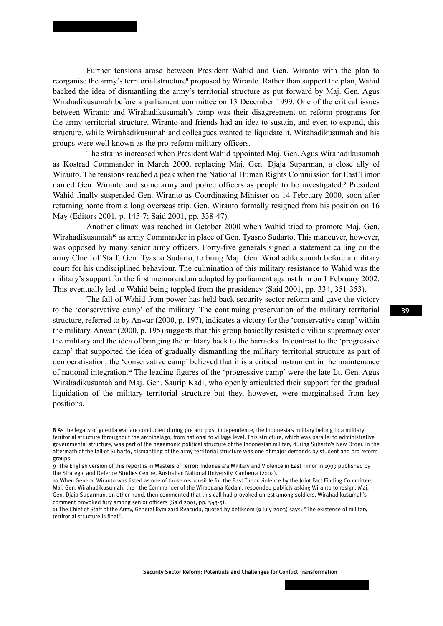Further tensions arose between President Wahid and Gen. Wiranto with the plan to reorganise the army's territorial structure<sup>8</sup> proposed by Wiranto. Rather than support the plan, Wahid backed the idea of dismantling the army's territorial structure as put forward by Maj. Gen. Agus Wirahadikusumah before a parliament committee on 13 December 1999. One of the critical issues between Wiranto and Wirahadikusumah's camp was their disagreement on reform programs for the army territorial structure. Wiranto and friends had an idea to sustain, and even to expand, this structure, while Wirahadikusumah and colleagues wanted to liquidate it. Wirahadikusumah and his groups were well known as the pro-reform military officers.

The strains increased when President Wahid appointed Maj. Gen. Agus Wirahadikusumah as Kostrad Commander in March 2000, replacing Maj. Gen. Djaja Suparman, a close ally of Wiranto. The tensions reached a peak when the National Human Rights Commission for East Timor named Gen. Wiranto and some army and police officers as people to be investigated.<sup>9</sup> President Wahid finally suspended Gen. Wiranto as Coordinating Minister on 14 February 2000, soon after returning home from a long overseas trip. Gen. Wiranto formally resigned from his position on 16 May (Editors 2001, p. 145-7; Said 2001, pp. 338-47).

Another climax was reached in October 2000 when Wahid tried to promote Maj. Gen. Wirahadikusumah<sup>10</sup> as army Commander in place of Gen. Tyasno Sudarto. This maneuver, however, was opposed by many senior army officers. Forty-five generals signed a statement calling on the army Chief of Staff, Gen. Tyasno Sudarto, to bring Maj. Gen. Wirahadikusumah before a military court for his undisciplined behaviour. The culmination of this military resistance to Wahid was the military's support for the first memorandum adopted by parliament against him on 1 February 2002. This eventually led to Wahid being toppled from the presidency (Said 2001, pp. 334, 351-353).

The fall of Wahid from power has held back security sector reform and gave the victory to the 'conservative camp' of the military. The continuing preservation of the military territorial structure, referred to by Anwar (2000, p. 197), indicates a victory for the 'conservative camp' within the military. Anwar (2000, p. 195) suggests that this group basically resisted civilian supremacy over the military and the idea of bringing the military back to the barracks. In contrast to the 'progressive camp' that supported the idea of gradually dismantling the military territorial structure as part of democratisation, the 'conservative camp' believed that it is a critical instrument in the maintenance of national integration.<sup>11</sup> The leading figures of the 'progressive camp' were the late Lt. Gen. Agus Wirahadikusumah and Maj. Gen. Saurip Kadi, who openly articulated their support for the gradual liquidation of the military territorial structure but they, however, were marginalised from key positions.

<sup>8</sup> As the legacy of guerilla warfare conducted during pre and post independence, the Indonesia's military belong to a military territorial structure throughout the archipelago, from national to village level. This structure, which was parallel to administrative governmental structure, was part of the hegemonic political structure of the Indonesian military during Suharto's New Order. In the aftermath of the fall of Suharto, dismantling of the army territorial structure was one of major demands by student and pro reform groups.

<sup>9</sup> The English version of this report is in Masters of Terror: Indonesia'a Military and Violence in East Timor in 1999 published by the Strategic and Defence Studies Centre, Australian National University, Canberra (2002).

<sup>10</sup> When General Wiranto was listed as one of those responsible for the East Timor violence by the Joint Fact Finding Committee, Maj. Gen. Wirahadikusumah, then the Commander of the Wirabuana Kodam, responded publicly asking Wiranto to resign. Maj. Gen. Djaja Suparman, on other hand, then commented that this call had provoked unrest among soldiers. Wirahadikusumah's comment provoked fury among senior officers (Said 2001, pp. 343-5).

<sup>11</sup> The Chief of Staff of the Army, General Rymizard Ryacudu, quoted by detikcom (9 July 2003) says: "The existence of military territorial structure is final".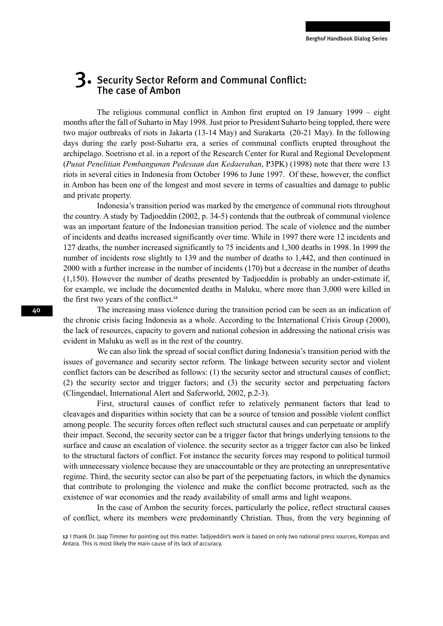### 3. Security Sector Reform and Communal Conflict: The case of Ambon

The religious communal conflict in Ambon first erupted on 19 January 1999 – eight months after the fall of Suharto in May 1998. Just prior to President Suharto being toppled, there were two major outbreaks of riots in Jakarta (13-14 May) and Surakarta (20-21 May). In the following days during the early post-Suharto era, a series of communal conflicts erupted throughout the archipelago. Soetrisno et al. in a report of the Research Center for Rural and Regional Development (*Pusat Penelitian Pembangunan Pedesaan dan Kedaerahan*, P3PK) (1998) note that there were 13 riots in several cities in Indonesia from October 1996 to June 1997. Of these, however, the conflict in Ambon has been one of the longest and most severe in terms of casualties and damage to public and private property.

Indonesia's transition period was marked by the emergence of communal riots throughout the country. A study by Tadjoeddin (2002, p. 34-5) contends that the outbreak of communal violence was an important feature of the Indonesian transition period. The scale of violence and the number of incidents and deaths increased significantly over time. While in 1997 there were 12 incidents and 127 deaths, the number increased significantly to 75 incidents and 1,300 deaths in 1998. In 1999 the number of incidents rose slightly to 139 and the number of deaths to 1,442, and then continued in 2000 with a further increase in the number of incidents (170) but a decrease in the number of deaths (1,150). However the number of deaths presented by Tadjoeddin is probably an under-estimate if, for example, we include the documented deaths in Maluku, where more than 3,000 were killed in the first two years of the conflict.<sup>12</sup>

The increasing mass violence during the transition period can be seen as an indication of the chronic crisis facing Indonesia as a whole. According to the International Crisis Group (2000), the lack of resources, capacity to govern and national cohesion in addressing the national crisis was evident in Maluku as well as in the rest of the country.

We can also link the spread of social conflict during Indonesia's transition period with the issues of governance and security sector reform. The linkage between security sector and violent conflict factors can be described as follows: (1) the security sector and structural causes of conflict; (2) the security sector and trigger factors; and (3) the security sector and perpetuating factors (Clingendael, International Alert and Saferworld, 2002, p.2-3).

First, structural causes of conflict refer to relatively permanent factors that lead to cleavages and disparities within society that can be a source of tension and possible violent conflict among people. The security forces often reflect such structural causes and can perpetuate or amplify their impact. Second, the security sector can be a trigger factor that brings underlying tensions to the surface and cause an escalation of violence. the security sector as a trigger factor can also be linked to the structural factors of conflict. For instance the security forces may respond to political turmoil with unnecessary violence because they are unaccountable or they are protecting an unrepresentative regime. Third, the security sector can also be part of the perpetuating factors, in which the dynamics that contribute to prolonging the violence and make the conflict become protracted, such as the existence of war economies and the ready availability of small arms and light weapons.

In the case of Ambon the security forces, particularly the police, reflect structural causes of conflict, where its members were predominantly Christian. Thus, from the very beginning of

<sup>12</sup> I thank Dr. Jaap Timmer for pointing out this matter. Tadjoeddin's work is based on only two national press sources, Kompas and Antara. This is most likely the main cause of its lack of accuracy.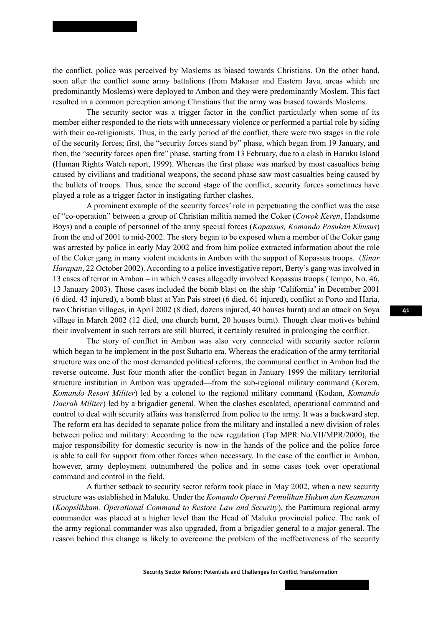the conflict, police was perceived by Moslems as biased towards Christians. On the other hand, soon after the conflict some army battalions (from Makasar and Eastern Java, areas which are predominantly Moslems) were deployed to Ambon and they were predominantly Moslem. This fact resulted in a common perception among Christians that the army was biased towards Moslems.

The security sector was a trigger factor in the conflict particularly when some of its member either responded to the riots with unnecessary violence or performed a partial role by siding with their co-religionists. Thus, in the early period of the conflict, there were two stages in the role of the security forces; first, the "security forces stand by" phase, which began from 19 January, and then, the "security forces open fire" phase, starting from 13 February, due to a clash in Haruku Island (Human Rights Watch report, 1999). Whereas the first phase was marked by most casualties being caused by civilians and traditional weapons, the second phase saw most casualties being caused by the bullets of troops. Thus, since the second stage of the conflict, security forces sometimes have played a role as a trigger factor in instigating further clashes.

A prominent example of the security forces' role in perpetuating the conflict was the case of "co-operation" between a group of Christian militia named the Coker (*Cowok Keren*, Handsome Boys) and a couple of personnel of the army special forces (*Kopassus, Komando Pasukan Khusus*) from the end of 2001 to mid-2002. The story began to be exposed when a member of the Coker gang was arrested by police in early May 2002 and from him police extracted information about the role of the Coker gang in many violent incidents in Ambon with the support of Kopassus troops. (*Sinar Harapan*, 22 October 2002). According to a police investigative report, Berty's gang was involved in 13 cases of terror in Ambon – in which 9 cases allegedly involved Kopassus troops (Tempo, No. 46, 13 January 2003). Those cases included the bomb blast on the ship 'California' in December 2001 (6 died, 43 injured), a bomb blast at Yan Pais street (6 died, 61 injured), conflict at Porto and Haria, two Christian villages, in April 2002 (8 died, dozens injured, 40 houses burnt) and an attack on Soya village in March 2002 (12 died, one church burnt, 20 houses burnt). Though clear motives behind their involvement in such terrors are still blurred, it certainly resulted in prolonging the conflict.

The story of conflict in Ambon was also very connected with security sector reform which began to be implement in the post Suharto era. Whereas the eradication of the army territorial structure was one of the most demanded political reforms, the communal conflict in Ambon had the reverse outcome. Just four month after the conflict began in January 1999 the military territorial structure institution in Ambon was upgraded—from the sub-regional military command (Korem, *Komando Resort Militer*) led by a colonel to the regional military command (Kodam, *Komando Daerah Militer*) led by a brigadier general. When the clashes escalated, operational command and control to deal with security affairs was transferred from police to the army. It was a backward step. The reform era has decided to separate police from the military and installed a new division of roles between police and military: According to the new regulation (Tap MPR No.VII/MPR/2000), the major responsibility for domestic security is now in the hands of the police and the police force is able to call for support from other forces when necessary. In the case of the conflict in Ambon, however, army deployment outnumbered the police and in some cases took over operational command and control in the field.

A further setback to security sector reform took place in May 2002, when a new security structure was established in Maluku. Under the *Komando Operasi Pemulihan Hukum dan Keamanan* (*Koopslihkam, Operational Command to Restore Law and Security*), the Pattimura regional army commander was placed at a higher level than the Head of Maluku provincial police. The rank of the army regional commander was also upgraded, from a brigadier general to a major general. The reason behind this change is likely to overcome the problem of the ineffectiveness of the security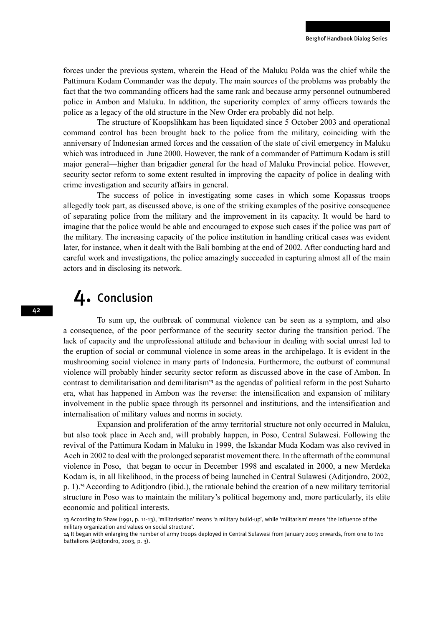forces under the previous system, wherein the Head of the Maluku Polda was the chief while the Pattimura Kodam Commander was the deputy. The main sources of the problems was probably the fact that the two commanding officers had the same rank and because army personnel outnumbered police in Ambon and Maluku. In addition, the superiority complex of army officers towards the police as a legacy of the old structure in the New Order era probably did not help.

The structure of Koopslihkam has been liquidated since 5 October 2003 and operational command control has been brought back to the police from the military, coinciding with the anniversary of Indonesian armed forces and the cessation of the state of civil emergency in Maluku which was introduced in June 2000. However, the rank of a commander of Pattimura Kodam is still major general—higher than brigadier general for the head of Maluku Provincial police. However, security sector reform to some extent resulted in improving the capacity of police in dealing with crime investigation and security affairs in general.

The success of police in investigating some cases in which some Kopassus troops allegedly took part, as discussed above, is one of the striking examples of the positive consequence of separating police from the military and the improvement in its capacity. It would be hard to imagine that the police would be able and encouraged to expose such cases if the police was part of the military. The increasing capacity of the police institution in handling critical cases was evident later, for instance, when it dealt with the Bali bombing at the end of 2002. After conducting hard and careful work and investigations, the police amazingly succeeded in capturing almost all of the main actors and in disclosing its network.

### 4. Conclusion

To sum up, the outbreak of communal violence can be seen as a symptom, and also a consequence, of the poor performance of the security sector during the transition period. The lack of capacity and the unprofessional attitude and behaviour in dealing with social unrest led to the eruption of social or communal violence in some areas in the archipelago. It is evident in the mushrooming social violence in many parts of Indonesia. Furthermore, the outburst of communal violence will probably hinder security sector reform as discussed above in the case of Ambon. In contrast to demilitarisation and demilitarism<sup>13</sup> as the agendas of political reform in the post Suharto era, what has happened in Ambon was the reverse: the intensification and expansion of military involvement in the public space through its personnel and institutions, and the intensification and internalisation of military values and norms in society.

Expansion and proliferation of the army territorial structure not only occurred in Maluku, but also took place in Aceh and, will probably happen, in Poso, Central Sulawesi. Following the revival of the Pattimura Kodam in Maluku in 1999, the Iskandar Muda Kodam was also revived in Aceh in 2002 to deal with the prolonged separatist movement there. In the aftermath of the communal violence in Poso, that began to occur in December 1998 and escalated in 2000, a new Merdeka Kodam is, in all likelihood, in the process of being launched in Central Sulawesi (Aditjondro, 2002, p. 1).<sup>14</sup>According to Aditjondro (ibid.), the rationale behind the creation of a new military territorial structure in Poso was to maintain the military's political hegemony and, more particularly, its elite economic and political interests.

<sup>13</sup> According to Shaw (1991, p. 11-13), 'militarisation' means 'a military build-up', while 'militarism' means 'the influence of the military organization and values on social structure'.

<sup>14</sup> It began with enlarging the number of army troops deployed in Central Sulawesi from January 2003 onwards, from one to two battalions (Adijtondro, 2003, p. 3).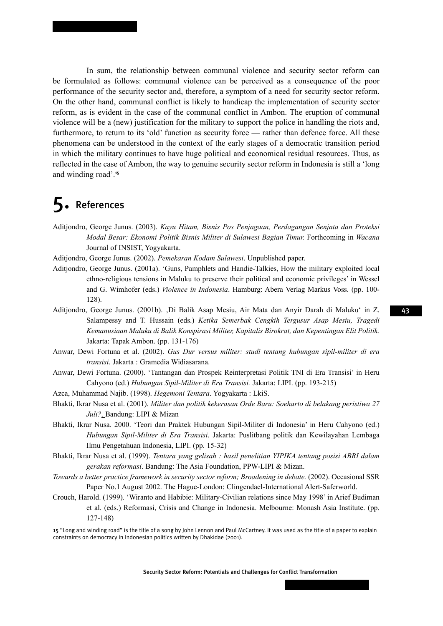In sum, the relationship between communal violence and security sector reform can be formulated as follows: communal violence can be perceived as a consequence of the poor performance of the security sector and, therefore, a symptom of a need for security sector reform. On the other hand, communal conflict is likely to handicap the implementation of security sector reform, as is evident in the case of the communal conflict in Ambon. The eruption of communal violence will be a (new) justification for the military to support the police in handling the riots and, furthermore, to return to its 'old' function as security force — rather than defence force. All these phenomena can be understood in the context of the early stages of a democratic transition period in which the military continues to have huge political and economical residual resources. Thus, as reflected in the case of Ambon, the way to genuine security sector reform in Indonesia is still a 'long and winding road'.<sup>15</sup>

# 5. References

- Aditjondro, George Junus. (2003). *Kayu Hitam, Bisnis Pos Penjagaan, Perdagangan Senjata dan Proteksi Modal Besar: Ekonomi Politik Bisnis Militer di Sulawesi Bagian Timur.* Forthcoming in *Wacana*  Journal of INSIST, Yogyakarta.
- Aditjondro, George Junus. (2002). *Pemekaran Kodam Sulawesi*. Unpublished paper.
- Aditjondro, George Junus. (2001a). 'Guns, Pamphlets and Handie-Talkies, How the military exploited local ethno-religious tensions in Maluku to preserve their political and economic privileges' in Wessel and G. Wimhofer (eds.) *Violence in Indonesia*. Hamburg: Abera Verlag Markus Voss. (pp. 100- 128).
- Aditjondro, George Junus. (2001b). 'Di Balik Asap Mesiu, Air Mata dan Anyir Darah di Maluku' in Z. Salampessy and T. Hussain (eds.) *Ketika Semerbak Cengkih Tergusur Asap Mesiu, Tragedi Kemanusiaan Maluku di Balik Konspirasi Militer, Kapitalis Birokrat, dan Kepentingan Elit Politik.* Jakarta: Tapak Ambon. (pp. 131-176)
- Anwar, Dewi Fortuna et al. (2002). *Gus Dur versus militer: studi tentang hubungan sipil-militer di era transisi*. Jakarta : Gramedia Widiasarana.
- Anwar, Dewi Fortuna. (2000). 'Tantangan dan Prospek Reinterpretasi Politik TNI di Era Transisi' in Heru Cahyono (ed.) *Hubungan Sipil-Militer di Era Transisi.* Jakarta: LIPI. (pp. 193-215)
- Azca, Muhammad Najib. (1998). *Hegemoni Tentara*. Yogyakarta : LkiS.
- Bhakti, Ikrar Nusa et al. (2001). *Militer dan politik kekerasan Orde Baru: Soeharto di belakang peristiwa 27 Juli?*. Bandung: LIPI & Mizan
- Bhakti, Ikrar Nusa. 2000. 'Teori dan Praktek Hubungan Sipil-Militer di Indonesia' in Heru Cahyono (ed.) *Hubungan Sipil-Militer di Era Transisi*. Jakarta: Puslitbang politik dan Kewilayahan Lembaga Ilmu Pengetahuan Indonesia, LIPI. (pp. 15-32)
- Bhakti, Ikrar Nusa et al. (1999). *Tentara yang gelisah : hasil penelitian YIPIKA tentang posisi ABRI dalam gerakan reformasi*. Bandung: The Asia Foundation, PPW-LIPI & Mizan.
- *Towards a better practice framework in security sector reform; Broadening in debate.* (2002). Occasional SSR Paper No.1 August 2002. The Hague-London: Clingendael-International Alert-Saferworld.
- Crouch, Harold. (1999). 'Wiranto and Habibie: Military-Civilian relations since May 1998' in Arief Budiman et al. (eds.) Reformasi, Crisis and Change in Indonesia. Melbourne: Monash Asia Institute. (pp. 127-148)

15 "Long and winding road" is the title of a song by John Lennon and Paul McCartney. It was used as the title of a paper to explain constraints on democracy in Indonesian politics written by Dhakidae (2001).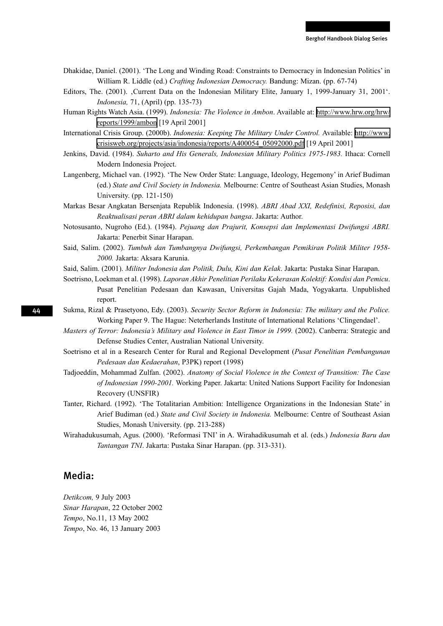- Dhakidae, Daniel. (2001). 'The Long and Winding Road: Constraints to Democracy in Indonesian Politics' in William R. Liddle (ed.) *Crafting Indonesian Democracy.* Bandung: Mizan. (pp. 67-74)
- Editors, The. (2001). 'Current Data on the Indonesian Military Elite, January 1, 1999-January 31, 2001'. *Indonesia,* 71, (April) (pp. 135-73)
- Human Rights Watch Asia. (1999). *Indonesia: The Violence in Ambon*. Available at: [http://www.hrw.org/hrw/](http://www.hrw.org/hrw/reports/1999/ambon) [reports/1999/ambon](http://www.hrw.org/hrw/reports/1999/ambon) [19 April 2001]
- International Crisis Group. (2000b). *Indonesia: Keeping The Military Under Control.* Available: [http://www.](http://www.crisisweb.org/projects/asia/indonesia/reports/A400054_05092000.pdf) [crisisweb.org/projects/asia/indonesia/reports/A400054\\_05092000.pdf](http://www.crisisweb.org/projects/asia/indonesia/reports/A400054_05092000.pdf) [19 April 2001]
- Jenkins, David. (1984). *Suharto and His Generals, Indonesian Military Politics 1975-1983.* Ithaca: Cornell Modern Indonesia Project.
- Langenberg, Michael van. (1992). 'The New Order State: Language, Ideology, Hegemony' in Arief Budiman (ed.) *State and Civil Society in Indonesia.* Melbourne: Centre of Southeast Asian Studies, Monash University. (pp. 121-150)
- Markas Besar Angkatan Bersenjata Republik Indonesia. (1998). *ABRI Abad XXI, Redefinisi, Reposisi, dan Reaktualisasi peran ABRI dalam kehidupan bangsa*. Jakarta: Author.
- Notosusanto, Nugroho (Ed.). (1984). *Pejuang dan Prajurit, Konsepsi dan Implementasi Dwifungsi ABRI.* Jakarta: Penerbit Sinar Harapan.
- Said, Salim. (2002). *Tumbuh dan Tumbangnya Dwifungsi, Perkembangan Pemikiran Politik Militer 1958- 2000.* Jakarta: Aksara Karunia.
- Said, Salim. (2001). *Militer Indonesia dan Politik, Dulu, Kini dan Kelak*. Jakarta: Pustaka Sinar Harapan.
- Soetrisno, Loekman et al. (1998). *Laporan Akhir Penelitian Perilaku Kekerasan Kolektif: Kondisi dan Pemicu*. Pusat Penelitian Pedesaan dan Kawasan, Universitas Gajah Mada, Yogyakarta. Unpublished report.
- Sukma, Rizal & Prasetyono, Edy. (2003). *Security Sector Reform in Indonesia: The military and the Police.*  Working Paper 9. The Hague: Neterherlands Institute of International Relations 'Clingendael'.
- *Masters of Terror: Indonesia's Military and Violence in East Timor in 1999.* (2002). Canberra: Strategic and Defense Studies Center, Australian National University.
- Soetrisno et al in a Research Center for Rural and Regional Development (*Pusat Penelitian Pembangunan Pedesaan dan Kedaerahan*, P3PK) report (1998)
- Tadjoeddin, Mohammad Zulfan. (2002). *Anatomy of Social Violence in the Context of Transition: The Case of Indonesian 1990-2001.* Working Paper. Jakarta: United Nations Support Facility for Indonesian Recovery (UNSFIR)
- Tanter, Richard. (1992). 'The Totalitarian Ambition: Intelligence Organizations in the Indonesian State' in Arief Budiman (ed.) *State and Civil Society in Indonesia.* Melbourne: Centre of Southeast Asian Studies, Monash University. (pp. 213-288)
- Wirahadukusumah, Agus. (2000). 'Reformasi TNI' in A. Wirahadikusumah et al. (eds.) *Indonesia Baru dan Tantangan TNI*. Jakarta: Pustaka Sinar Harapan. (pp. 313-331).

#### Media:

*Detikcom,* 9 July 2003 *Sinar Harapan*, 22 October 2002 *Tempo*, No.11, 13 May 2002 *Tempo*, No. 46, 13 January 2003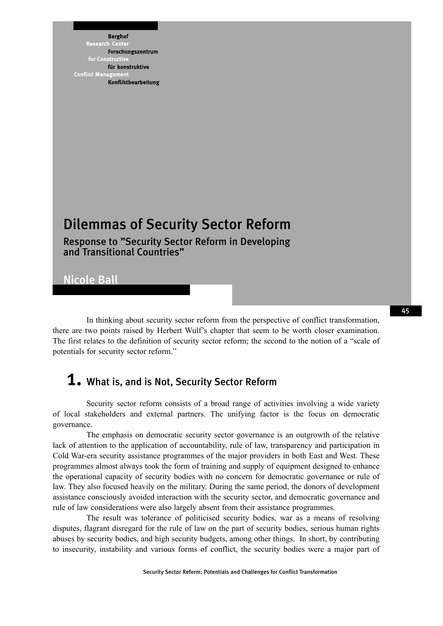**Berghof** Research Cent Forschungszentrum for Constri für konstruktive **Conflict Mana** Konfliktbearbeitung

# Dilemmas of Security Sector Reform

Response to "Security Sector Reform in Developing and Transitional Countries"

Nicole Ball

In thinking about security sector reform from the perspective of conflict transformation, there are two points raised by Herbert Wulf's chapter that seem to be worth closer examination. The first relates to the definition of security sector reform; the second to the notion of a "scale of potentials for security sector reform."

### 1. What is, and is Not, Security Sector Reform

Security sector reform consists of a broad range of activities involving a wide variety of local stakeholders and external partners. The unifying factor is the focus on democratic governance.

The emphasis on democratic security sector governance is an outgrowth of the relative lack of attention to the application of accountability, rule of law, transparency and participation in Cold War-era security assistance programmes of the major providers in both East and West. These programmes almost always took the form of training and supply of equipment designed to enhance the operational capacity of security bodies with no concern for democratic governance or rule of law. They also focused heavily on the military. During the same period, the donors of development assistance consciously avoided interaction with the security sector, and democratic governance and rule of law considerations were also largely absent from their assistance programmes.

The result was tolerance of politicised security bodies, war as a means of resolving disputes, flagrant disregard for the rule of law on the part of security bodies, serious human rights abuses by security bodies, and high security budgets, among other things. In short, by contributing to insecurity, instability and various forms of conflict, the security bodies were a major part of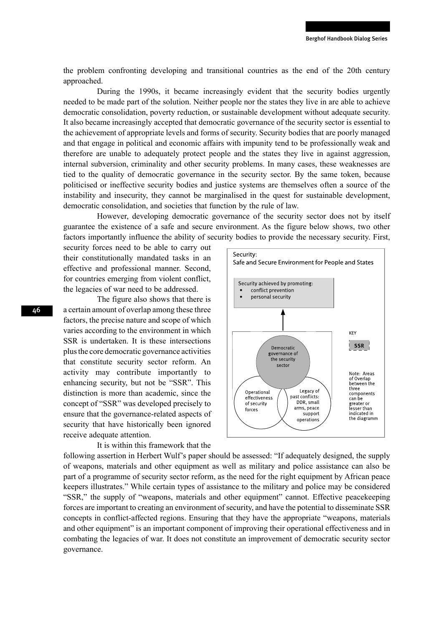the problem confronting developing and transitional countries as the end of the 20th century approached.

During the 1990s, it became increasingly evident that the security bodies urgently needed to be made part of the solution. Neither people nor the states they live in are able to achieve democratic consolidation, poverty reduction, or sustainable development without adequate security. It also became increasingly accepted that democratic governance of the security sector is essential to the achievement of appropriate levels and forms of security. Security bodies that are poorly managed and that engage in political and economic affairs with impunity tend to be professionally weak and therefore are unable to adequately protect people and the states they live in against aggression, internal subversion, criminality and other security problems. In many cases, these weaknesses are tied to the quality of democratic governance in the security sector. By the same token, because politicised or ineffective security bodies and justice systems are themselves often a source of the instability and insecurity, they cannot be marginalised in the quest for sustainable development, democratic consolidation, and societies that function by the rule of law.

However, developing democratic governance of the security sector does not by itself guarantee the existence of a safe and secure environment. As the figure below shows, two other factors importantly influence the ability of security bodies to provide the necessary security. First,

security forces need to be able to carry out their constitutionally mandated tasks in an effective and professional manner. Second, for countries emerging from violent conflict, the legacies of war need to be addressed.

The figure also shows that there is a certain amount of overlap among these three factors, the precise nature and scope of which varies according to the environment in which SSR is undertaken. It is these intersections plus the core democratic governance activities that constitute security sector reform. An activity may contribute importantly to enhancing security, but not be "SSR". This distinction is more than academic, since the concept of "SSR" was developed precisely to ensure that the governance-related aspects of security that have historically been ignored receive adequate attention.

#### It is within this framework that the



following assertion in Herbert Wulf's paper should be assessed: "If adequately designed, the supply of weapons, materials and other equipment as well as military and police assistance can also be part of a programme of security sector reform, as the need for the right equipment by African peace keepers illustrates." While certain types of assistance to the military and police may be considered "SSR," the supply of "weapons, materials and other equipment" cannot. Effective peacekeeping forces are important to creating an environment of security, and have the potential to disseminate SSR concepts in conflict-affected regions. Ensuring that they have the appropriate "weapons, materials and other equipment" is an important component of improving their operational effectiveness and in combating the legacies of war. It does not constitute an improvement of democratic security sector governance.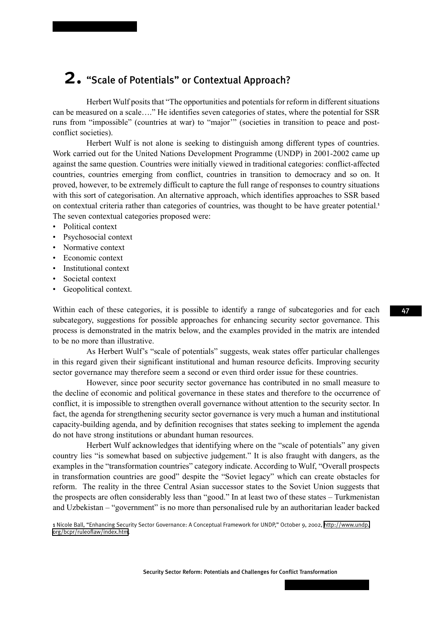## 2. "Scale of Potentials" or Contextual Approach?

Herbert Wulf posits that "The opportunities and potentials for reform in different situations can be measured on a scale…." He identifies seven categories of states, where the potential for SSR runs from "impossible" (countries at war) to "major'" (societies in transition to peace and postconflict societies).

Herbert Wulf is not alone is seeking to distinguish among different types of countries. Work carried out for the United Nations Development Programme (UNDP) in 2001-2002 came up against the same question. Countries were initially viewed in traditional categories: conflict-affected countries, countries emerging from conflict, countries in transition to democracy and so on. It proved, however, to be extremely difficult to capture the full range of responses to country situations with this sort of categorisation. An alternative approach, which identifies approaches to SSR based on contextual criteria rather than categories of countries, was thought to be have greater potential. 1 The seven contextual categories proposed were:

- Political context
- Psychosocial context
- Normative context
- Economic context
- Institutional context
- Societal context
- Geopolitical context.

Within each of these categories, it is possible to identify a range of subcategories and for each subcategory, suggestions for possible approaches for enhancing security sector governance. This process is demonstrated in the matrix below, and the examples provided in the matrix are intended to be no more than illustrative.

As Herbert Wulf's "scale of potentials" suggests, weak states offer particular challenges in this regard given their significant institutional and human resource deficits. Improving security sector governance may therefore seem a second or even third order issue for these countries.

However, since poor security sector governance has contributed in no small measure to the decline of economic and political governance in these states and therefore to the occurrence of conflict, it is impossible to strengthen overall governance without attention to the security sector. In fact, the agenda for strengthening security sector governance is very much a human and institutional capacity-building agenda, and by definition recognises that states seeking to implement the agenda do not have strong institutions or abundant human resources.

Herbert Wulf acknowledges that identifying where on the "scale of potentials" any given country lies "is somewhat based on subjective judgement." It is also fraught with dangers, as the examples in the "transformation countries" category indicate. According to Wulf, "Overall prospects in transformation countries are good" despite the "Soviet legacy" which can create obstacles for reform. The reality in the three Central Asian successor states to the Soviet Union suggests that the prospects are often considerably less than "good." In at least two of these states – Turkmenistan and Uzbekistan – "government" is no more than personalised rule by an authoritarian leader backed

Security Sector Reform: Potentials and Challenges for Conflict Transformation

<sup>1</sup> Nicole Ball, "Enhancing Security Sector Governance: A Conceptual Framework for UNDP," October 9, 2002, [http://www.undp.](https://mail3.bsos.umd.edu/servlet/webacc?merge=linkurl&Url.linkText=http://www.undp.org/bcpr/ruleoflaw/index.htm" \t "browserView) [org/bcpr/ruleoflaw/index.htm](https://mail3.bsos.umd.edu/servlet/webacc?merge=linkurl&Url.linkText=http://www.undp.org/bcpr/ruleoflaw/index.htm" \t "browserView).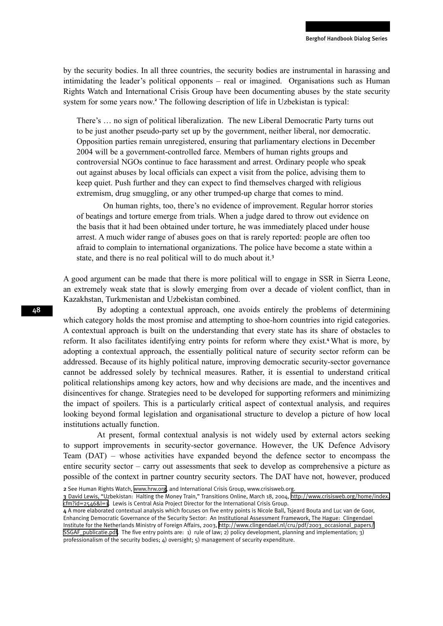by the security bodies. In all three countries, the security bodies are instrumental in harassing and intimidating the leader's political opponents – real or imagined. Organisations such as Human Rights Watch and International Crisis Group have been documenting abuses by the state security system for some years now.<sup>2</sup> The following description of life in Uzbekistan is typical:

There's … no sign of political liberalization. The new Liberal Democratic Party turns out to be just another pseudo-party set up by the government, neither liberal, nor democratic. Opposition parties remain unregistered, ensuring that parliamentary elections in December 2004 will be a government-controlled farce. Members of human rights groups and controversial NGOs continue to face harassment and arrest. Ordinary people who speak out against abuses by local officials can expect a visit from the police, advising them to keep quiet. Push further and they can expect to find themselves charged with religious extremism, drug smuggling, or any other trumped-up charge that comes to mind.

On human rights, too, there's no evidence of improvement. Regular horror stories of beatings and torture emerge from trials. When a judge dared to throw out evidence on the basis that it had been obtained under torture, he was immediately placed under house arrest. A much wider range of abuses goes on that is rarely reported: people are often too afraid to complain to international organizations. The police have become a state within a state, and there is no real political will to do much about it.<sup>3</sup>

A good argument can be made that there is more political will to engage in SSR in Sierra Leone, an extremely weak state that is slowly emerging from over a decade of violent conflict, than in Kazakhstan, Turkmenistan and Uzbekistan combined.

By adopting a contextual approach, one avoids entirely the problems of determining which category holds the most promise and attempting to shoe-horn countries into rigid categories. A contextual approach is built on the understanding that every state has its share of obstacles to reform. It also facilitates identifying entry points for reform where they exist.<sup>4</sup> What is more, by adopting a contextual approach, the essentially political nature of security sector reform can be addressed. Because of its highly political nature, improving democratic security-sector governance cannot be addressed solely by technical measures. Rather, it is essential to understand critical political relationships among key actors, how and why decisions are made, and the incentives and disincentives for change. Strategies need to be developed for supporting reformers and minimizing the impact of spoilers. This is a particularly critical aspect of contextual analysis, and requires looking beyond formal legislation and organisational structure to develop a picture of how local institutions actually function.

At present, formal contextual analysis is not widely used by external actors seeking to support improvements in security-sector governance. However, the UK Defence Advisory Team (DAT) – whose activities have expanded beyond the defence sector to encompass the entire security sector – carry out assessments that seek to develop as comprehensive a picture as possible of the context in partner country security sectors. The DAT have not, however, produced

2 See Human Rights Watch, [www.hrw.org,](http://www.hrw.org) and International Crisis Group, www.crisisweb.org.

3 David Lewis, "Uzbekistan: Halting the Money Train," Transitions Online, March 18, 2004, [http://www.crisisweb.org/home/index.](http://www.crisisweb.org/home/index.cfm?id=2546&l=1) [cfm?id=2546&l=1.](http://www.crisisweb.org/home/index.cfm?id=2546&l=1) Lewis is Central Asia Project Director for the International Crisis Group.

4 A more elaborated contextual analysis which focuses on five entry points is Nicole Ball, Tsjeard Bouta and Luc van de Goor, Enhancing Democratic Governance of the Security Sector: An Institutional Assessment Framework, The Hague: Clingendael Institute for the Netherlands Ministry of Foreign Affairs, 2003, [http://www.clingendael.nl/cru/pdf/2003\\_occasional\\_papers/](http://www.clingendael.nl/cru/pdf/2003_occasional_papers/SSGAF_publicatie.pdf) [SSGAF\\_publicatie.pdf.](http://www.clingendael.nl/cru/pdf/2003_occasional_papers/SSGAF_publicatie.pdf) The five entry points are: 1) rule of law; 2) policy development, planning and implementation; 3) professionalism of the security bodies; 4) oversight; 5) management of security expenditure.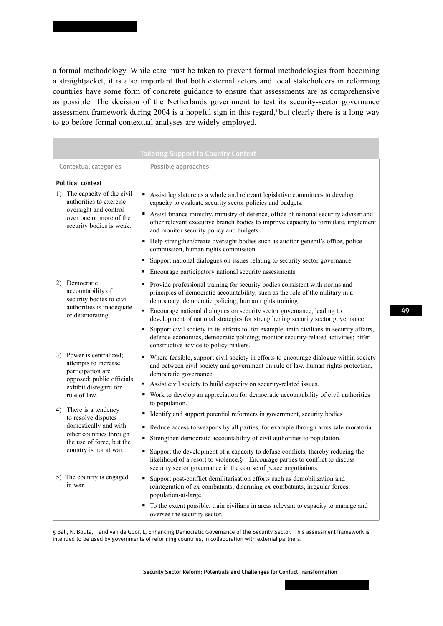a formal methodology. While care must be taken to prevent formal methodologies from becoming a straightjacket, it is also important that both external actors and local stakeholders in reforming countries have some form of concrete guidance to ensure that assessments are as comprehensive as possible. The decision of the Netherlands government to test its security-sector governance assessment framework during 2004 is a hopeful sign in this regard,<sup>5</sup> but clearly there is a long way to go before formal contextual analyses are widely employed.

|                                                                                                                                                          | <b>Tailoring Support to Country Context</b>                                                                                                                                                                                                                                                                                                                                                                                                                                                                                                                                           |
|----------------------------------------------------------------------------------------------------------------------------------------------------------|---------------------------------------------------------------------------------------------------------------------------------------------------------------------------------------------------------------------------------------------------------------------------------------------------------------------------------------------------------------------------------------------------------------------------------------------------------------------------------------------------------------------------------------------------------------------------------------|
| <b>Contextual categories</b>                                                                                                                             | Possible approaches                                                                                                                                                                                                                                                                                                                                                                                                                                                                                                                                                                   |
| <b>Political context</b>                                                                                                                                 |                                                                                                                                                                                                                                                                                                                                                                                                                                                                                                                                                                                       |
| 1) The capacity of the civil<br>authorities to exercise<br>oversight and control<br>over one or more of the<br>security bodies is weak.                  | • Assist legislature as a whole and relevant legislative committees to develop<br>capacity to evaluate security sector policies and budgets.<br>Assist finance ministry, ministry of defence, office of national security adviser and<br>other relevant executive branch bodies to improve capacity to formulate, implement<br>and monitor security policy and budgets.<br>• Help strengthen/create oversight bodies such as auditor general's office, police<br>commission, human rights commission.<br>Support national dialogues on issues relating to security sector governance. |
|                                                                                                                                                          | Encourage participatory national security assessments.                                                                                                                                                                                                                                                                                                                                                                                                                                                                                                                                |
| 2) Democratic<br>accountability of<br>security bodies to civil<br>authorities is inadequate<br>or deteriorating.                                         | Provide professional training for security bodies consistent with norms and<br>٠<br>principles of democratic accountability, such as the role of the military in a<br>democracy, democratic policing, human rights training.                                                                                                                                                                                                                                                                                                                                                          |
|                                                                                                                                                          | Encourage national dialogues on security sector governance, leading to<br>development of national strategies for strengthening security sector governance.<br>Support civil society in its efforts to, for example, train civilians in security affairs,<br>$\blacksquare$<br>defence economics, democratic policing; monitor security-related activities; offer<br>constructive advice to policy makers.                                                                                                                                                                             |
| 3) Power is centralized:<br>attempts to increase<br>participation are<br>opposed; public officials<br>exhibit disregard for<br>rule of law.              | • Where feasible, support civil society in efforts to encourage dialogue within society<br>and between civil society and government on rule of law, human rights protection,<br>democratic governance.<br>Assist civil society to build capacity on security-related issues.<br>• Work to develop an appreciation for democratic accountability of civil authorities                                                                                                                                                                                                                  |
| 4) There is a tendency<br>to resolve disputes<br>domestically and with<br>other countries through<br>the use of force, but the<br>country is not at war. | to population.                                                                                                                                                                                                                                                                                                                                                                                                                                                                                                                                                                        |
|                                                                                                                                                          | Identify and support potential reformers in government, security bodies<br>$\blacksquare$                                                                                                                                                                                                                                                                                                                                                                                                                                                                                             |
|                                                                                                                                                          | Reduce access to weapons by all parties, for example through arms sale moratoria.                                                                                                                                                                                                                                                                                                                                                                                                                                                                                                     |
|                                                                                                                                                          | Strengthen democratic accountability of civil authorities to population.<br>Support the development of a capacity to defuse conflicts, thereby reducing the<br>$\blacksquare$<br>likelihood of a resort to violence.§ Encourage parties to conflict to discuss<br>security sector governance in the course of peace negotiations.                                                                                                                                                                                                                                                     |
| 5) The country is engaged<br>in war.                                                                                                                     | • Support post-conflict demilitarisation efforts such as demobilization and<br>reintegration of ex-combatants, disarming ex-combatants, irregular forces,<br>population-at-large.                                                                                                                                                                                                                                                                                                                                                                                                     |
|                                                                                                                                                          | To the extent possible, train civilians in areas relevant to capacity to manage and<br>٠<br>oversee the security sector.                                                                                                                                                                                                                                                                                                                                                                                                                                                              |

5 Ball, N. Bouta, T and van de Goor, L, Enhancing Democratic Governance of the Security Sector. This assessment framework is intended to be used by governments of reforming countries, in collaboration with external partners.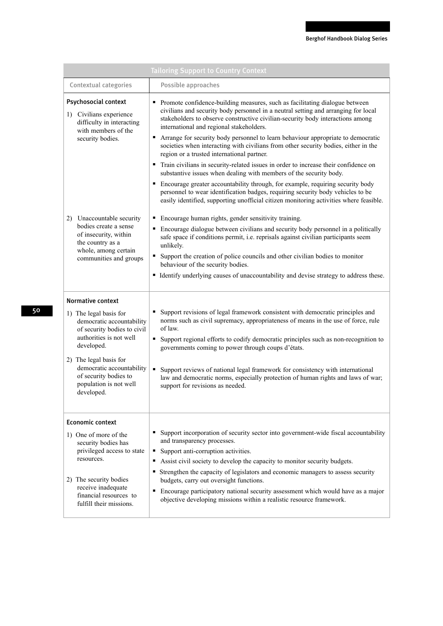| <b>Tailoring Support to Country Context</b>                                                                                                                                                                              |                                                                                                                                                                                                                                                                                                                                                                                                                                                                                                                                                                                                                                                                                                                                                                                                                                                                                                                                                                    |  |
|--------------------------------------------------------------------------------------------------------------------------------------------------------------------------------------------------------------------------|--------------------------------------------------------------------------------------------------------------------------------------------------------------------------------------------------------------------------------------------------------------------------------------------------------------------------------------------------------------------------------------------------------------------------------------------------------------------------------------------------------------------------------------------------------------------------------------------------------------------------------------------------------------------------------------------------------------------------------------------------------------------------------------------------------------------------------------------------------------------------------------------------------------------------------------------------------------------|--|
| <b>Contextual categories</b>                                                                                                                                                                                             | Possible approaches                                                                                                                                                                                                                                                                                                                                                                                                                                                                                                                                                                                                                                                                                                                                                                                                                                                                                                                                                |  |
| Psychosocial context<br>1) Civilians experience<br>difficulty in interacting<br>with members of the<br>security bodies.                                                                                                  | • Promote confidence-building measures, such as facilitating dialogue between<br>civilians and security body personnel in a neutral setting and arranging for local<br>stakeholders to observe constructive civilian-security body interactions among<br>international and regional stakeholders.<br>Arrange for security body personnel to learn behaviour appropriate to democratic<br>٠<br>societies when interacting with civilians from other security bodies, either in the<br>region or a trusted international partner.<br>• Train civilians in security-related issues in order to increase their confidence on<br>substantive issues when dealing with members of the security body.<br>Encourage greater accountability through, for example, requiring security body<br>٠<br>personnel to wear identification badges, requiring security body vehicles to be<br>easily identified, supporting unofficial citizen monitoring activities where feasible. |  |
| Unaccountable security<br>2)<br>bodies create a sense<br>of insecurity, within<br>the country as a<br>whole, among certain<br>communities and groups                                                                     | Encourage human rights, gender sensitivity training.<br>٠<br>Encourage dialogue between civilians and security body personnel in a politically<br>safe space if conditions permit, i.e. reprisals against civilian participants seem<br>unlikely.<br>Support the creation of police councils and other civilian bodies to monitor<br>٠<br>behaviour of the security bodies.<br>• Identify underlying causes of unaccountability and devise strategy to address these.                                                                                                                                                                                                                                                                                                                                                                                                                                                                                              |  |
| <b>Normative context</b>                                                                                                                                                                                                 |                                                                                                                                                                                                                                                                                                                                                                                                                                                                                                                                                                                                                                                                                                                                                                                                                                                                                                                                                                    |  |
| 1) The legal basis for<br>democratic accountability<br>of security bodies to civil<br>authorities is not well<br>developed.                                                                                              | Support revisions of legal framework consistent with democratic principles and<br>٠<br>norms such as civil supremacy, appropriateness of means in the use of force, rule<br>of law.<br>• Support regional efforts to codify democratic principles such as non-recognition to<br>governments coming to power through coups d'états.                                                                                                                                                                                                                                                                                                                                                                                                                                                                                                                                                                                                                                 |  |
| 2) The legal basis for<br>democratic accountability<br>of security bodies to<br>population is not well<br>developed.                                                                                                     | Support reviews of national legal framework for consistency with international<br>law and democratic norms, especially protection of human rights and laws of war;<br>support for revisions as needed.                                                                                                                                                                                                                                                                                                                                                                                                                                                                                                                                                                                                                                                                                                                                                             |  |
| <b>Economic context</b><br>1) One of more of the<br>security bodies has<br>privileged access to state<br>resources.<br>2) The security bodies<br>receive inadequate<br>financial resources to<br>fulfill their missions. | Support incorporation of security sector into government-wide fiscal accountability<br>٠<br>and transparency processes.<br>Support anti-corruption activities.<br>٠<br>Assist civil society to develop the capacity to monitor security budgets.<br>п<br>Strengthen the capacity of legislators and economic managers to assess security<br>budgets, carry out oversight functions.<br>Encourage participatory national security assessment which would have as a major<br>٠<br>objective developing missions within a realistic resource framework.                                                                                                                                                                                                                                                                                                                                                                                                               |  |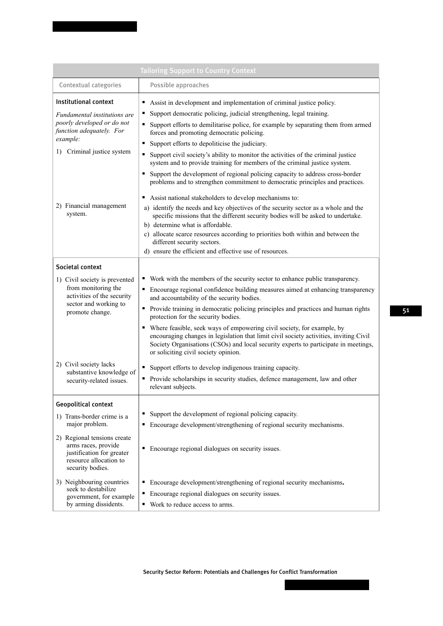|                                                                                                                                                                                                 | <b>Tailoring Support to Country Context</b>                                                                                                                                                                                                                                                                                                                                                                                                                                                                                                                                                                                                                                                                                                                                                                                                                                                                                                                                                                                                                                                                                           |
|-------------------------------------------------------------------------------------------------------------------------------------------------------------------------------------------------|---------------------------------------------------------------------------------------------------------------------------------------------------------------------------------------------------------------------------------------------------------------------------------------------------------------------------------------------------------------------------------------------------------------------------------------------------------------------------------------------------------------------------------------------------------------------------------------------------------------------------------------------------------------------------------------------------------------------------------------------------------------------------------------------------------------------------------------------------------------------------------------------------------------------------------------------------------------------------------------------------------------------------------------------------------------------------------------------------------------------------------------|
| <b>Contextual categories</b>                                                                                                                                                                    | Possible approaches                                                                                                                                                                                                                                                                                                                                                                                                                                                                                                                                                                                                                                                                                                                                                                                                                                                                                                                                                                                                                                                                                                                   |
| Institutional context<br>Fundamental institutions are<br>poorly developed or do not<br>function adequately. For<br>example:<br>1) Criminal justice system<br>2) Financial management<br>system. | Assist in development and implementation of criminal justice policy.<br>Support democratic policing, judicial strengthening, legal training.<br>Support efforts to demilitarise police, for example by separating them from armed<br>forces and promoting democratic policing.<br>Support efforts to depoliticise the judiciary.<br>Support civil society's ability to monitor the activities of the criminal justice<br>٠<br>system and to provide training for members of the criminal justice system.<br>Support the development of regional policing capacity to address cross-border<br>problems and to strengthen commitment to democratic principles and practices.<br>Assist national stakeholders to develop mechanisms to:<br>٠<br>a) identify the needs and key objectives of the security sector as a whole and the<br>specific missions that the different security bodies will be asked to undertake.<br>b) determine what is affordable.<br>c) allocate scarce resources according to priorities both within and between the<br>different security sectors.<br>d) ensure the efficient and effective use of resources. |
| Societal context<br>1) Civil society is prevented<br>from monitoring the<br>activities of the security<br>sector and working to<br>promote change.                                              | • Work with the members of the security sector to enhance public transparency.<br>• Encourage regional confidence building measures aimed at enhancing transparency<br>and accountability of the security bodies.<br>• Provide training in democratic policing principles and practices and human rights<br>protection for the security bodies.<br>Where feasible, seek ways of empowering civil society, for example, by<br>٠<br>encouraging changes in legislation that limit civil society activities, inviting Civil<br>Society Organisations (CSOs) and local security experts to participate in meetings,<br>or soliciting civil society opinion.                                                                                                                                                                                                                                                                                                                                                                                                                                                                               |
| 2) Civil society lacks<br>substantive knowledge of<br>security-related issues.                                                                                                                  | Support efforts to develop indigenous training capacity.<br>• Provide scholarships in security studies, defence management, law and other<br>relevant subjects.                                                                                                                                                                                                                                                                                                                                                                                                                                                                                                                                                                                                                                                                                                                                                                                                                                                                                                                                                                       |
| <b>Geopolitical context</b>                                                                                                                                                                     |                                                                                                                                                                                                                                                                                                                                                                                                                                                                                                                                                                                                                                                                                                                                                                                                                                                                                                                                                                                                                                                                                                                                       |
| 1) Trans-border crime is a<br>major problem.<br>2) Regional tensions create<br>arms races, provide<br>justification for greater<br>resource allocation to<br>security bodies.                   | Support the development of regional policing capacity.<br>٠<br>• Encourage development/strengthening of regional security mechanisms.<br>Encourage regional dialogues on security issues.<br>٠                                                                                                                                                                                                                                                                                                                                                                                                                                                                                                                                                                                                                                                                                                                                                                                                                                                                                                                                        |
| 3) Neighbouring countries<br>seek to destabilize<br>government, for example<br>by arming dissidents.                                                                                            | Encourage development/strengthening of regional security mechanisms.<br>п<br>Encourage regional dialogues on security issues.<br>■ Work to reduce access to arms.                                                                                                                                                                                                                                                                                                                                                                                                                                                                                                                                                                                                                                                                                                                                                                                                                                                                                                                                                                     |

Security Sector Reform: Potentials and Challenges for Conflict Transformation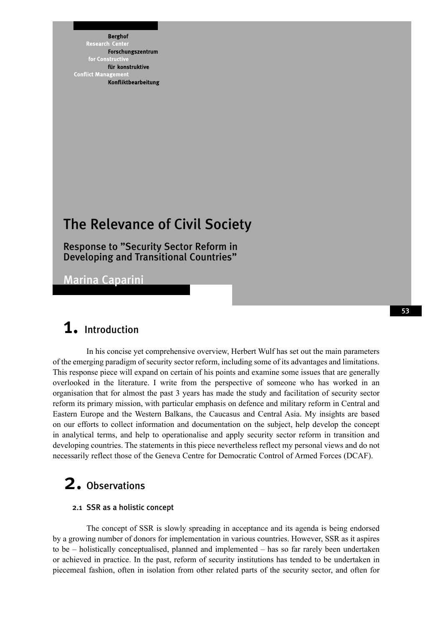**Berghof** Research ent. Forschungszentrum for Constr für konstruktive **Conflict Mana** Konfliktbearbeitung

## The Relevance of Civil Society

Response to "Security Sector Reform in Developing and Transitional Countries"

Marina Caparini

## 1. Introduction

In his concise yet comprehensive overview, Herbert Wulf has set out the main parameters of the emerging paradigm of security sector reform, including some of its advantages and limitations. This response piece will expand on certain of his points and examine some issues that are generally overlooked in the literature. I write from the perspective of someone who has worked in an organisation that for almost the past 3 years has made the study and facilitation of security sector reform its primary mission, with particular emphasis on defence and military reform in Central and Eastern Europe and the Western Balkans, the Caucasus and Central Asia. My insights are based on our efforts to collect information and documentation on the subject, help develop the concept in analytical terms, and help to operationalise and apply security sector reform in transition and developing countries. The statements in this piece nevertheless reflect my personal views and do not necessarily reflect those of the Geneva Centre for Democratic Control of Armed Forces (DCAF).

# 2. Observations

#### 2.1 SSR as a holistic concept

The concept of SSR is slowly spreading in acceptance and its agenda is being endorsed by a growing number of donors for implementation in various countries. However, SSR as it aspires to be – holistically conceptualised, planned and implemented – has so far rarely been undertaken or achieved in practice. In the past, reform of security institutions has tended to be undertaken in piecemeal fashion, often in isolation from other related parts of the security sector, and often for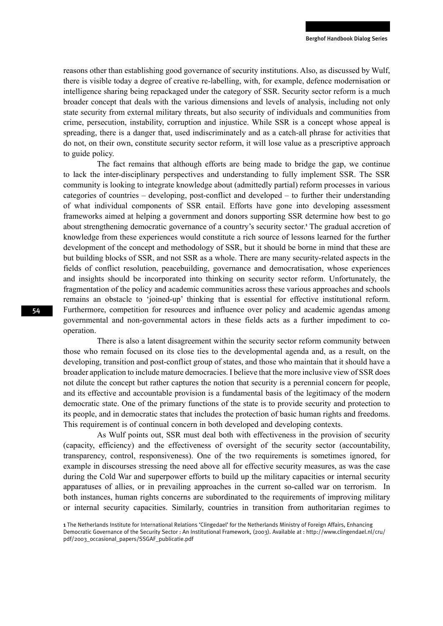reasons other than establishing good governance of security institutions. Also, as discussed by Wulf, there is visible today a degree of creative re-labelling, with, for example, defence modernisation or intelligence sharing being repackaged under the category of SSR. Security sector reform is a much broader concept that deals with the various dimensions and levels of analysis, including not only state security from external military threats, but also security of individuals and communities from crime, persecution, instability, corruption and injustice. While SSR is a concept whose appeal is spreading, there is a danger that, used indiscriminately and as a catch-all phrase for activities that do not, on their own, constitute security sector reform, it will lose value as a prescriptive approach to guide policy.

The fact remains that although efforts are being made to bridge the gap, we continue to lack the inter-disciplinary perspectives and understanding to fully implement SSR. The SSR community is looking to integrate knowledge about (admittedly partial) reform processes in various categories of countries – developing, post-conflict and developed – to further their understanding of what individual components of SSR entail. Efforts have gone into developing assessment frameworks aimed at helping a government and donors supporting SSR determine how best to go about strengthening democratic governance of a country's security sector.<sup>1</sup> The gradual accretion of knowledge from these experiences would constitute a rich source of lessons learned for the further development of the concept and methodology of SSR, but it should be borne in mind that these are but building blocks of SSR, and not SSR as a whole. There are many security-related aspects in the fields of conflict resolution, peacebuilding, governance and democratisation, whose experiences and insights should be incorporated into thinking on security sector reform. Unfortunately, the fragmentation of the policy and academic communities across these various approaches and schools remains an obstacle to 'joined-up' thinking that is essential for effective institutional reform. Furthermore, competition for resources and influence over policy and academic agendas among governmental and non-governmental actors in these fields acts as a further impediment to cooperation.

There is also a latent disagreement within the security sector reform community between those who remain focused on its close ties to the developmental agenda and, as a result, on the developing, transition and post-conflict group of states, and those who maintain that it should have a broader application to include mature democracies. I believe that the more inclusive view of SSR does not dilute the concept but rather captures the notion that security is a perennial concern for people, and its effective and accountable provision is a fundamental basis of the legitimacy of the modern democratic state. One of the primary functions of the state is to provide security and protection to its people, and in democratic states that includes the protection of basic human rights and freedoms. This requirement is of continual concern in both developed and developing contexts.

As Wulf points out, SSR must deal both with effectiveness in the provision of security (capacity, efficiency) and the effectiveness of oversight of the security sector (accountability, transparency, control, responsiveness). One of the two requirements is sometimes ignored, for example in discourses stressing the need above all for effective security measures, as was the case during the Cold War and superpower efforts to build up the military capacities or internal security apparatuses of allies, or in prevailing approaches in the current so-called war on terrorism. In both instances, human rights concerns are subordinated to the requirements of improving military or internal security capacities. Similarly, countries in transition from authoritarian regimes to

<sup>1</sup> The Netherlands Institute for International Relations 'Clingedael' for the Netherlands Ministry of Foreign Affairs, Enhancing Democratic Governance of the Security Sector : An Institutional Framework, (2003). Available at : http://www.clingendael.nl/cru/ pdf/2003\_occasional\_papers/SSGAF\_publicatie.pdf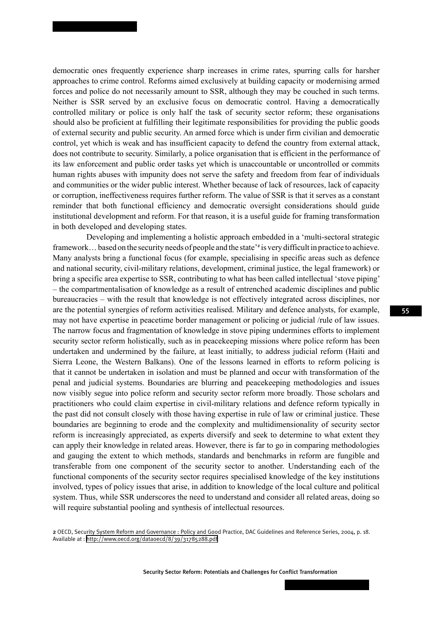democratic ones frequently experience sharp increases in crime rates, spurring calls for harsher approaches to crime control. Reforms aimed exclusively at building capacity or modernising armed forces and police do not necessarily amount to SSR, although they may be couched in such terms. Neither is SSR served by an exclusive focus on democratic control. Having a democratically controlled military or police is only half the task of security sector reform; these organisations should also be proficient at fulfilling their legitimate responsibilities for providing the public goods of external security and public security. An armed force which is under firm civilian and democratic control, yet which is weak and has insufficient capacity to defend the country from external attack, does not contribute to security. Similarly, a police organisation that is efficient in the performance of its law enforcement and public order tasks yet which is unaccountable or uncontrolled or commits human rights abuses with impunity does not serve the safety and freedom from fear of individuals and communities or the wider public interest. Whether because of lack of resources, lack of capacity or corruption, ineffectiveness requires further reform. The value of SSR is that it serves as a constant reminder that both functional efficiency and democratic oversight considerations should guide institutional development and reform. For that reason, it is a useful guide for framing transformation in both developed and developing states.

Developing and implementing a holistic approach embedded in a 'multi-sectoral strategic framework... based on the security needs of people and the state'<sup>2</sup> is very difficult in practice to achieve. Many analysts bring a functional focus (for example, specialising in specific areas such as defence and national security, civil-military relations, development, criminal justice, the legal framework) or bring a specific area expertise to SSR, contributing to what has been called intellectual 'stove piping' – the compartmentalisation of knowledge as a result of entrenched academic disciplines and public bureaucracies – with the result that knowledge is not effectively integrated across disciplines, nor are the potential synergies of reform activities realised. Military and defence analysts, for example, may not have expertise in peacetime border management or policing or judicial /rule of law issues. The narrow focus and fragmentation of knowledge in stove piping undermines efforts to implement security sector reform holistically, such as in peacekeeping missions where police reform has been undertaken and undermined by the failure, at least initially, to address judicial reform (Haiti and Sierra Leone, the Western Balkans). One of the lessons learned in efforts to reform policing is that it cannot be undertaken in isolation and must be planned and occur with transformation of the penal and judicial systems. Boundaries are blurring and peacekeeping methodologies and issues now visibly segue into police reform and security sector reform more broadly. Those scholars and practitioners who could claim expertise in civil-military relations and defence reform typically in the past did not consult closely with those having expertise in rule of law or criminal justice. These boundaries are beginning to erode and the complexity and multidimensionality of security sector reform is increasingly appreciated, as experts diversify and seek to determine to what extent they can apply their knowledge in related areas. However, there is far to go in comparing methodologies and gauging the extent to which methods, standards and benchmarks in reform are fungible and transferable from one component of the security sector to another. Understanding each of the functional components of the security sector requires specialised knowledge of the key institutions involved, types of policy issues that arise, in addition to knowledge of the local culture and political system. Thus, while SSR underscores the need to understand and consider all related areas, doing so will require substantial pooling and synthesis of intellectual resources.

Security Sector Reform: Potentials and Challenges for Conflict Transformation

<sup>2</sup> OECD, Security System Reform and Governance : Policy and Good Practice, DAC Guidelines and Reference Series, 2004, p. 18. Available at :<http://www.oecd.org/dataoecd/8/39/31785288.pdf>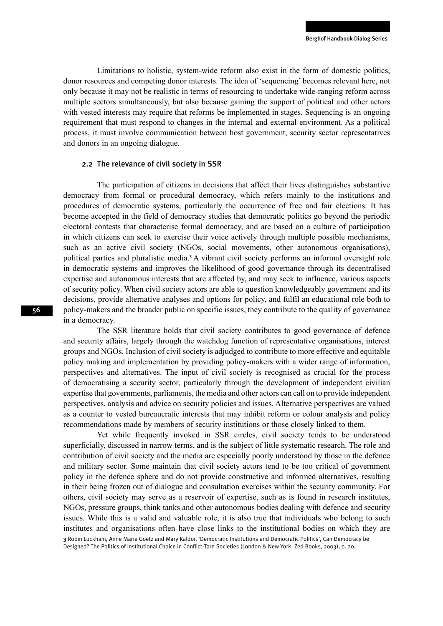Limitations to holistic, system-wide reform also exist in the form of domestic politics, donor resources and competing donor interests. The idea of 'sequencing' becomes relevant here, not only because it may not be realistic in terms of resourcing to undertake wide-ranging reform across multiple sectors simultaneously, but also because gaining the support of political and other actors with vested interests may require that reforms be implemented in stages. Sequencing is an ongoing requirement that must respond to changes in the internal and external environment. As a political process, it must involve communication between host government, security sector representatives and donors in an ongoing dialogue.

#### 2.2 The relevance of civil society in SSR

The participation of citizens in decisions that affect their lives distinguishes substantive democracy from formal or procedural democracy, which refers mainly to the institutions and procedures of democratic systems, particularly the occurrence of free and fair elections. It has become accepted in the field of democracy studies that democratic politics go beyond the periodic electoral contests that characterise formal democracy, and are based on a culture of participation in which citizens can seek to exercise their voice actively through multiple possible mechanisms, such as an active civil society (NGOs, social movements, other autonomous organisations), political parties and pluralistic media.<sup>3</sup>A vibrant civil society performs an informal oversight role in democratic systems and improves the likelihood of good governance through its decentralised expertise and autonomous interests that are affected by, and may seek to influence, various aspects of security policy. When civil society actors are able to question knowledgeably government and its decisions, provide alternative analyses and options for policy, and fulfil an educational role both to policy-makers and the broader public on specific issues, they contribute to the quality of governance in a democracy.

The SSR literature holds that civil society contributes to good governance of defence and security affairs, largely through the watchdog function of representative organisations, interest groups and NGOs. Inclusion of civil society is adjudged to contribute to more effective and equitable policy making and implementation by providing policy-makers with a wider range of information, perspectives and alternatives. The input of civil society is recognised as crucial for the process of democratising a security sector, particularly through the development of independent civilian expertise that governments, parliaments, the media and other actors can call on to provide independent perspectives, analysis and advice on security policies and issues. Alternative perspectives are valued as a counter to vested bureaucratic interests that may inhibit reform or colour analysis and policy recommendations made by members of security institutions or those closely linked to them.

Yet while frequently invoked in SSR circles, civil society tends to be understood superficially, discussed in narrow terms, and is the subject of little systematic research. The role and contribution of civil society and the media are especially poorly understood by those in the defence and military sector. Some maintain that civil society actors tend to be too critical of government policy in the defence sphere and do not provide constructive and informed alternatives, resulting in their being frozen out of dialogue and consultation exercises within the security community. For others, civil society may serve as a reservoir of expertise, such as is found in research institutes, NGOs, pressure groups, think tanks and other autonomous bodies dealing with defence and security issues. While this is a valid and valuable role, it is also true that individuals who belong to such institutes and organisations often have close links to the institutional bodies on which they are

<sup>3</sup> Robin Luckham, Anne Marie Goetz and Mary Kaldor, 'Democratic Institutions and Democratic Politics', Can Democracy be Designed? The Politics of Institutional Choice in Conflict-Torn Societies (London & New York: Zed Books, 2003), p. 20.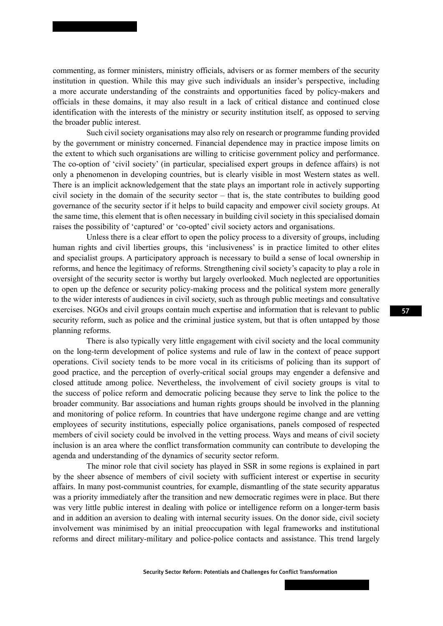commenting, as former ministers, ministry officials, advisers or as former members of the security institution in question. While this may give such individuals an insider's perspective, including a more accurate understanding of the constraints and opportunities faced by policy-makers and officials in these domains, it may also result in a lack of critical distance and continued close identification with the interests of the ministry or security institution itself, as opposed to serving the broader public interest.

Such civil society organisations may also rely on research or programme funding provided by the government or ministry concerned. Financial dependence may in practice impose limits on the extent to which such organisations are willing to criticise government policy and performance. The co-option of 'civil society' (in particular, specialised expert groups in defence affairs) is not only a phenomenon in developing countries, but is clearly visible in most Western states as well. There is an implicit acknowledgement that the state plays an important role in actively supporting civil society in the domain of the security sector – that is, the state contributes to building good governance of the security sector if it helps to build capacity and empower civil society groups. At the same time, this element that is often necessary in building civil society in this specialised domain raises the possibility of 'captured' or 'co-opted' civil society actors and organisations.

Unless there is a clear effort to open the policy process to a diversity of groups, including human rights and civil liberties groups, this 'inclusiveness' is in practice limited to other elites and specialist groups. A participatory approach is necessary to build a sense of local ownership in reforms, and hence the legitimacy of reforms. Strengthening civil society's capacity to play a role in oversight of the security sector is worthy but largely overlooked. Much neglected are opportunities to open up the defence or security policy-making process and the political system more generally to the wider interests of audiences in civil society, such as through public meetings and consultative exercises. NGOs and civil groups contain much expertise and information that is relevant to public security reform, such as police and the criminal justice system, but that is often untapped by those planning reforms.

There is also typically very little engagement with civil society and the local community on the long-term development of police systems and rule of law in the context of peace support operations. Civil society tends to be more vocal in its criticisms of policing than its support of good practice, and the perception of overly-critical social groups may engender a defensive and closed attitude among police. Nevertheless, the involvement of civil society groups is vital to the success of police reform and democratic policing because they serve to link the police to the broader community. Bar associations and human rights groups should be involved in the planning and monitoring of police reform. In countries that have undergone regime change and are vetting employees of security institutions, especially police organisations, panels composed of respected members of civil society could be involved in the vetting process. Ways and means of civil society inclusion is an area where the conflict transformation community can contribute to developing the agenda and understanding of the dynamics of security sector reform.

The minor role that civil society has played in SSR in some regions is explained in part by the sheer absence of members of civil society with sufficient interest or expertise in security affairs. In many post-communist countries, for example, dismantling of the state security apparatus was a priority immediately after the transition and new democratic regimes were in place. But there was very little public interest in dealing with police or intelligence reform on a longer-term basis and in addition an aversion to dealing with internal security issues. On the donor side, civil society involvement was minimised by an initial preoccupation with legal frameworks and institutional reforms and direct military-military and police-police contacts and assistance. This trend largely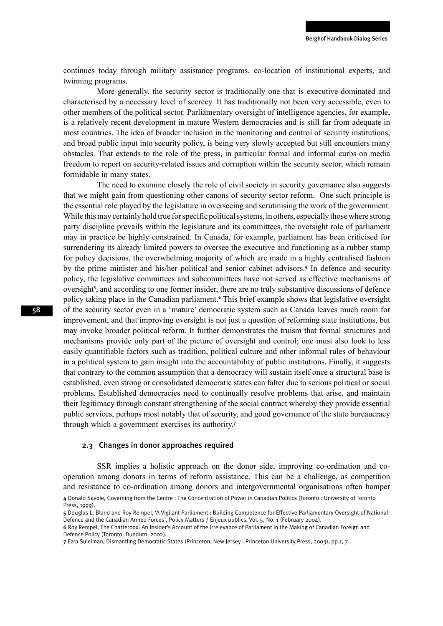continues today through military assistance programs, co-location of institutional experts, and twinning programs.

More generally, the security sector is traditionally one that is executive-dominated and characterised by a necessary level of secrecy. It has traditionally not been very accessible, even to other members of the political sector. Parliamentary oversight of intelligence agencies, for example, is a relatively recent development in mature Western democracies and is still far from adequate in most countries. The idea of broader inclusion in the monitoring and control of security institutions, and broad public input into security policy, is being very slowly accepted but still encounters many obstacles. That extends to the role of the press, in particular formal and informal curbs on media freedom to report on security-related issues and corruption within the security sector, which remain formidable in many states.

The need to examine closely the role of civil society in security governance also suggests that we might gain from questioning other canons of security sector reform. One such principle is the essential role played by the legislature in overseeing and scrutinising the work of the government. While this may certainly hold true for specific political systems, in others, especially those where strong party discipline prevails within the legislature and its committees, the oversight role of parliament may in practice be highly constrained. In Canada, for example, parliament has been criticised for surrendering its already limited powers to oversee the executive and functioning as a rubber stamp for policy decisions, the overwhelming majority of which are made in a highly centralised fashion by the prime minister and his/her political and senior cabinet advisors.<sup>4</sup> In defence and security policy, the legislative committees and subcommittees have not served as effective mechanisms of oversight<sup>5</sup>, and according to one former insider, there are no truly substantive discussions of defence policy taking place in the Canadian parliament.<sup>6</sup> This brief example shows that legislative oversight of the security sector even in a 'mature' democratic system such as Canada leaves much room for improvement, and that improving oversight is not just a question of reforming state institutions, but may invoke broader political reform. It further demonstrates the truism that formal structures and mechanisms provide only part of the picture of oversight and control; one must also look to less easily quantifiable factors such as tradition, political culture and other informal rules of behaviour in a political system to gain insight into the accountability of public institutions. Finally, it suggests that contrary to the common assumption that a democracy will sustain itself once a structural base is established, even strong or consolidated democratic states can falter due to serious political or social problems. Established democracies need to continually resolve problems that arise, and maintain their legitimacy through constant strengthening of the social contract whereby they provide essential public services, perhaps most notably that of security, and good governance of the state bureaucracy through which a government exercises its authority.<sup>7</sup>

#### 2.3 Changes in donor approaches required

SSR implies a holistic approach on the donor side, improving co-ordination and cooperation among donors in terms of reform assistance. This can be a challenge, as competition and resistance to co-ordination among donors and intergovernmental organisations often hamper

<sup>4</sup> Donald Savoie, Governing from the Centre : The Concentration of Power in Canadian Politics (Toronto : University of Toronto Press, 1999).

<sup>5</sup> Douglas L. Bland and Roy Rempel, 'A Vigilant Parliament : Building Competence for Effective Parliamentary Oversight of National Defence and the Canadian Armed Forces', Policy Matters / Enjeux publics, Vol. 5, No. 1 (February 2004).

<sup>6</sup> Roy Rempel, The Chatterbox: An Insider's Account of the Irrelevance of Parliament in the Making of Canadian Foreign and Defence Policy (Toronto: Dundurn, 2002).

<sup>7</sup> Ezra Suleiman, Dismantling Democratic States (Princeton, New Jersey : Princeton University Press, 2003), pp.1, 7.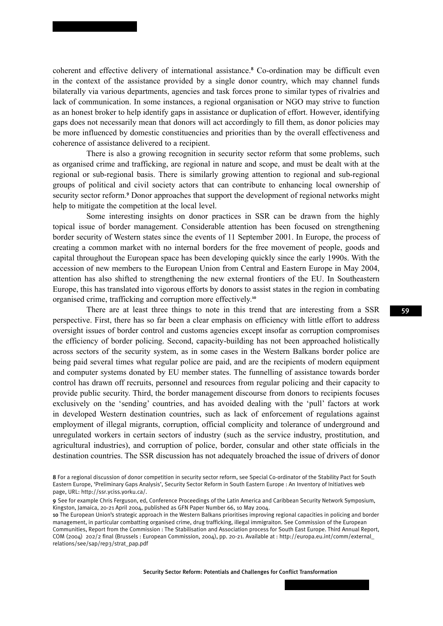coherent and effective delivery of international assistance.<sup>8</sup> Co-ordination may be difficult even in the context of the assistance provided by a single donor country, which may channel funds bilaterally via various departments, agencies and task forces prone to similar types of rivalries and lack of communication. In some instances, a regional organisation or NGO may strive to function as an honest broker to help identify gaps in assistance or duplication of effort. However, identifying gaps does not necessarily mean that donors will act accordingly to fill them, as donor policies may be more influenced by domestic constituencies and priorities than by the overall effectiveness and coherence of assistance delivered to a recipient.

There is also a growing recognition in security sector reform that some problems, such as organised crime and trafficking, are regional in nature and scope, and must be dealt with at the regional or sub-regional basis. There is similarly growing attention to regional and sub-regional groups of political and civil society actors that can contribute to enhancing local ownership of security sector reform.<sup>9</sup> Donor approaches that support the development of regional networks might help to mitigate the competition at the local level.

Some interesting insights on donor practices in SSR can be drawn from the highly topical issue of border management. Considerable attention has been focused on strengthening border security of Western states since the events of 11 September 2001. In Europe, the process of creating a common market with no internal borders for the free movement of people, goods and capital throughout the European space has been developing quickly since the early 1990s. With the accession of new members to the European Union from Central and Eastern Europe in May 2004, attention has also shifted to strengthening the new external frontiers of the EU. In Southeastern Europe, this has translated into vigorous efforts by donors to assist states in the region in combating organised crime, trafficking and corruption more effectively.<sup>10</sup>

There are at least three things to note in this trend that are interesting from a SSR perspective. First, there has so far been a clear emphasis on efficiency with little effort to address oversight issues of border control and customs agencies except insofar as corruption compromises the efficiency of border policing. Second, capacity-building has not been approached holistically across sectors of the security system, as in some cases in the Western Balkans border police are being paid several times what regular police are paid, and are the recipients of modern equipment and computer systems donated by EU member states. The funnelling of assistance towards border control has drawn off recruits, personnel and resources from regular policing and their capacity to provide public security. Third, the border management discourse from donors to recipients focuses exclusively on the 'sending' countries, and has avoided dealing with the 'pull' factors at work in developed Western destination countries, such as lack of enforcement of regulations against employment of illegal migrants, corruption, official complicity and tolerance of underground and unregulated workers in certain sectors of industry (such as the service industry, prostitution, and agricultural industries), and corruption of police, border, consular and other state officials in the destination countries. The SSR discussion has not adequately broached the issue of drivers of donor

Security Sector Reform: Potentials and Challenges for Conflict Transformation

<sup>8</sup> For a regional discussion of donor competition in security sector reform, see Special Co-ordinator of the Stability Pact for South Eastern Europe, 'Preliminary Gaps Analysis', Security Sector Reform in South Eastern Europe : An Inventory of Initiatives web page, URL: http://ssr.yciss.yorku.ca/.

<sup>9</sup> See for example Chris Ferguson, ed, Conference Proceedings of the Latin America and Caribbean Security Network Symposium, Kingston, Jamaica, 20-21 April 2004, published as GFN Paper Number 66, 10 May 2004.

<sup>10</sup> The European Union's strategic approach in the Western Balkans prioritises improving regional capacities in policing and border management, in particular combatting organised crime, drug trafficking, illegal immigraiton. See Commission of the European Communities, Report from the Commission : The Stabilisation and Association process for South East Europe. Third Annual Report, COM (2004) 202/2 final (Brussels : European Commission, 2004), pp. 20-21. Available at : http://europa.eu.int/comm/external\_ relations/see/sap/rep3/strat\_pap.pdf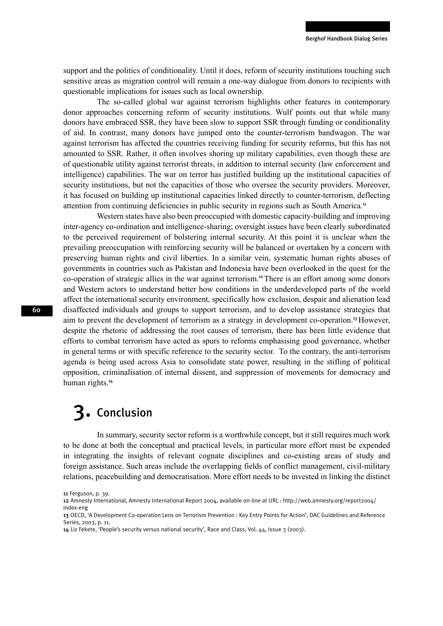support and the politics of conditionality. Until it does, reform of security institutions touching such sensitive areas as migration control will remain a one-way dialogue from donors to recipients with questionable implications for issues such as local ownership.

The so-called global war against terrorism highlights other features in contemporary donor approaches concerning reform of security institutions. Wulf points out that while many donors have embraced SSR, they have been slow to support SSR through funding or conditionality of aid. In contrast, many donors have jumped onto the counter-terrorism bandwagon. The war against terrorism has affected the countries receiving funding for security reforms, but this has not amounted to SSR. Rather, it often involves shoring up military capabilities, even though these are of questionable utility against terrorist threats, in addition to internal security (law enforcement and intelligence) capabilities. The war on terror has justified building up the institutional capacities of security institutions, but not the capacities of those who oversee the security providers. Moreover, it has focused on building up institutional capacities linked directly to counter-terrorism, deflecting attention from continuing deficiencies in public security in regions such as South America.<sup>11</sup>

Western states have also been preoccupied with domestic capacity-building and improving inter-agency co-ordination and intelligence-sharing; oversight issues have been clearly subordinated to the perceived requirement of bolstering internal security. At this point it is unclear when the prevailing preoccupation with reinforcing security will be balanced or overtaken by a concern with preserving human rights and civil liberties. In a similar vein, systematic human rights abuses of governments in countries such as Pakistan and Indonesia have been overlooked in the quest for the co-operation of strategic allies in the war against terrorism.<sup>12</sup>There is an effort among some donors and Western actors to understand better how conditions in the underdeveloped parts of the world affect the international security environment, specifically how exclusion, despair and alienation lead disaffected individuals and groups to support terrorism, and to develop assistance strategies that aim to prevent the development of terrorism as a strategy in development co-operation.<sup>13</sup>However, despite the rhetoric of addressing the root causes of terrorism, there has been little evidence that efforts to combat terrorism have acted as spurs to reforms emphasising good governance, whether in general terms or with specific reference to the security sector. To the contrary, the anti-terrorism agenda is being used across Asia to consolidate state power, resulting in the stifling of political opposition, criminalisation of internal dissent, and suppression of movements for democracy and human rights.<sup>14</sup>

# 3. Conclusion

In summary, security sector reform is a worthwhile concept, but it still requires much work to be done at both the conceptual and practical levels, in particular more effort must be expended in integrating the insights of relevant cognate disciplines and co-existing areas of study and foreign assistance. Such areas include the overlapping fields of conflict management, civil-military relations, peacebuilding and democratisation. More effort needs to be invested in linking the distinct

<sup>11</sup> Ferguson, p. 39.

<sup>12</sup> Amnesty International, Amnesty International Report 2004, available on-line at URL : http://web.amnesty.org/report2004/ index-eng

<sup>13</sup> OECD, 'A Development Co-operation Lens on Terrorism Prevention : Key Entry Points for Action', DAC Guidelines and Reference Series, 2003, p. 11.

<sup>14</sup> Liz Fekete, 'People's security versus national security', Race and Class, Vol. 44, Issue 3 (2003).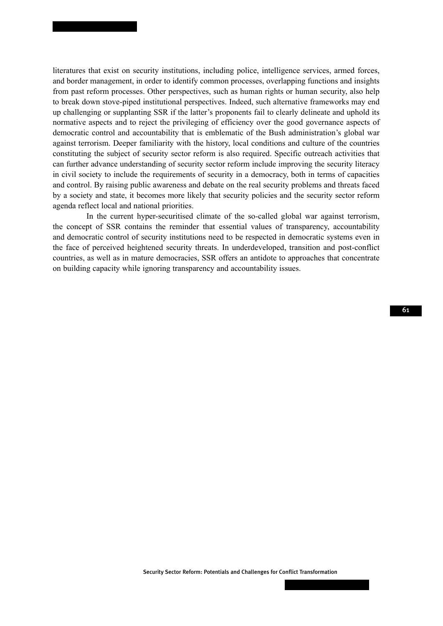literatures that exist on security institutions, including police, intelligence services, armed forces, and border management, in order to identify common processes, overlapping functions and insights from past reform processes. Other perspectives, such as human rights or human security, also help to break down stove-piped institutional perspectives. Indeed, such alternative frameworks may end up challenging or supplanting SSR if the latter's proponents fail to clearly delineate and uphold its normative aspects and to reject the privileging of efficiency over the good governance aspects of democratic control and accountability that is emblematic of the Bush administration's global war against terrorism. Deeper familiarity with the history, local conditions and culture of the countries constituting the subject of security sector reform is also required. Specific outreach activities that can further advance understanding of security sector reform include improving the security literacy in civil society to include the requirements of security in a democracy, both in terms of capacities and control. By raising public awareness and debate on the real security problems and threats faced by a society and state, it becomes more likely that security policies and the security sector reform agenda reflect local and national priorities.

In the current hyper-securitised climate of the so-called global war against terrorism, the concept of SSR contains the reminder that essential values of transparency, accountability and democratic control of security institutions need to be respected in democratic systems even in the face of perceived heightened security threats. In underdeveloped, transition and post-conflict countries, as well as in mature democracies, SSR offers an antidote to approaches that concentrate on building capacity while ignoring transparency and accountability issues.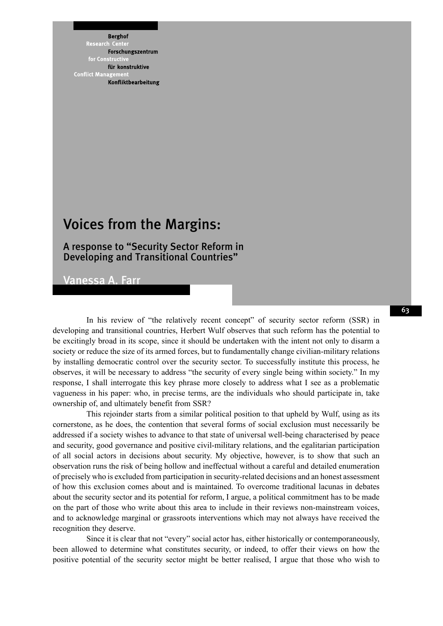**Berghof** 

Research enf Forschungszentrum for Constr für konstruktive **Conflict Mana** Konfliktbearbeitung

### Voices from the Margins:

### A response to "Security Sector Reform in Developing and Transitional Countries"

Vanessa A. Farr

In his review of "the relatively recent concept" of security sector reform (SSR) in developing and transitional countries, Herbert Wulf observes that such reform has the potential to be excitingly broad in its scope, since it should be undertaken with the intent not only to disarm a society or reduce the size of its armed forces, but to fundamentally change civilian-military relations by installing democratic control over the security sector. To successfully institute this process, he observes, it will be necessary to address "the security of every single being within society." In my response, I shall interrogate this key phrase more closely to address what I see as a problematic vagueness in his paper: who, in precise terms, are the individuals who should participate in, take ownership of, and ultimately benefit from SSR?

This rejoinder starts from a similar political position to that upheld by Wulf, using as its cornerstone, as he does, the contention that several forms of social exclusion must necessarily be addressed if a society wishes to advance to that state of universal well-being characterised by peace and security, good governance and positive civil-military relations, and the egalitarian participation of all social actors in decisions about security. My objective, however, is to show that such an observation runs the risk of being hollow and ineffectual without a careful and detailed enumeration of precisely who is excluded from participation in security-related decisions and an honest assessment of how this exclusion comes about and is maintained. To overcome traditional lacunas in debates about the security sector and its potential for reform, I argue, a political commitment has to be made on the part of those who write about this area to include in their reviews non-mainstream voices, and to acknowledge marginal or grassroots interventions which may not always have received the recognition they deserve.

Since it is clear that not "every" social actor has, either historically or contemporaneously, been allowed to determine what constitutes security, or indeed, to offer their views on how the positive potential of the security sector might be better realised, I argue that those who wish to 63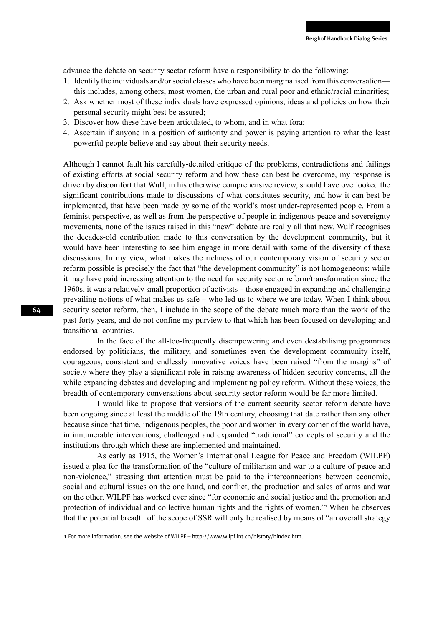advance the debate on security sector reform have a responsibility to do the following:

- 1. Identify the individuals and/or social classes who have been marginalised from this conversation this includes, among others, most women, the urban and rural poor and ethnic/racial minorities;
- 2. Ask whether most of these individuals have expressed opinions, ideas and policies on how their personal security might best be assured;
- 3. Discover how these have been articulated, to whom, and in what fora;
- 4. Ascertain if anyone in a position of authority and power is paying attention to what the least powerful people believe and say about their security needs.

Although I cannot fault his carefully-detailed critique of the problems, contradictions and failings of existing efforts at social security reform and how these can best be overcome, my response is driven by discomfort that Wulf, in his otherwise comprehensive review, should have overlooked the significant contributions made to discussions of what constitutes security, and how it can best be implemented, that have been made by some of the world's most under-represented people. From a feminist perspective, as well as from the perspective of people in indigenous peace and sovereignty movements, none of the issues raised in this "new" debate are really all that new. Wulf recognises the decades-old contribution made to this conversation by the development community, but it would have been interesting to see him engage in more detail with some of the diversity of these discussions. In my view, what makes the richness of our contemporary vision of security sector reform possible is precisely the fact that "the development community" is not homogeneous: while it may have paid increasing attention to the need for security sector reform/transformation since the 1960s, it was a relatively small proportion of activists – those engaged in expanding and challenging prevailing notions of what makes us safe – who led us to where we are today. When I think about security sector reform, then, I include in the scope of the debate much more than the work of the past forty years, and do not confine my purview to that which has been focused on developing and transitional countries.

In the face of the all-too-frequently disempowering and even destabilising programmes endorsed by politicians, the military, and sometimes even the development community itself, courageous, consistent and endlessly innovative voices have been raised "from the margins" of society where they play a significant role in raising awareness of hidden security concerns, all the while expanding debates and developing and implementing policy reform. Without these voices, the breadth of contemporary conversations about security sector reform would be far more limited.

I would like to propose that versions of the current security sector reform debate have been ongoing since at least the middle of the 19th century, choosing that date rather than any other because since that time, indigenous peoples, the poor and women in every corner of the world have, in innumerable interventions, challenged and expanded "traditional" concepts of security and the institutions through which these are implemented and maintained.

As early as 1915, the Women's International League for Peace and Freedom (WILPF) issued a plea for the transformation of the "culture of militarism and war to a culture of peace and non-violence," stressing that attention must be paid to the interconnections between economic, social and cultural issues on the one hand, and conflict, the production and sales of arms and war on the other. WILPF has worked ever since "for economic and social justice and the promotion and protection of individual and collective human rights and the rights of women."<sup>1</sup> When he observes that the potential breadth of the scope of SSR will only be realised by means of "an overall strategy

1 For more information, see the website of WILPF – http://www.wilpf.int.ch/history/hindex.htm.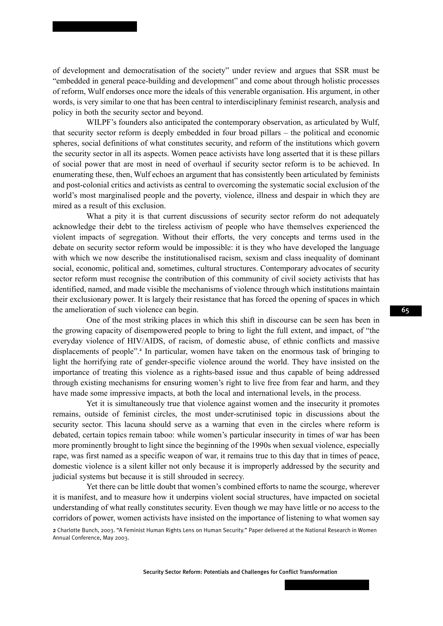of development and democratisation of the society" under review and argues that SSR must be "embedded in general peace-building and development" and come about through holistic processes of reform, Wulf endorses once more the ideals of this venerable organisation. His argument, in other words, is very similar to one that has been central to interdisciplinary feminist research, analysis and policy in both the security sector and beyond.

WILPF's founders also anticipated the contemporary observation, as articulated by Wulf, that security sector reform is deeply embedded in four broad pillars – the political and economic spheres, social definitions of what constitutes security, and reform of the institutions which govern the security sector in all its aspects. Women peace activists have long asserted that it is these pillars of social power that are most in need of overhaul if security sector reform is to be achieved. In enumerating these, then, Wulf echoes an argument that has consistently been articulated by feminists and post-colonial critics and activists as central to overcoming the systematic social exclusion of the world's most marginalised people and the poverty, violence, illness and despair in which they are mired as a result of this exclusion.

What a pity it is that current discussions of security sector reform do not adequately acknowledge their debt to the tireless activism of people who have themselves experienced the violent impacts of segregation. Without their efforts, the very concepts and terms used in the debate on security sector reform would be impossible: it is they who have developed the language with which we now describe the institutionalised racism, sexism and class inequality of dominant social, economic, political and, sometimes, cultural structures. Contemporary advocates of security sector reform must recognise the contribution of this community of civil society activists that has identified, named, and made visible the mechanisms of violence through which institutions maintain their exclusionary power. It is largely their resistance that has forced the opening of spaces in which the amelioration of such violence can begin.

One of the most striking places in which this shift in discourse can be seen has been in the growing capacity of disempowered people to bring to light the full extent, and impact, of "the everyday violence of HIV/AIDS, of racism, of domestic abuse, of ethnic conflicts and massive displacements of people".<sup>2</sup> In particular, women have taken on the enormous task of bringing to light the horrifying rate of gender-specific violence around the world. They have insisted on the importance of treating this violence as a rights-based issue and thus capable of being addressed through existing mechanisms for ensuring women's right to live free from fear and harm, and they have made some impressive impacts, at both the local and international levels, in the process.

Yet it is simultaneously true that violence against women and the insecurity it promotes remains, outside of feminist circles, the most under-scrutinised topic in discussions about the security sector. This lacuna should serve as a warning that even in the circles where reform is debated, certain topics remain taboo: while women's particular insecurity in times of war has been more prominently brought to light since the beginning of the 1990s when sexual violence, especially rape, was first named as a specific weapon of war, it remains true to this day that in times of peace, domestic violence is a silent killer not only because it is improperly addressed by the security and judicial systems but because it is still shrouded in secrecy.

Yet there can be little doubt that women's combined efforts to name the scourge, wherever it is manifest, and to measure how it underpins violent social structures, have impacted on societal understanding of what really constitutes security. Even though we may have little or no access to the corridors of power, women activists have insisted on the importance of listening to what women say

<sup>2</sup> Charlotte Bunch, 2003. "A Feminist Human Rights Lens on Human Security." Paper delivered at the National Research in Women Annual Conference, May 2003.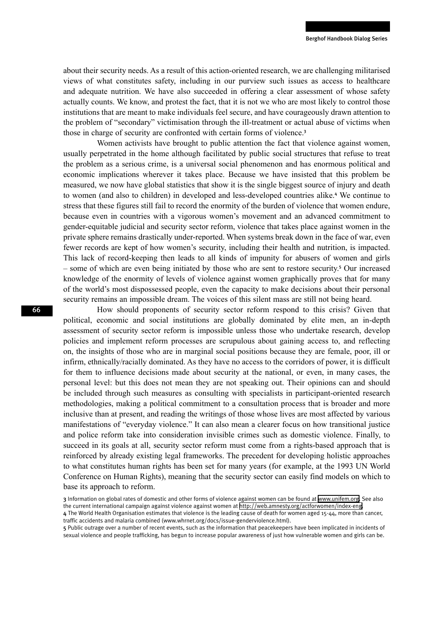about their security needs. As a result of this action-oriented research, we are challenging militarised views of what constitutes safety, including in our purview such issues as access to healthcare and adequate nutrition. We have also succeeded in offering a clear assessment of whose safety actually counts. We know, and protest the fact, that it is not we who are most likely to control those institutions that are meant to make individuals feel secure, and have courageously drawn attention to the problem of "secondary" victimisation through the ill-treatment or actual abuse of victims when those in charge of security are confronted with certain forms of violence.<sup>3</sup>

Women activists have brought to public attention the fact that violence against women, usually perpetrated in the home although facilitated by public social structures that refuse to treat the problem as a serious crime, is a universal social phenomenon and has enormous political and economic implications wherever it takes place. Because we have insisted that this problem be measured, we now have global statistics that show it is the single biggest source of injury and death to women (and also to children) in developed and less-developed countries alike.<sup>4</sup> We continue to stress that these figures still fail to record the enormity of the burden of violence that women endure, because even in countries with a vigorous women's movement and an advanced commitment to gender-equitable judicial and security sector reform, violence that takes place against women in the private sphere remains drastically under-reported. When systems break down in the face of war, even fewer records are kept of how women's security, including their health and nutrition, is impacted. This lack of record-keeping then leads to all kinds of impunity for abusers of women and girls – some of which are even being initiated by those who are sent to restore security.<sup>5</sup> Our increased knowledge of the enormity of levels of violence against women graphically proves that for many of the world's most dispossessed people, even the capacity to make decisions about their personal security remains an impossible dream. The voices of this silent mass are still not being heard.

How should proponents of security sector reform respond to this crisis? Given that political, economic and social institutions are globally dominated by elite men, an in-depth assessment of security sector reform is impossible unless those who undertake research, develop policies and implement reform processes are scrupulous about gaining access to, and reflecting on, the insights of those who are in marginal social positions because they are female, poor, ill or infirm, ethnically/racially dominated. As they have no access to the corridors of power, it is difficult for them to influence decisions made about security at the national, or even, in many cases, the personal level: but this does not mean they are not speaking out. Their opinions can and should be included through such measures as consulting with specialists in participant-oriented research methodologies, making a political commitment to a consultation process that is broader and more inclusive than at present, and reading the writings of those whose lives are most affected by various manifestations of "everyday violence." It can also mean a clearer focus on how transitional justice and police reform take into consideration invisible crimes such as domestic violence. Finally, to succeed in its goals at all, security sector reform must come from a rights-based approach that is reinforced by already existing legal frameworks. The precedent for developing holistic approaches to what constitutes human rights has been set for many years (for example, at the 1993 UN World Conference on Human Rights), meaning that the security sector can easily find models on which to base its approach to reform.

<sup>3</sup> Information on global rates of domestic and other forms of violence against women can be found at [www.unifem.org](http://www.unifem.org). See also the current international campaign against violence against women at <http://web.amnesty.org/actforwomen/index-eng>.

<sup>4</sup> The World Health Organisation estimates that violence is the leading cause of death for women aged 15-44, more than cancer, traffic accidents and malaria combined (www.whrnet.org/docs/issue-genderviolence.html).

<sup>5</sup> Public outrage over a number of recent events, such as the information that peacekeepers have been implicated in incidents of sexual violence and people trafficking, has begun to increase popular awareness of just how vulnerable women and girls can be.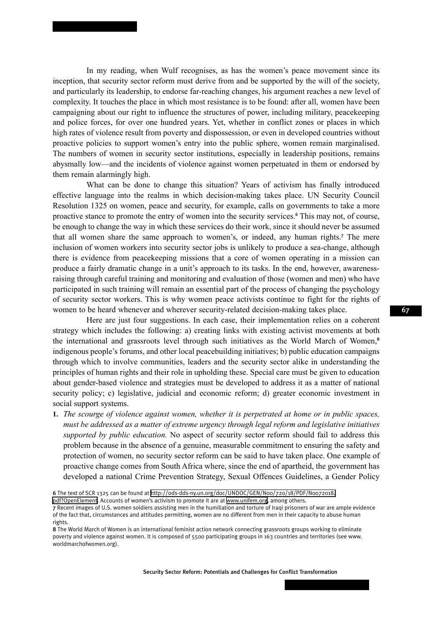In my reading, when Wulf recognises, as has the women's peace movement since its inception, that security sector reform must derive from and be supported by the will of the society, and particularly its leadership, to endorse far-reaching changes, his argument reaches a new level of complexity. It touches the place in which most resistance is to be found: after all, women have been campaigning about our right to influence the structures of power, including military, peacekeeping and police forces, for over one hundred years. Yet, whether in conflict zones or places in which high rates of violence result from poverty and dispossession, or even in developed countries without proactive policies to support women's entry into the public sphere, women remain marginalised. The numbers of women in security sector institutions, especially in leadership positions, remains abysmally low—and the incidents of violence against women perpetuated in them or endorsed by them remain alarmingly high.

What can be done to change this situation? Years of activism has finally introduced effective language into the realms in which decision-making takes place. UN Security Council Resolution 1325 on women, peace and security, for example, calls on governments to take a more proactive stance to promote the entry of women into the security services.<sup>6</sup> This may not, of course, be enough to change the way in which these services do their work, since it should never be assumed that all women share the same approach to women's, or indeed, any human rights.<sup>7</sup> The mere inclusion of women workers into security sector jobs is unlikely to produce a sea-change, although there is evidence from peacekeeping missions that a core of women operating in a mission can produce a fairly dramatic change in a unit's approach to its tasks. In the end, however, awarenessraising through careful training and monitoring and evaluation of those (women and men) who have participated in such training will remain an essential part of the process of changing the psychology of security sector workers. This is why women peace activists continue to fight for the rights of women to be heard whenever and wherever security-related decision-making takes place.

Here are just four suggestions. In each case, their implementation relies on a coherent strategy which includes the following: a) creating links with existing activist movements at both the international and grassroots level through such initiatives as the World March of Women,<sup>8</sup> indigenous people's forums, and other local peacebuilding initiatives; b) public education campaigns through which to involve communities, leaders and the security sector alike in understanding the principles of human rights and their role in upholding these. Special care must be given to education about gender-based violence and strategies must be developed to address it as a matter of national security policy; c) legislative, judicial and economic reform; d) greater economic investment in social support systems.

**1.** *The scourge of violence against women, whether it is perpetrated at home or in public spaces, must be addressed as a matter of extreme urgency through legal reform and legislative initiatives supported by public education.* No aspect of security sector reform should fail to address this problem because in the absence of a genuine, measurable commitment to ensuring the safety and protection of women, no security sector reform can be said to have taken place. One example of proactive change comes from South Africa where, since the end of apartheid, the government has developed a national Crime Prevention Strategy, Sexual Offences Guidelines, a Gender Policy

[pdf?OpenElement.](http://ods-dds-ny.un.org/doc/UNDOC/GEN/N00/720/18/PDF/N0072018.pdf?OpenElement) Accounts of women's activism to promote it are at [www.unifem.org](http://www.unifem.org), among others.

7 Recent images of U.S. women soldiers assisting men in the humiliation and torture of Iraqi prisoners of war are ample evidence of the fact that, circumstances and attitudes permitting, women are no different from men in their capacity to abuse human rights.

<sup>6</sup> The text of SCR 1325 can be found at [http://ods-dds-ny.un.org/doc/UNDOC/GEN/N00/720/18/PDF/N0072018.](http://ods-dds-ny.un.org/doc/UNDOC/GEN/N00/720/18/PDF/N0072018.pdf?OpenElement)

<sup>8</sup> The World March of Women is an international feminist action network connecting grassroots groups working to eliminate poverty and violence against women. It is composed of 5500 participating groups in 163 countries and territories (see www. worldmarchofwomen.org).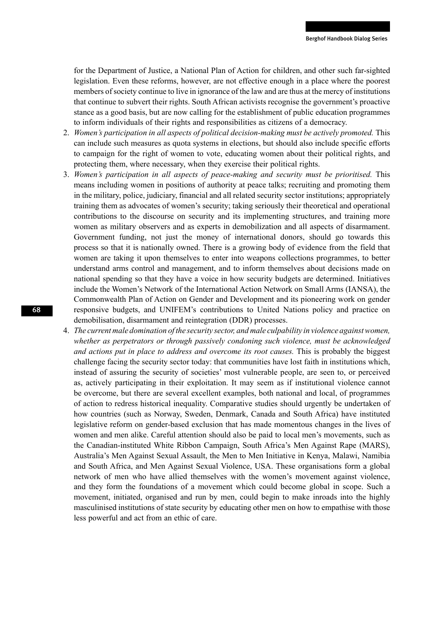for the Department of Justice, a National Plan of Action for children, and other such far-sighted legislation. Even these reforms, however, are not effective enough in a place where the poorest members of society continue to live in ignorance of the law and are thus at the mercy of institutions that continue to subvert their rights. South African activists recognise the government's proactive stance as a good basis, but are now calling for the establishment of public education programmes to inform individuals of their rights and responsibilities as citizens of a democracy.

- 2. *Women's participation in all aspects of political decision-making must be actively promoted.* This can include such measures as quota systems in elections, but should also include specific efforts to campaign for the right of women to vote, educating women about their political rights, and protecting them, where necessary, when they exercise their political rights.
- 3. *Women's participation in all aspects of peace-making and security must be prioritised.* This means including women in positions of authority at peace talks; recruiting and promoting them in the military, police, judiciary, financial and all related security sector institutions; appropriately training them as advocates of women's security; taking seriously their theoretical and operational contributions to the discourse on security and its implementing structures, and training more women as military observers and as experts in demobilization and all aspects of disarmament. Government funding, not just the money of international donors, should go towards this process so that it is nationally owned. There is a growing body of evidence from the field that women are taking it upon themselves to enter into weapons collections programmes, to better understand arms control and management, and to inform themselves about decisions made on national spending so that they have a voice in how security budgets are determined. Initiatives include the Women's Network of the International Action Network on Small Arms (IANSA), the Commonwealth Plan of Action on Gender and Development and its pioneering work on gender responsive budgets, and UNIFEM's contributions to United Nations policy and practice on demobilisation, disarmament and reintegration (DDR) processes.
- 4. *The current male domination of the security sector, and male culpability in violence against women, whether as perpetrators or through passively condoning such violence, must be acknowledged and actions put in place to address and overcome its root causes.* This is probably the biggest challenge facing the security sector today: that communities have lost faith in institutions which, instead of assuring the security of societies' most vulnerable people, are seen to, or perceived as, actively participating in their exploitation. It may seem as if institutional violence cannot be overcome, but there are several excellent examples, both national and local, of programmes of action to redress historical inequality. Comparative studies should urgently be undertaken of how countries (such as Norway, Sweden, Denmark, Canada and South Africa) have instituted legislative reform on gender-based exclusion that has made momentous changes in the lives of women and men alike. Careful attention should also be paid to local men's movements, such as the Canadian-instituted White Ribbon Campaign, South Africa's Men Against Rape (MARS), Australia's Men Against Sexual Assault, the Men to Men Initiative in Kenya, Malawi, Namibia and South Africa, and Men Against Sexual Violence, USA. These organisations form a global network of men who have allied themselves with the women's movement against violence, and they form the foundations of a movement which could become global in scope. Such a movement, initiated, organised and run by men, could begin to make inroads into the highly masculinised institutions of state security by educating other men on how to empathise with those less powerful and act from an ethic of care.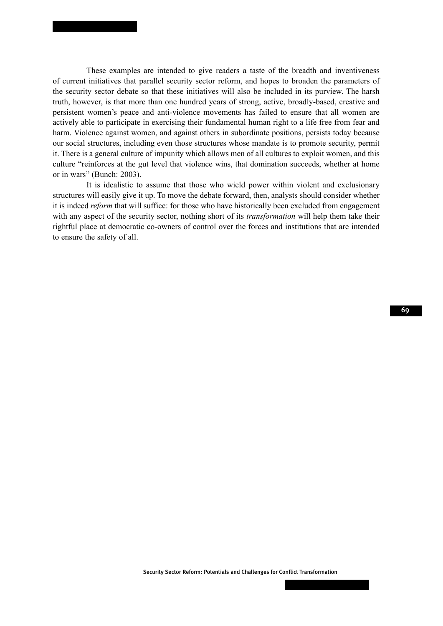These examples are intended to give readers a taste of the breadth and inventiveness of current initiatives that parallel security sector reform, and hopes to broaden the parameters of the security sector debate so that these initiatives will also be included in its purview. The harsh truth, however, is that more than one hundred years of strong, active, broadly-based, creative and persistent women's peace and anti-violence movements has failed to ensure that all women are actively able to participate in exercising their fundamental human right to a life free from fear and harm. Violence against women, and against others in subordinate positions, persists today because our social structures, including even those structures whose mandate is to promote security, permit it. There is a general culture of impunity which allows men of all cultures to exploit women, and this culture "reinforces at the gut level that violence wins, that domination succeeds, whether at home or in wars" (Bunch: 2003).

It is idealistic to assume that those who wield power within violent and exclusionary structures will easily give it up. To move the debate forward, then, analysts should consider whether it is indeed *reform* that will suffice: for those who have historically been excluded from engagement with any aspect of the security sector, nothing short of its *transformation* will help them take their rightful place at democratic co-owners of control over the forces and institutions that are intended to ensure the safety of all.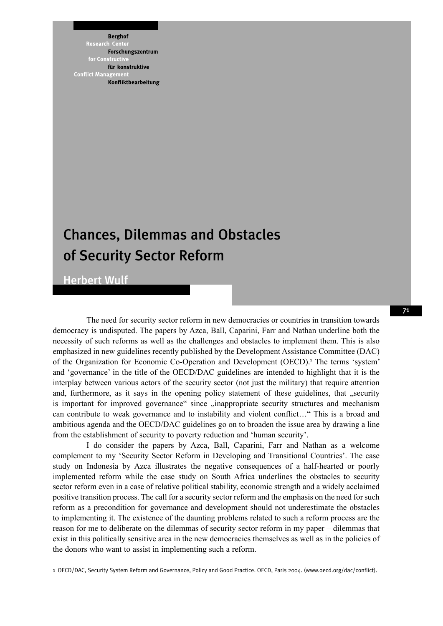**Berghof** 

Research ent. Forschungszentrum for Constr für konstruktive **Conflict Mana** Konfliktbearbeitung

# Chances, Dilemmas and Obstacles of Security Sector Reform

Herbert Wulf

The need for security sector reform in new democracies or countries in transition towards democracy is undisputed. The papers by Azca, Ball, Caparini, Farr and Nathan underline both the necessity of such reforms as well as the challenges and obstacles to implement them. This is also emphasized in new guidelines recently published by the Development Assistance Committee (DAC) of the Organization for Economic Co-Operation and Development (OECD).<sup>1</sup> The terms 'system' and 'governance' in the title of the OECD/DAC guidelines are intended to highlight that it is the interplay between various actors of the security sector (not just the military) that require attention and, furthermore, as it says in the opening policy statement of these guidelines, that "security is important for improved governance" since  $\alpha$  inappropriate security structures and mechanism can contribute to weak governance and to instability and violent conflict…" This is a broad and ambitious agenda and the OECD/DAC guidelines go on to broaden the issue area by drawing a line from the establishment of security to poverty reduction and 'human security'.

I do consider the papers by Azca, Ball, Caparini, Farr and Nathan as a welcome complement to my 'Security Sector Reform in Developing and Transitional Countries'. The case study on Indonesia by Azca illustrates the negative consequences of a half-hearted or poorly implemented reform while the case study on South Africa underlines the obstacles to security sector reform even in a case of relative political stability, economic strength and a widely acclaimed positive transition process. The call for a security sector reform and the emphasis on the need for such reform as a precondition for governance and development should not underestimate the obstacles to implementing it. The existence of the daunting problems related to such a reform process are the reason for me to deliberate on the dilemmas of security sector reform in my paper – dilemmas that exist in this politically sensitive area in the new democracies themselves as well as in the policies of the donors who want to assist in implementing such a reform.

1 OECD/DAC, Security System Reform and Governance, Policy and Good Practice. OECD, Paris 2004. (www.oecd.org/dac/conflict).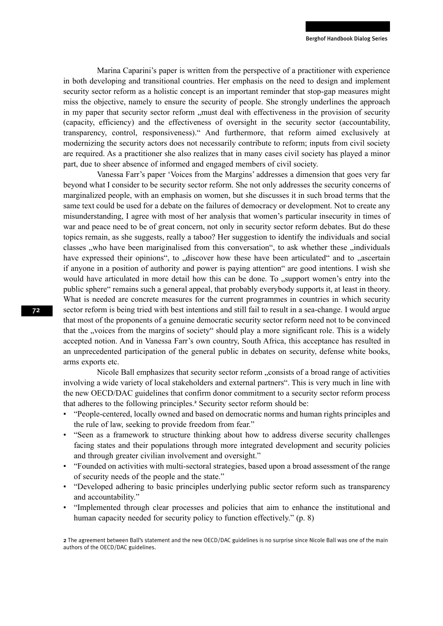Marina Caparini's paper is written from the perspective of a practitioner with experience in both developing and transitional countries. Her emphasis on the need to design and implement security sector reform as a holistic concept is an important reminder that stop-gap measures might miss the objective, namely to ensure the security of people. She strongly underlines the approach in my paper that security sector reform " must deal with effectiveness in the provision of security (capacity, efficiency) and the effectiveness of oversight in the security sector (accountability, transparency, control, responsiveness)." And furthermore, that reform aimed exclusively at modernizing the security actors does not necessarily contribute to reform; inputs from civil society are required. As a practitioner she also realizes that in many cases civil society has played a minor part, due to sheer absence of informed and engaged members of civil society.

Vanessa Farr's paper 'Voices from the Margins' addresses a dimension that goes very far beyond what I consider to be security sector reform. She not only addresses the security concerns of marginalized people, with an emphasis on women, but she discusses it in such broad terms that the same text could be used for a debate on the failures of democracy or development. Not to create any misunderstanding, I agree with most of her analysis that women's particular insecurity in times of war and peace need to be of great concern, not only in security sector reform debates. But do these topics remain, as she suggests, really a taboo? Her suggestion to identify the individuals and social classes , who have been mariginalised from this conversation", to ask whether these , individuals have expressed their opinions", to "discover how these have been articulated" and to "ascertain if anyone in a position of authority and power is paying attention" are good intentions. I wish she would have articulated in more detail how this can be done. To "support women's entry into the public sphere" remains such a general appeal, that probably everybody supports it, at least in theory. What is needed are concrete measures for the current programmes in countries in which security sector reform is being tried with best intentions and still fail to result in a sea-change. I would argue that most of the proponents of a genuine democratic security sector reform need not to be convinced that the "voices from the margins of society" should play a more significant role. This is a widely accepted notion. And in Vanessa Farr's own country, South Africa, this acceptance has resulted in an unprecedented participation of the general public in debates on security, defense white books, arms exports etc.

Nicole Ball emphasizes that security sector reform "consists of a broad range of activities involving a wide variety of local stakeholders and external partners". This is very much in line with the new OECD/DAC guidelines that confirm donor commitment to a security sector reform process that adheres to the following principles.<sup>2</sup> Security sector reform should be:

- "People-centered, locally owned and based on democratic norms and human rights principles and the rule of law, seeking to provide freedom from fear."
- "Seen as a framework to structure thinking about how to address diverse security challenges facing states and their populations through more integrated development and security policies and through greater civilian involvement and oversight."
- "Founded on activities with multi-sectoral strategies, based upon a broad assessment of the range of security needs of the people and the state."
- "Developed adhering to basic principles underlying public sector reform such as transparency and accountability."
- "Implemented through clear processes and policies that aim to enhance the institutional and human capacity needed for security policy to function effectively." (p. 8)

2 The agreement between Ball's statement and the new OECD/DAC guidelines is no surprise since Nicole Ball was one of the main authors of the OECD/DAC guidelines.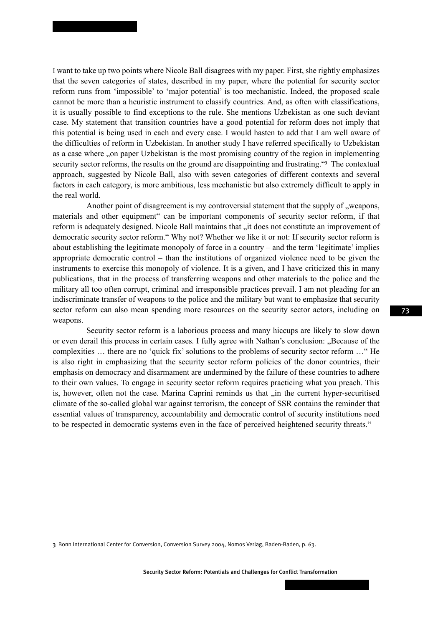I want to take up two points where Nicole Ball disagrees with my paper. First, she rightly emphasizes that the seven categories of states, described in my paper, where the potential for security sector reform runs from 'impossible' to 'major potential' is too mechanistic. Indeed, the proposed scale cannot be more than a heuristic instrument to classify countries. And, as often with classifications, it is usually possible to find exceptions to the rule. She mentions Uzbekistan as one such deviant case. My statement that transition countries have a good potential for reform does not imply that this potential is being used in each and every case. I would hasten to add that I am well aware of the difficulties of reform in Uzbekistan. In another study I have referred specifically to Uzbekistan as a case where "on paper Uzbekistan is the most promising country of the region in implementing security sector reforms, the results on the ground are disappointing and frustrating."<sup>3</sup> The contextual approach, suggested by Nicole Ball, also with seven categories of different contexts and several factors in each category, is more ambitious, less mechanistic but also extremely difficult to apply in the real world.

Another point of disagreement is my controversial statement that the supply of "weapons, materials and other equipment" can be important components of security sector reform, if that reform is adequately designed. Nicole Ball maintains that "it does not constitute an improvement of democratic security sector reform." Why not? Whether we like it or not: If security sector reform is about establishing the legitimate monopoly of force in a country – and the term 'legitimate' implies appropriate democratic control – than the institutions of organized violence need to be given the instruments to exercise this monopoly of violence. It is a given, and I have criticized this in many publications, that in the process of transferring weapons and other materials to the police and the military all too often corrupt, criminal and irresponsible practices prevail. I am not pleading for an indiscriminate transfer of weapons to the police and the military but want to emphasize that security sector reform can also mean spending more resources on the security sector actors, including on weapons.

Security sector reform is a laborious process and many hiccups are likely to slow down or even derail this process in certain cases. I fully agree with Nathan's conclusion: "Because of the complexities … there are no 'quick fix' solutions to the problems of security sector reform …" He is also right in emphasizing that the security sector reform policies of the donor countries, their emphasis on democracy and disarmament are undermined by the failure of these countries to adhere to their own values. To engage in security sector reform requires practicing what you preach. This is, however, often not the case. Marina Caprini reminds us that  $\mu$  in the current hyper-securitised climate of the so-called global war against terrorism, the concept of SSR contains the reminder that essential values of transparency, accountability and democratic control of security institutions need to be respected in democratic systems even in the face of perceived heightened security threats."

3 Bonn International Center for Conversion, Conversion Survey 2004, Nomos Verlag, Baden-Baden, p. 63.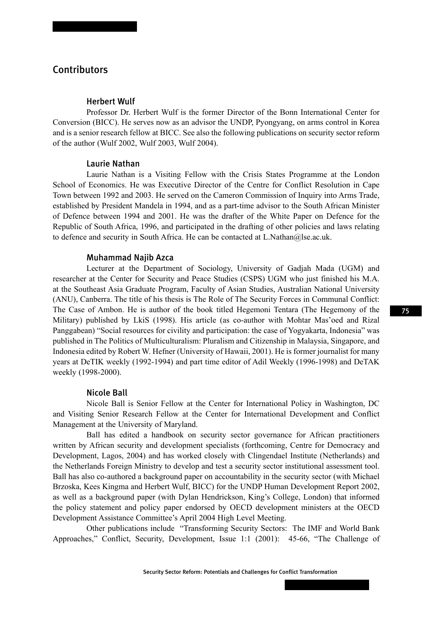# Contributors

## Herbert Wulf

Professor Dr. Herbert Wulf is the former Director of the Bonn International Center for Conversion (BICC). He serves now as an advisor the UNDP, Pyongyang, on arms control in Korea and is a senior research fellow at BICC. See also the following publications on security sector reform of the author (Wulf 2002, Wulf 2003, Wulf 2004).

### Laurie Nathan

Laurie Nathan is a Visiting Fellow with the Crisis States Programme at the London School of Economics. He was Executive Director of the Centre for Conflict Resolution in Cape Town between 1992 and 2003. He served on the Cameron Commission of Inquiry into Arms Trade, established by President Mandela in 1994, and as a part-time advisor to the South African Minister of Defence between 1994 and 2001. He was the drafter of the White Paper on Defence for the Republic of South Africa, 1996, and participated in the drafting of other policies and laws relating to defence and security in South Africa. He can be contacted at L.Nathan $@$ lse.ac.uk.

### Muhammad Najib Azca

Lecturer at the Department of Sociology, University of Gadjah Mada (UGM) and researcher at the Center for Security and Peace Studies (CSPS) UGM who just finished his M.A. at the Southeast Asia Graduate Program, Faculty of Asian Studies, Australian National University (ANU), Canberra. The title of his thesis is The Role of The Security Forces in Communal Conflict: The Case of Ambon. He is author of the book titled Hegemoni Tentara (The Hegemony of the Military) published by LkiS (1998). His article (as co-author with Mohtar Mas'oed and Rizal Panggabean) "Social resources for civility and participation: the case of Yogyakarta, Indonesia" was published in The Politics of Multiculturalism: Pluralism and Citizenship in Malaysia, Singapore, and Indonesia edited by Robert W. Hefner (University of Hawaii, 2001). He is former journalist for many years at DeTIK weekly (1992-1994) and part time editor of Adil Weekly (1996-1998) and DeTAK weekly (1998-2000).

### Nicole Ball

Nicole Ball is Senior Fellow at the Center for International Policy in Washington, DC and Visiting Senior Research Fellow at the Center for International Development and Conflict Management at the University of Maryland.

Ball has edited a handbook on security sector governance for African practitioners written by African security and development specialists (forthcoming, Centre for Democracy and Development, Lagos, 2004) and has worked closely with Clingendael Institute (Netherlands) and the Netherlands Foreign Ministry to develop and test a security sector institutional assessment tool. Ball has also co-authored a background paper on accountability in the security sector (with Michael Brzoska, Kees Kingma and Herbert Wulf, BICC) for the UNDP Human Development Report 2002, as well as a background paper (with Dylan Hendrickson, King's College, London) that informed the policy statement and policy paper endorsed by OECD development ministers at the OECD Development Assistance Committee's April 2004 High Level Meeting.

Other publications include "Transforming Security Sectors: The IMF and World Bank Approaches," Conflict, Security, Development, Issue 1:1 (2001): 45-66, "The Challenge of